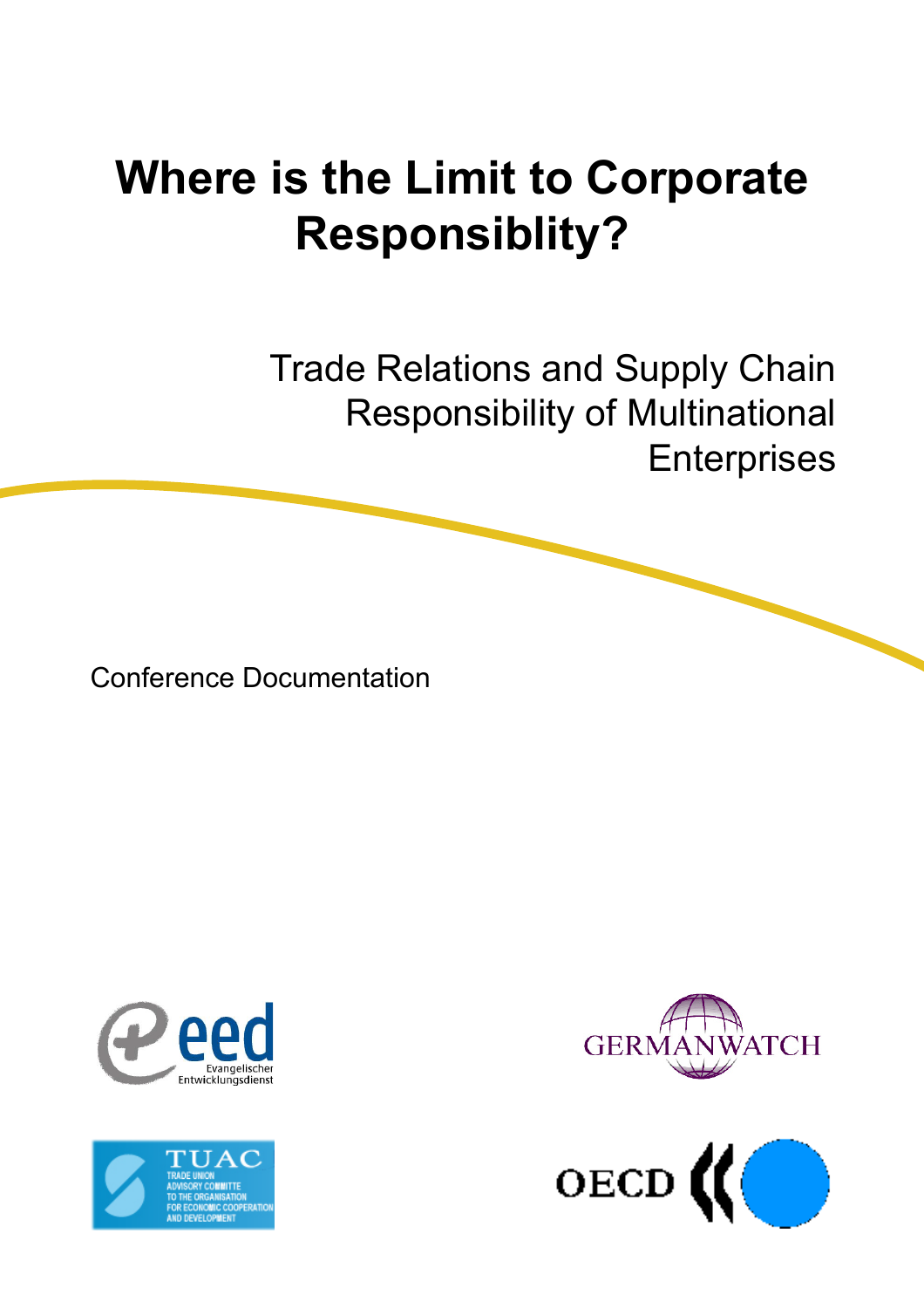# **Where is the Limit to Corporate Responsiblity?**

Trade Relations and Supply Chain Responsibility of Multinational **Enterprises** 

Conference Documentation







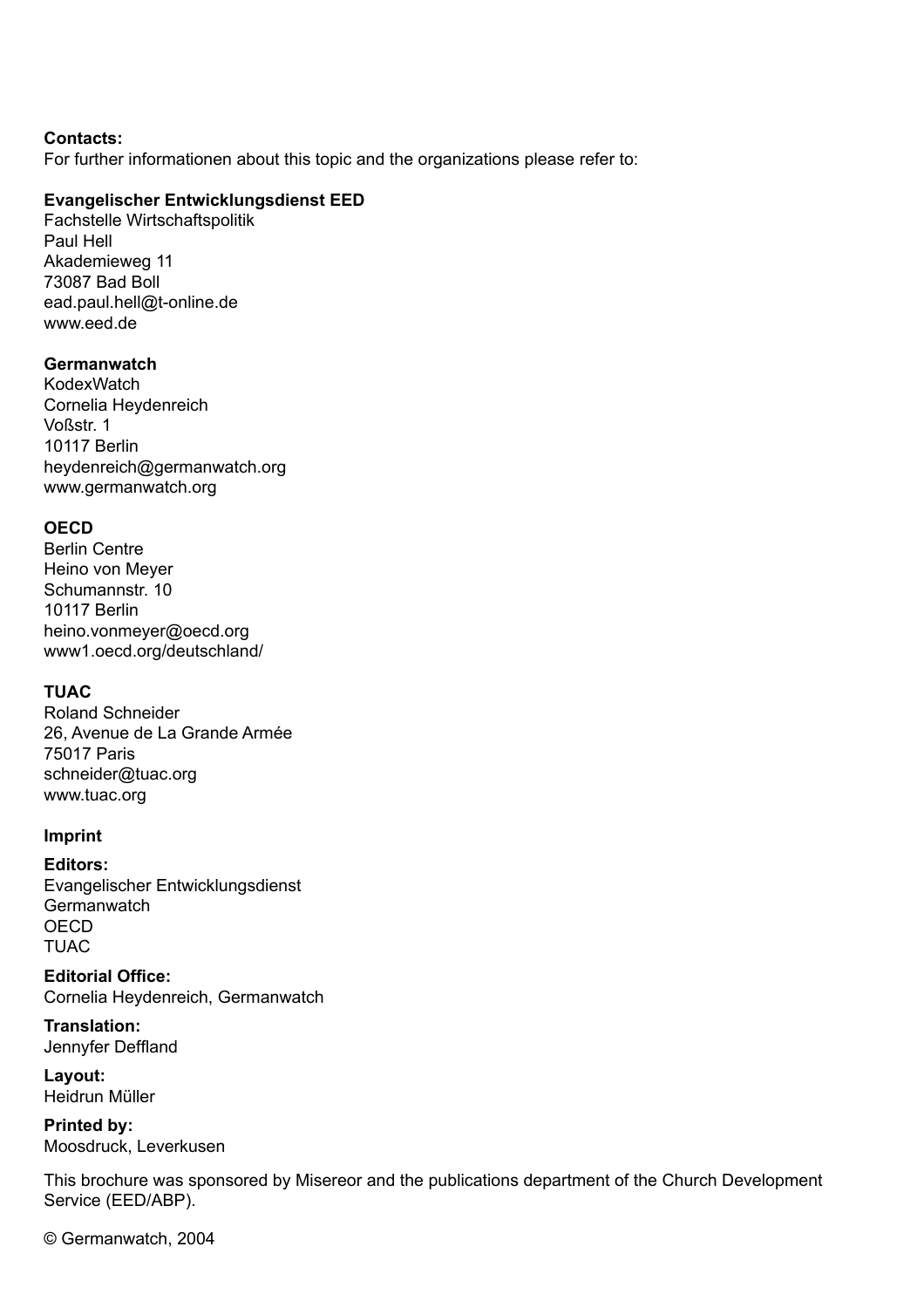#### **Contacts:**

For further informationen about this topic and the organizations please refer to:

#### **Evangelischer Entwicklungsdienst EED**

Fachstelle Wirtschaftspolitik Paul Hell Akademieweg 11 73087 Bad Boll ead.paul.hell@t-online.de www.eed.de

#### **Germanwatch**

**KodexWatch** Cornelia Heydenreich Voßstr. 1 10117 Berlin heydenreich@germanwatch.org www.germanwatch.org

## **OECD**

Berlin Centre Heino von Meyer Schumannstr. 10 10117 Berlin heino.vonmeyer@oecd.org www1.oecd.org/deutschland/

## **TUAC**

Roland Schneider 26, Avenue de La Grande Armée 75017 Paris schneider@tuac.org www.tuac.org

#### **Imprint**

**Editors:**

Evangelischer Entwicklungsdienst **Germanwatch OECD** TUAC

**Editorial Office:** Cornelia Heydenreich, Germanwatch

**Translation:** Jennyfer Deffland

**Layout:** Heidrun Müller

**Printed by:** Moosdruck, Leverkusen

This brochure was sponsored by Misereor and the publications department of the Church Development Service (EED/ABP).

© Germanwatch, 2004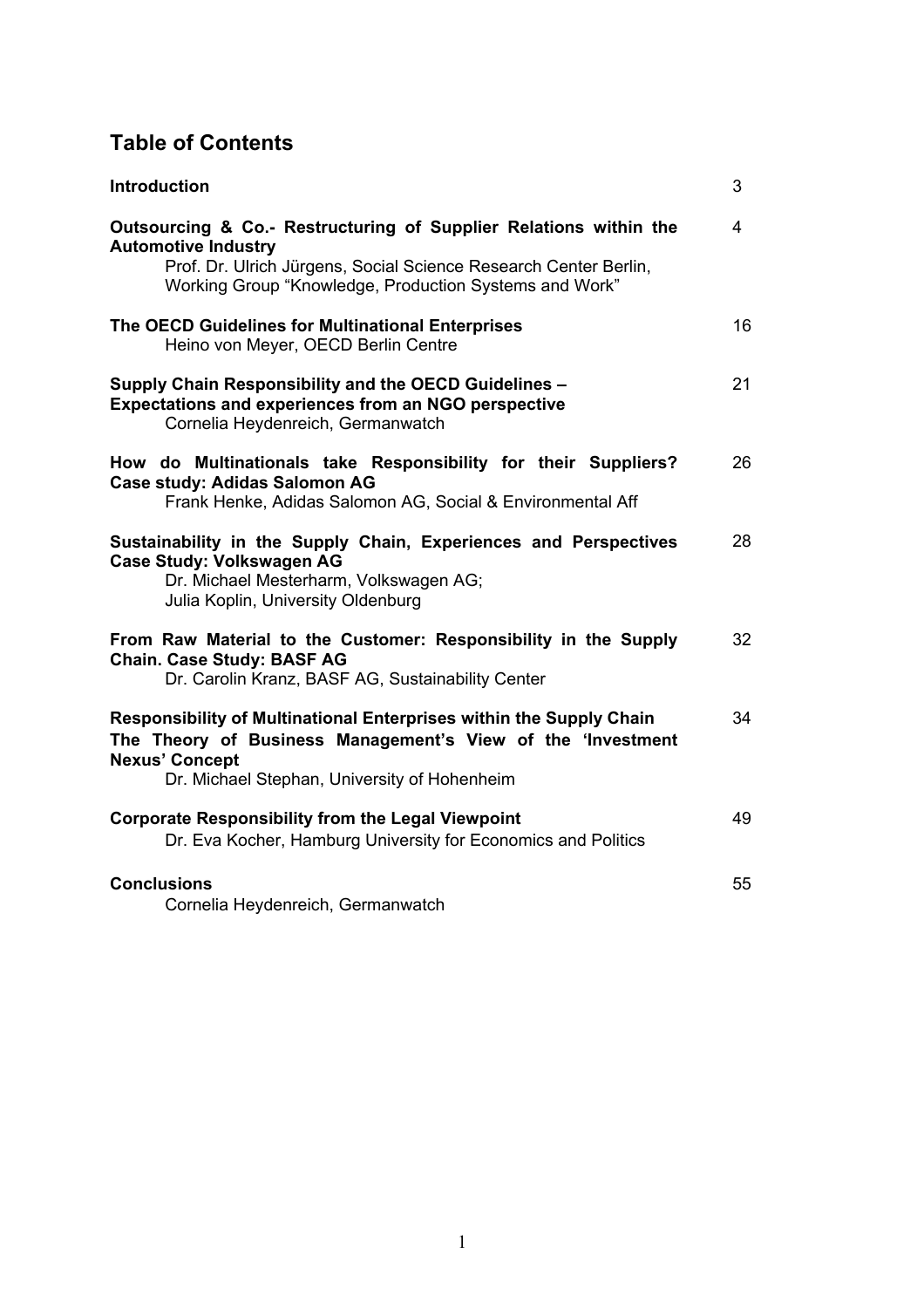# **Table of Contents**

| <b>Introduction</b>                                                                                                                                                                                                           | 3              |
|-------------------------------------------------------------------------------------------------------------------------------------------------------------------------------------------------------------------------------|----------------|
| Outsourcing & Co.- Restructuring of Supplier Relations within the<br><b>Automotive Industry</b><br>Prof. Dr. Ulrich Jürgens, Social Science Research Center Berlin,<br>Working Group "Knowledge, Production Systems and Work" | $\overline{4}$ |
| The OECD Guidelines for Multinational Enterprises<br>Heino von Meyer, OECD Berlin Centre                                                                                                                                      | 16             |
| Supply Chain Responsibility and the OECD Guidelines -<br>Expectations and experiences from an NGO perspective<br>Cornelia Heydenreich, Germanwatch                                                                            | 21             |
| How do Multinationals take Responsibility for their Suppliers?<br>Case study: Adidas Salomon AG<br>Frank Henke, Adidas Salomon AG, Social & Environmental Aff                                                                 | 26             |
| Sustainability in the Supply Chain, Experiences and Perspectives<br>Case Study: Volkswagen AG<br>Dr. Michael Mesterharm, Volkswagen AG;<br>Julia Koplin, University Oldenburg                                                 | 28             |
| From Raw Material to the Customer: Responsibility in the Supply<br><b>Chain. Case Study: BASF AG</b><br>Dr. Carolin Kranz, BASF AG, Sustainability Center                                                                     | 32             |
| Responsibility of Multinational Enterprises within the Supply Chain<br>The Theory of Business Management's View of the 'Investment<br><b>Nexus' Concept</b><br>Dr. Michael Stephan, University of Hohenheim                   | 34             |
| <b>Corporate Responsibility from the Legal Viewpoint</b><br>Dr. Eva Kocher, Hamburg University for Economics and Politics                                                                                                     | 49             |
| <b>Conclusions</b><br>Cornelia Heydenreich, Germanwatch                                                                                                                                                                       | 55             |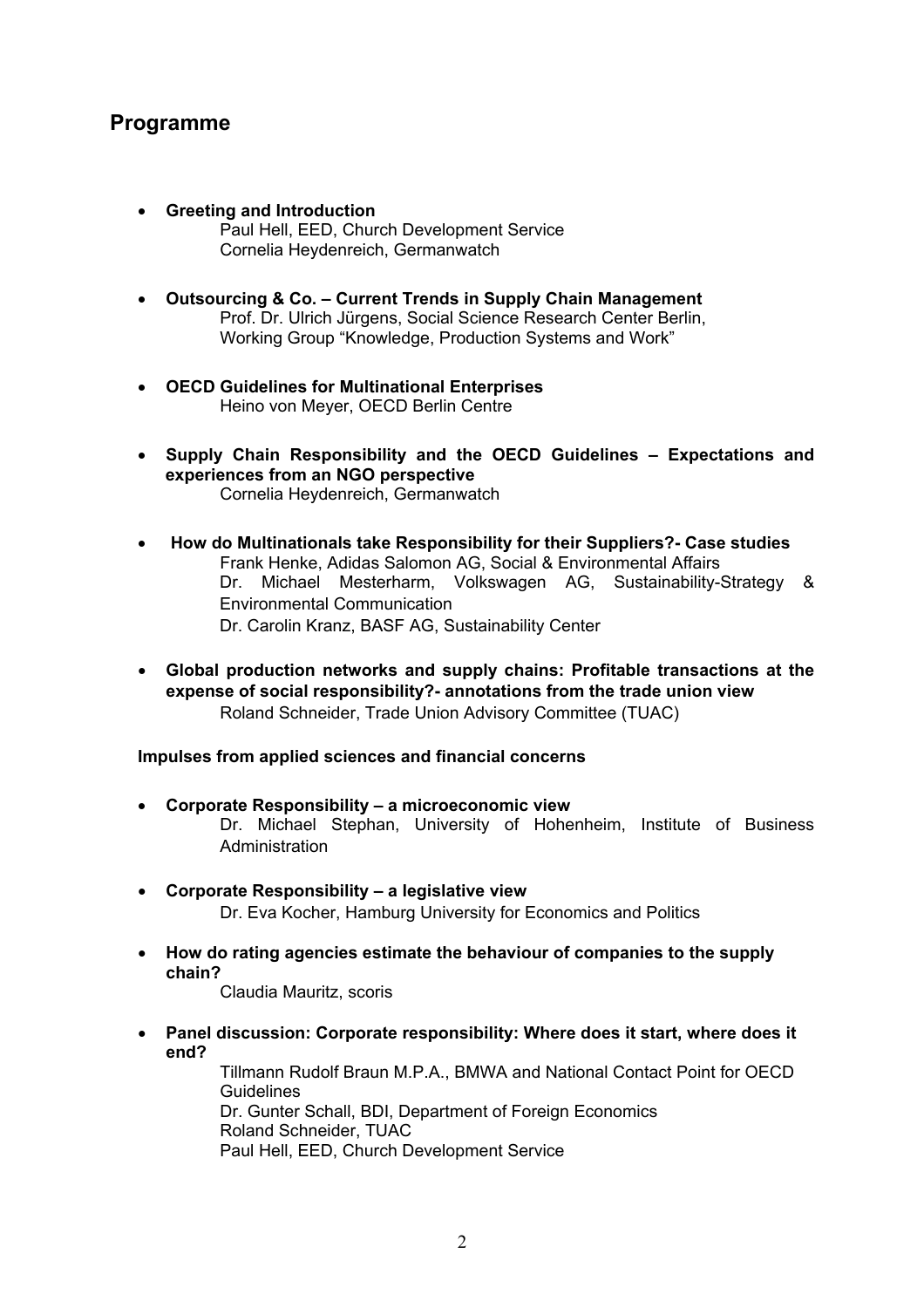# **Programme**

- **Greeting and Introduction** Paul Hell, EED, Church Development Service Cornelia Heydenreich, Germanwatch
- **Outsourcing & Co. Current Trends in Supply Chain Management** Prof. Dr. Ulrich Jürgens, Social Science Research Center Berlin, Working Group "Knowledge, Production Systems and Work"
- **OECD Guidelines for Multinational Enterprises** Heino von Meyer, OECD Berlin Centre
- **Supply Chain Responsibility and the OECD Guidelines Expectations and experiences from an NGO perspective** Cornelia Heydenreich, Germanwatch
- • **How do Multinationals take Responsibility for their Suppliers?- Case studies** Frank Henke, Adidas Salomon AG, Social & Environmental Affairs Dr. Michael Mesterharm, Volkswagen AG, Sustainability-Strategy & Environmental Communication Dr. Carolin Kranz, BASF AG, Sustainability Center
- **Global production networks and supply chains: Profitable transactions at the expense of social responsibility?- annotations from the trade union view** Roland Schneider, Trade Union Advisory Committee (TUAC)

#### **Impulses from applied sciences and financial concerns**

- **Corporate Responsibility a microeconomic view** Dr. Michael Stephan, University of Hohenheim, Institute of Business Administration
- **Corporate Responsibility a legislative view** Dr. Eva Kocher, Hamburg University for Economics and Politics
- **How do rating agencies estimate the behaviour of companies to the supply chain?**

Claudia Mauritz, scoris

• **Panel discussion: Corporate responsibility: Where does it start, where does it end?**

Tillmann Rudolf Braun M.P.A., BMWA and National Contact Point for OECD Guidelines Dr. Gunter Schall, BDI, Department of Foreign Economics Roland Schneider, TUAC Paul Hell, EED, Church Development Service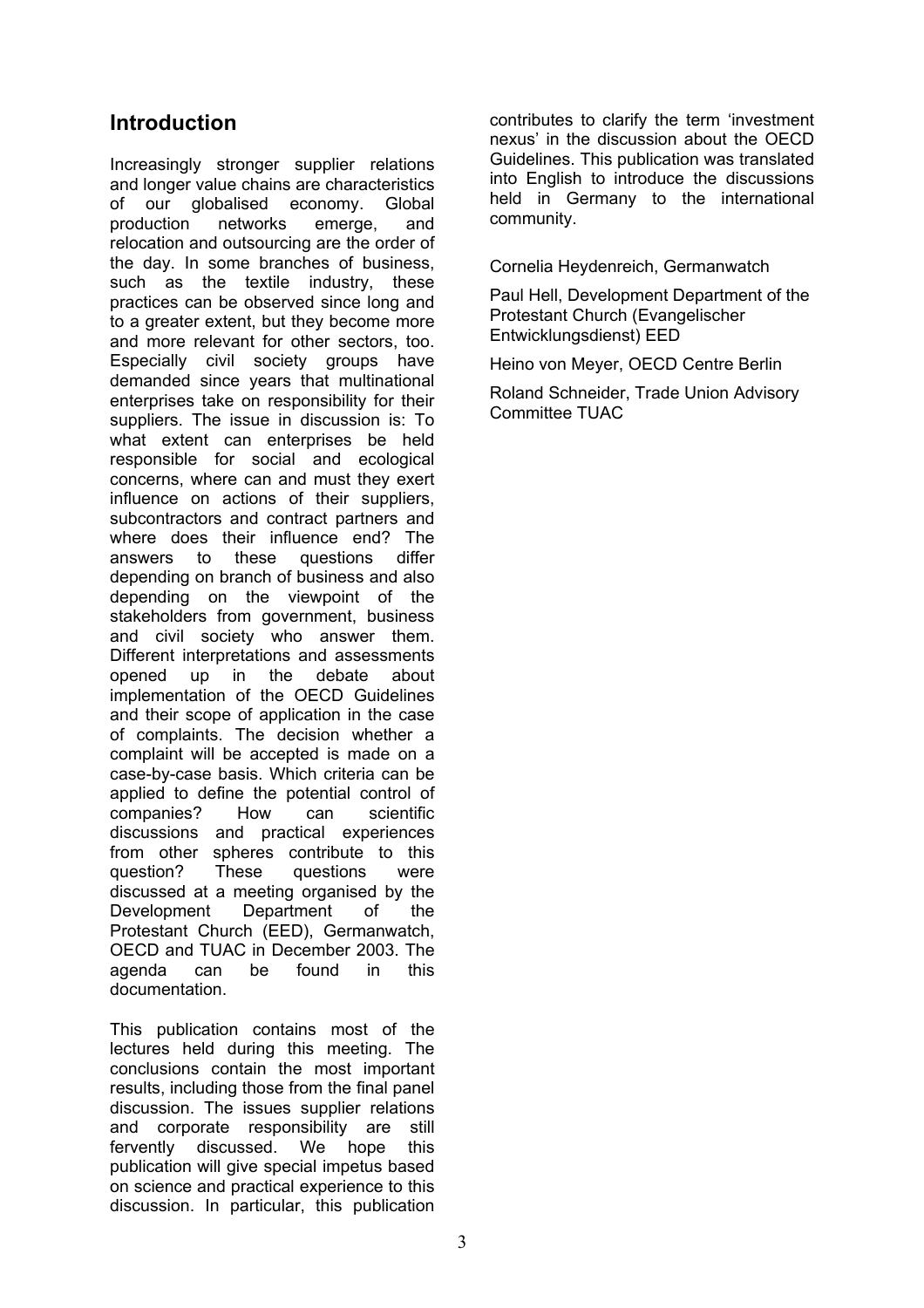# **Introduction**

Increasingly stronger supplier relations and longer value chains are characteristics of our globalised economy. Global production networks emerge, and relocation and outsourcing are the order of the day. In some branches of business, such as the textile industry, these practices can be observed since long and to a greater extent, but they become more and more relevant for other sectors, too. Especially civil society groups have demanded since years that multinational enterprises take on responsibility for their suppliers. The issue in discussion is: To what extent can enterprises be held responsible for social and ecological concerns, where can and must they exert influence on actions of their suppliers, subcontractors and contract partners and where does their influence end? The answers to these questions differ depending on branch of business and also depending on the viewpoint of the stakeholders from government, business and civil society who answer them. Different interpretations and assessments opened up in the debate about implementation of the OECD Guidelines and their scope of application in the case of complaints. The decision whether a complaint will be accepted is made on a case-by-case basis. Which criteria can be applied to define the potential control of companies? How can scientific discussions and practical experiences from other spheres contribute to this question? These questions were discussed at a meeting organised by the Development Department of the Protestant Church (EED), Germanwatch, OECD and TUAC in December 2003. The agenda can be found in this documentation.

This publication contains most of the lectures held during this meeting. The conclusions contain the most important results, including those from the final panel discussion. The issues supplier relations and corporate responsibility are still fervently discussed. We hope this publication will give special impetus based on science and practical experience to this discussion. In particular, this publication

contributes to clarify the term 'investment nexus' in the discussion about the OECD Guidelines. This publication was translated into English to introduce the discussions held in Germany to the international community.

Cornelia Heydenreich, Germanwatch

Paul Hell, Development Department of the Protestant Church (Evangelischer Entwicklungsdienst) EED

Heino von Meyer, OECD Centre Berlin

Roland Schneider, Trade Union Advisory Committee TUAC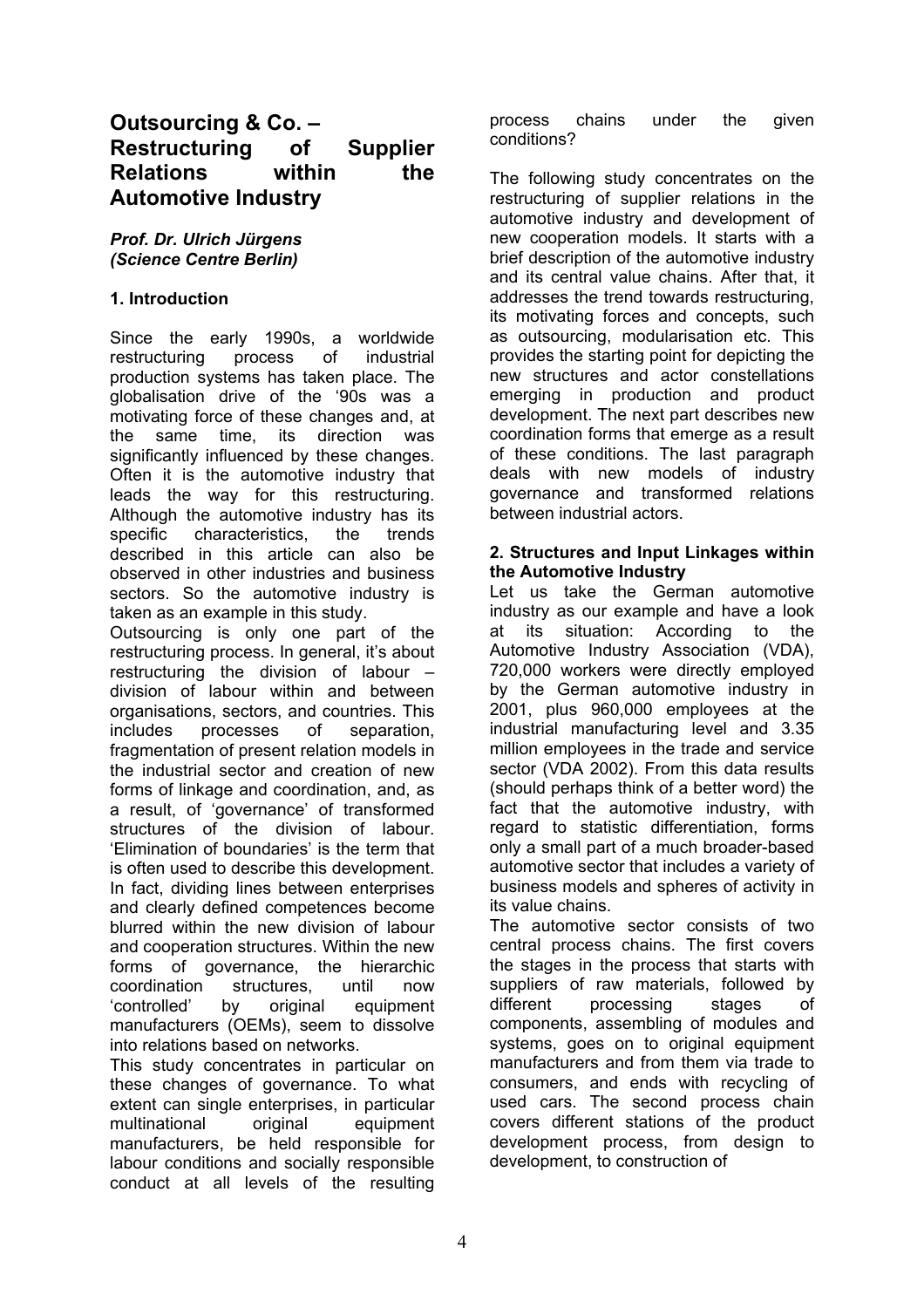# **Outsourcing & Co. – Restructuring of Supplier Relations within the Automotive Industry**

#### *Prof. Dr. Ulrich Jürgens (Science Centre Berlin)*

## **1. Introduction**

Since the early 1990s, a worldwide restructuring process of industrial production systems has taken place. The globalisation drive of the '90s was a motivating force of these changes and, at the same time, its direction was significantly influenced by these changes. Often it is the automotive industry that leads the way for this restructuring. Although the automotive industry has its specific characteristics, the trends described in this article can also be observed in other industries and business sectors. So the automotive industry is taken as an example in this study.

Outsourcing is only one part of the restructuring process. In general, it's about restructuring the division of labour – division of labour within and between organisations, sectors, and countries. This includes processes of separation, fragmentation of present relation models in the industrial sector and creation of new forms of linkage and coordination, and, as a result, of 'governance' of transformed structures of the division of labour. 'Elimination of boundaries' is the term that is often used to describe this development. In fact, dividing lines between enterprises and clearly defined competences become blurred within the new division of labour and cooperation structures. Within the new forms of governance, the hierarchic coordination structures, until now 'controlled' by original equipment manufacturers (OEMs), seem to dissolve into relations based on networks.

This study concentrates in particular on these changes of governance. To what extent can single enterprises, in particular multinational original equipment manufacturers, be held responsible for labour conditions and socially responsible conduct at all levels of the resulting

process chains under the given conditions?

The following study concentrates on the restructuring of supplier relations in the automotive industry and development of new cooperation models. It starts with a brief description of the automotive industry and its central value chains. After that, it addresses the trend towards restructuring, its motivating forces and concepts, such as outsourcing, modularisation etc. This provides the starting point for depicting the new structures and actor constellations emerging in production and product development. The next part describes new coordination forms that emerge as a result of these conditions. The last paragraph deals with new models of industry governance and transformed relations between industrial actors.

#### **2. Structures and Input Linkages within the Automotive Industry**

Let us take the German automotive industry as our example and have a look at its situation: According to the Automotive Industry Association (VDA), 720,000 workers were directly employed by the German automotive industry in 2001, plus 960,000 employees at the industrial manufacturing level and 3.35 million employees in the trade and service sector (VDA 2002). From this data results (should perhaps think of a better word) the fact that the automotive industry, with regard to statistic differentiation, forms only a small part of a much broader-based automotive sector that includes a variety of business models and spheres of activity in its value chains.

The automotive sector consists of two central process chains. The first covers the stages in the process that starts with suppliers of raw materials, followed by different processing stages of components, assembling of modules and systems, goes on to original equipment manufacturers and from them via trade to consumers, and ends with recycling of used cars. The second process chain covers different stations of the product development process, from design to development, to construction of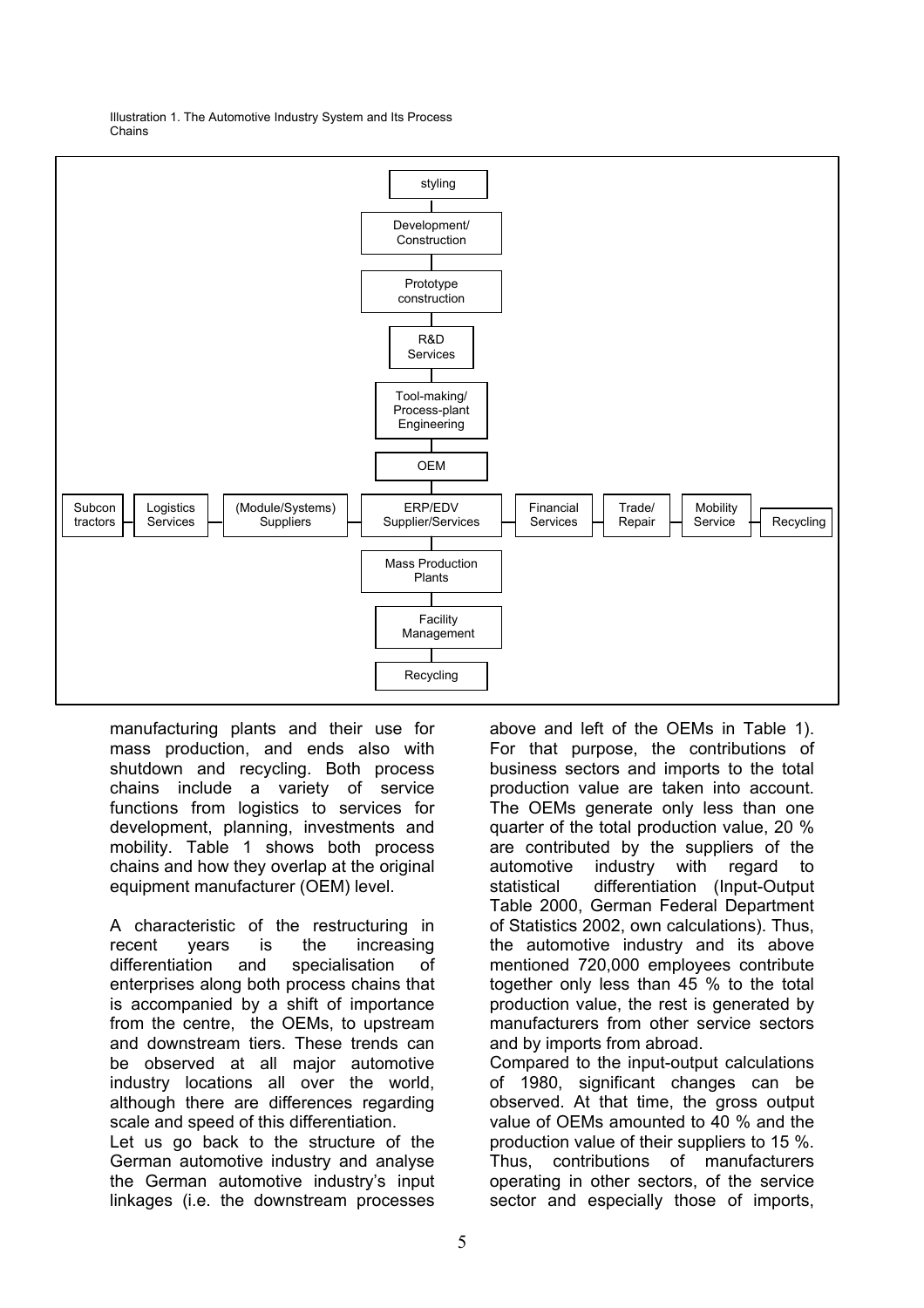

Illustration 1. The Automotive Industry System and Its Process Chains

manufacturing plants and their use for mass production, and ends also with shutdown and recycling. Both process chains include a variety of service functions from logistics to services for development, planning, investments and mobility. Table 1 shows both process chains and how they overlap at the original equipment manufacturer (OEM) level.

A characteristic of the restructuring in recent years is the increasing differentiation and specialisation of enterprises along both process chains that is accompanied by a shift of importance from the centre, the OEMs, to upstream and downstream tiers. These trends can be observed at all major automotive industry locations all over the world, although there are differences regarding scale and speed of this differentiation.

Let us go back to the structure of the German automotive industry and analyse the German automotive industry's input linkages (i.e. the downstream processes

above and left of the OEMs in Table 1). For that purpose, the contributions of business sectors and imports to the total production value are taken into account. The OEMs generate only less than one quarter of the total production value, 20 % are contributed by the suppliers of the automotive industry with regard to statistical differentiation (Input-Output Table 2000, German Federal Department of Statistics 2002, own calculations). Thus, the automotive industry and its above mentioned 720,000 employees contribute together only less than 45 % to the total production value, the rest is generated by manufacturers from other service sectors and by imports from abroad.

Compared to the input-output calculations of 1980, significant changes can be observed. At that time, the gross output value of OEMs amounted to 40 % and the production value of their suppliers to 15 %. Thus, contributions of manufacturers operating in other sectors, of the service sector and especially those of imports,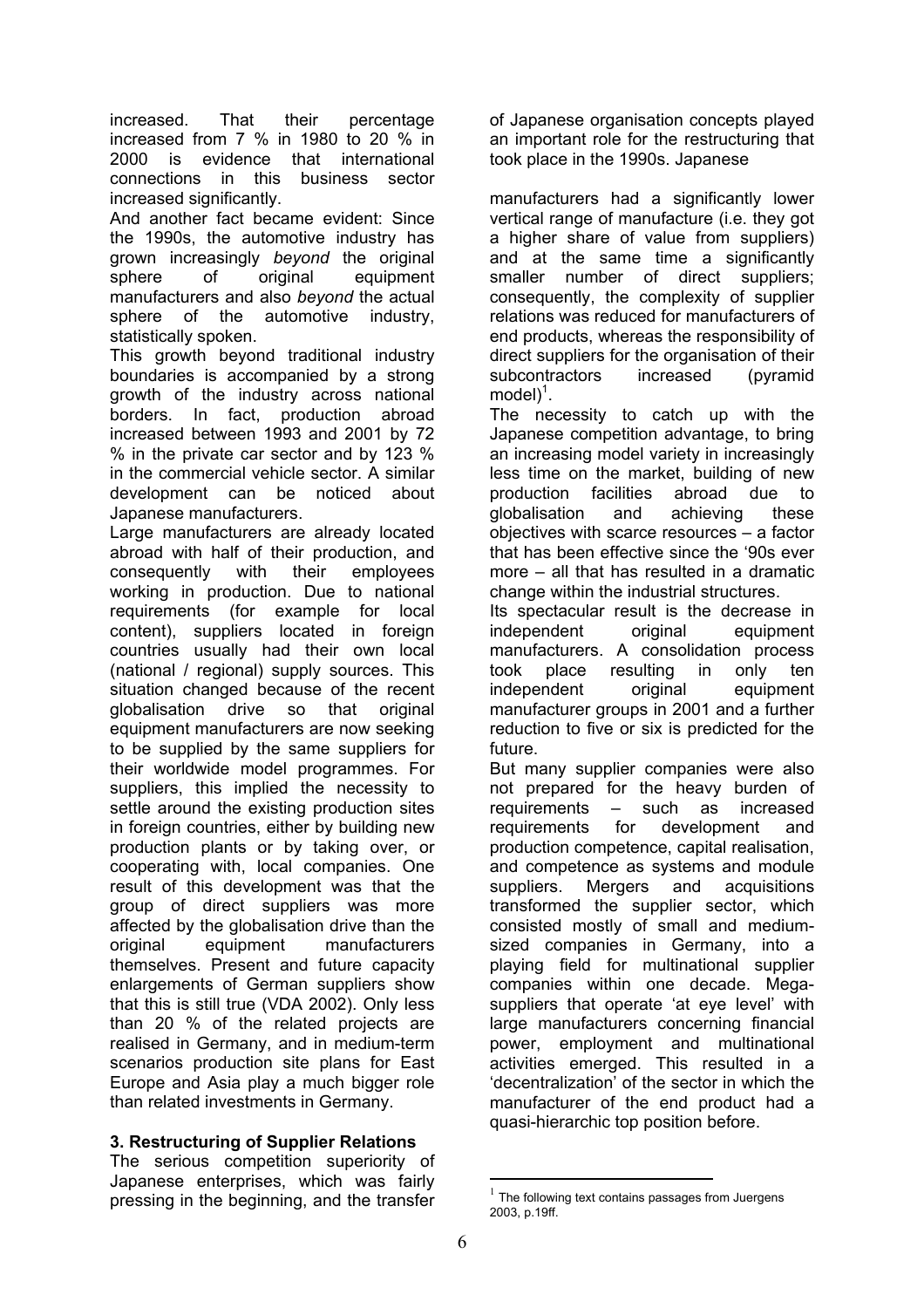increased. That their percentage increased from 7 % in 1980 to 20 % in 2000 is evidence that international connections in this business sector increased significantly.

And another fact became evident: Since the 1990s, the automotive industry has grown increasingly *beyond* the original sphere of original equipment manufacturers and also *beyond* the actual sphere of the automotive industry, statistically spoken.

This growth beyond traditional industry boundaries is accompanied by a strong growth of the industry across national borders. In fact, production abroad increased between 1993 and 2001 by 72 % in the private car sector and by 123 % in the commercial vehicle sector. A similar development can be noticed about Japanese manufacturers.

Large manufacturers are already located abroad with half of their production, and consequently with their employees working in production. Due to national requirements (for example for local content), suppliers located in foreign countries usually had their own local (national / regional) supply sources. This situation changed because of the recent globalisation drive so that original equipment manufacturers are now seeking to be supplied by the same suppliers for their worldwide model programmes. For suppliers, this implied the necessity to settle around the existing production sites in foreign countries, either by building new production plants or by taking over, or cooperating with, local companies. One result of this development was that the group of direct suppliers was more affected by the globalisation drive than the original equipment manufacturers themselves. Present and future capacity enlargements of German suppliers show that this is still true (VDA 2002). Only less than 20 % of the related projects are realised in Germany, and in medium-term scenarios production site plans for East Europe and Asia play a much bigger role than related investments in Germany.

## **3. Restructuring of Supplier Relations**

The serious competition superiority of Japanese enterprises, which was fairly pressing in the beginning, and the transfer

of Japanese organisation concepts played an important role for the restructuring that took place in the 1990s. Japanese

manufacturers had a significantly lower vertical range of manufacture (i.e. they got a higher share of value from suppliers) and at the same time a significantly smaller number of direct suppliers; consequently, the complexity of supplier relations was reduced for manufacturers of end products, whereas the responsibility of direct suppliers for the organisation of their subcontractors increased (pyramid  $model)^1$ .

The necessity to catch up with the Japanese competition advantage, to bring an increasing model variety in increasingly less time on the market, building of new production facilities abroad due to globalisation and achieving these objectives with scarce resources – a factor that has been effective since the '90s ever more – all that has resulted in a dramatic change within the industrial structures.

Its spectacular result is the decrease in independent original equipment manufacturers. A consolidation process took place resulting in only ten independent original equipment manufacturer groups in 2001 and a further reduction to five or six is predicted for the future.

But many supplier companies were also not prepared for the heavy burden of requirements – such as increased requirements for development and production competence, capital realisation, and competence as systems and module suppliers. Mergers and acquisitions transformed the supplier sector, which consisted mostly of small and mediumsized companies in Germany, into a playing field for multinational supplier companies within one decade. Megasuppliers that operate 'at eye level' with large manufacturers concerning financial power, employment and multinational activities emerged. This resulted in a 'decentralization' of the sector in which the manufacturer of the end product had a quasi-hierarchic top position before.

 $1$  The following text contains passages from Juergens 2003, p.19ff.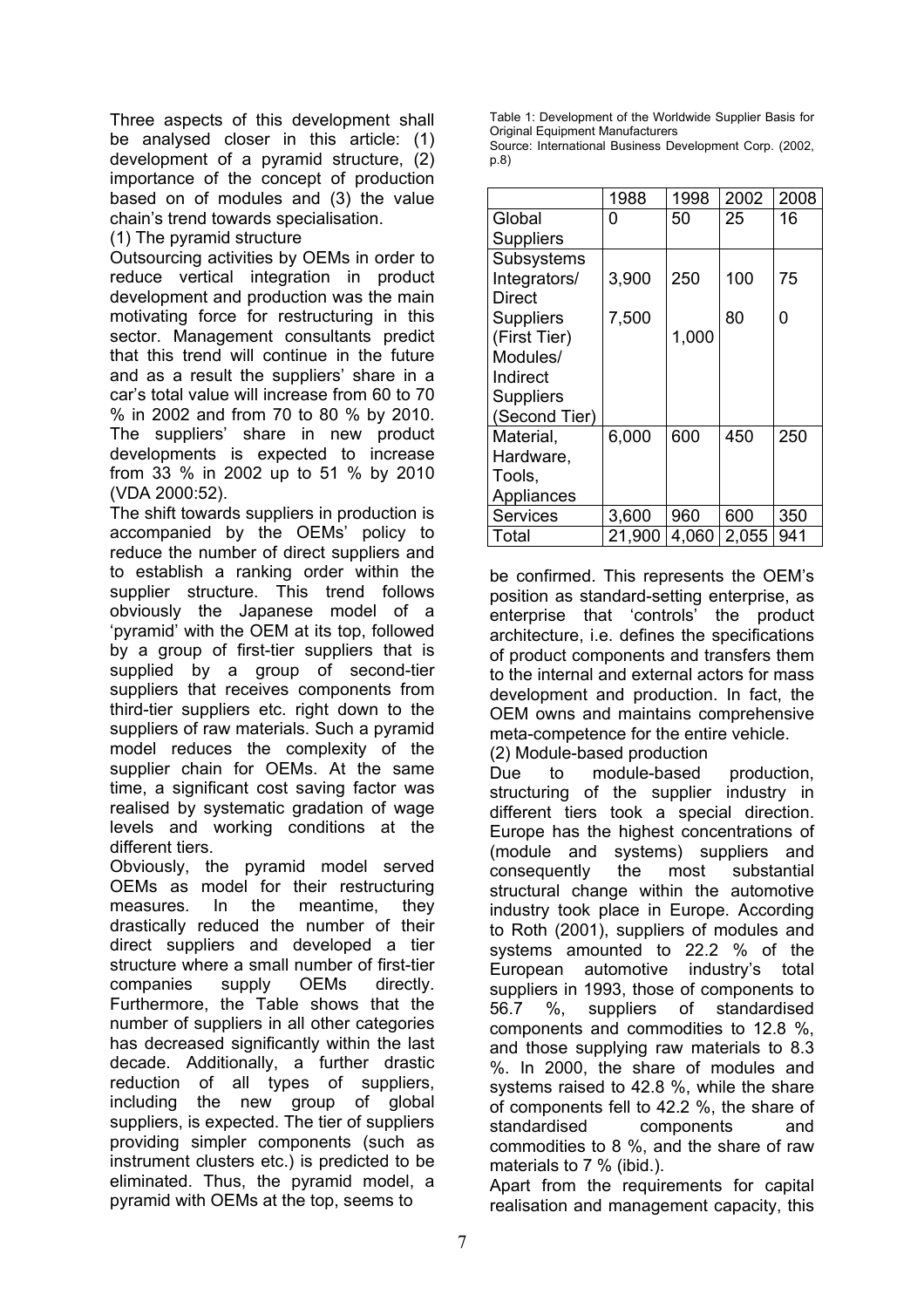Three aspects of this development shall be analysed closer in this article: (1) development of a pyramid structure, (2) importance of the concept of production based on of modules and (3) the value chain's trend towards specialisation.

(1) The pyramid structure

Outsourcing activities by OEMs in order to reduce vertical integration in product development and production was the main motivating force for restructuring in this sector. Management consultants predict that this trend will continue in the future and as a result the suppliers' share in a car's total value will increase from 60 to 70 % in 2002 and from 70 to 80 % by 2010. The suppliers' share in new product developments is expected to increase from 33 % in 2002 up to 51 % by 2010 (VDA 2000:52).

The shift towards suppliers in production is accompanied by the OEMs' policy to reduce the number of direct suppliers and to establish a ranking order within the supplier structure. This trend follows obviously the Japanese model of a 'pyramid' with the OEM at its top, followed by a group of first-tier suppliers that is supplied by a group of second-tier suppliers that receives components from third-tier suppliers etc. right down to the suppliers of raw materials. Such a pyramid model reduces the complexity of the supplier chain for OEMs. At the same time, a significant cost saving factor was realised by systematic gradation of wage levels and working conditions at the different tiers.

Obviously, the pyramid model served OEMs as model for their restructuring measures. In the meantime, they drastically reduced the number of their direct suppliers and developed a tier structure where a small number of first-tier companies supply OEMs directly. Furthermore, the Table shows that the number of suppliers in all other categories has decreased significantly within the last decade. Additionally, a further drastic reduction of all types of suppliers, including the new group of global suppliers, is expected. The tier of suppliers providing simpler components (such as instrument clusters etc.) is predicted to be eliminated. Thus, the pyramid model, a pyramid with OEMs at the top, seems to

Table 1: Development of the Worldwide Supplier Basis for **Original Equipment Manufacturers** 

Source: International Business Development Corp. (2002, p.8)

|                  | 1988   | 1998  | 2002  | 2008 |
|------------------|--------|-------|-------|------|
| Global           | O      | 50    | 25    | 16   |
| <b>Suppliers</b> |        |       |       |      |
| Subsystems       |        |       |       |      |
| Integrators/     | 3,900  | 250   | 100   | 75   |
| Direct           |        |       |       |      |
| <b>Suppliers</b> | 7,500  |       | 80    | 0    |
| (First Tier)     |        | 1,000 |       |      |
| Modules/         |        |       |       |      |
| Indirect         |        |       |       |      |
| Suppliers        |        |       |       |      |
| (Second Tier)    |        |       |       |      |
| Material,        | 6,000  | 600   | 450   | 250  |
| Hardware,        |        |       |       |      |
| Tools,           |        |       |       |      |
| Appliances       |        |       |       |      |
| <b>Services</b>  | 3,600  | 960   | 600   | 350  |
| Total            | 21,900 | 4,060 | 2,055 | 941  |

be confirmed. This represents the OEM's position as standard-setting enterprise, as enterprise that 'controls' the product architecture, i.e. defines the specifications of product components and transfers them to the internal and external actors for mass development and production. In fact, the OEM owns and maintains comprehensive meta-competence for the entire vehicle. (2) Module-based production

Due to module-based production, structuring of the supplier industry in different tiers took a special direction. Europe has the highest concentrations of (module and systems) suppliers and consequently the most substantial structural change within the automotive industry took place in Europe. According to Roth (2001), suppliers of modules and systems amounted to 22.2 % of the European automotive industry's total suppliers in 1993, those of components to 56.7 %, suppliers of standardised components and commodities to 12.8 %, and those supplying raw materials to 8.3 %. In 2000, the share of modules and systems raised to 42.8 %, while the share of components fell to 42.2 %, the share of standardised components and commodities to 8 %, and the share of raw materials to 7 % (ibid.).

Apart from the requirements for capital realisation and management capacity, this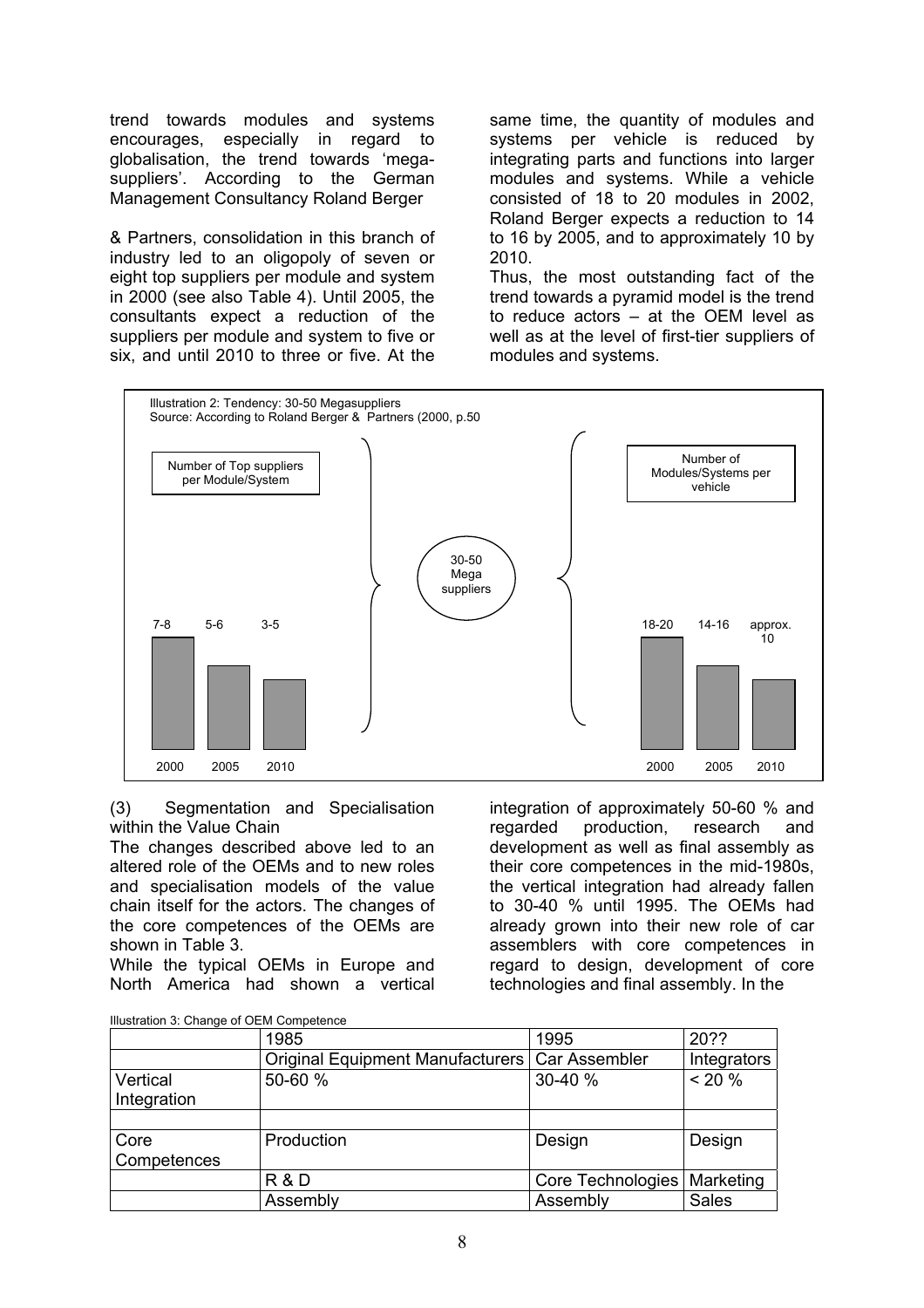trend towards modules and systems encourages, especially in regard to globalisation, the trend towards 'megasuppliers'. According to the German Management Consultancy Roland Berger

& Partners, consolidation in this branch of industry led to an oligopoly of seven or eight top suppliers per module and system in 2000 (see also Table 4). Until 2005, the consultants expect a reduction of the suppliers per module and system to five or six, and until 2010 to three or five. At the

same time, the quantity of modules and systems per vehicle is reduced by integrating parts and functions into larger modules and systems. While a vehicle consisted of 18 to 20 modules in 2002, Roland Berger expects a reduction to 14 to 16 by 2005, and to approximately 10 by 2010.

Thus, the most outstanding fact of the trend towards a pyramid model is the trend to reduce actors – at the OEM level as well as at the level of first-tier suppliers of modules and systems.



(3) Segmentation and Specialisation within the Value Chain

The changes described above led to an altered role of the OEMs and to new roles and specialisation models of the value chain itself for the actors. The changes of the core competences of the OEMs are shown in Table 3.

While the typical OEMs in Europe and North America had shown a vertical

integration of approximately 50-60 % and regarded production, research and development as well as final assembly as their core competences in the mid-1980s, the vertical integration had already fallen to 30-40 % until 1995. The OEMs had already grown into their new role of car assemblers with core competences in regard to design, development of core technologies and final assembly. In the

|             | 1985                                             | 1995              | 20??         |
|-------------|--------------------------------------------------|-------------------|--------------|
|             | Original Equipment Manufacturers   Car Assembler |                   | Integrators  |
| Vertical    | 50-60 %                                          | 30-40 %           | $< 20 \%$    |
| Integration |                                                  |                   |              |
|             |                                                  |                   |              |
| Core        | Production                                       | Design            | Design       |
| Competences |                                                  |                   |              |
|             | <b>R &amp; D</b>                                 | Core Technologies | Marketing    |
|             | Assembly                                         | Assembly          | <b>Sales</b> |

Illustration 3: Change of OEM Competence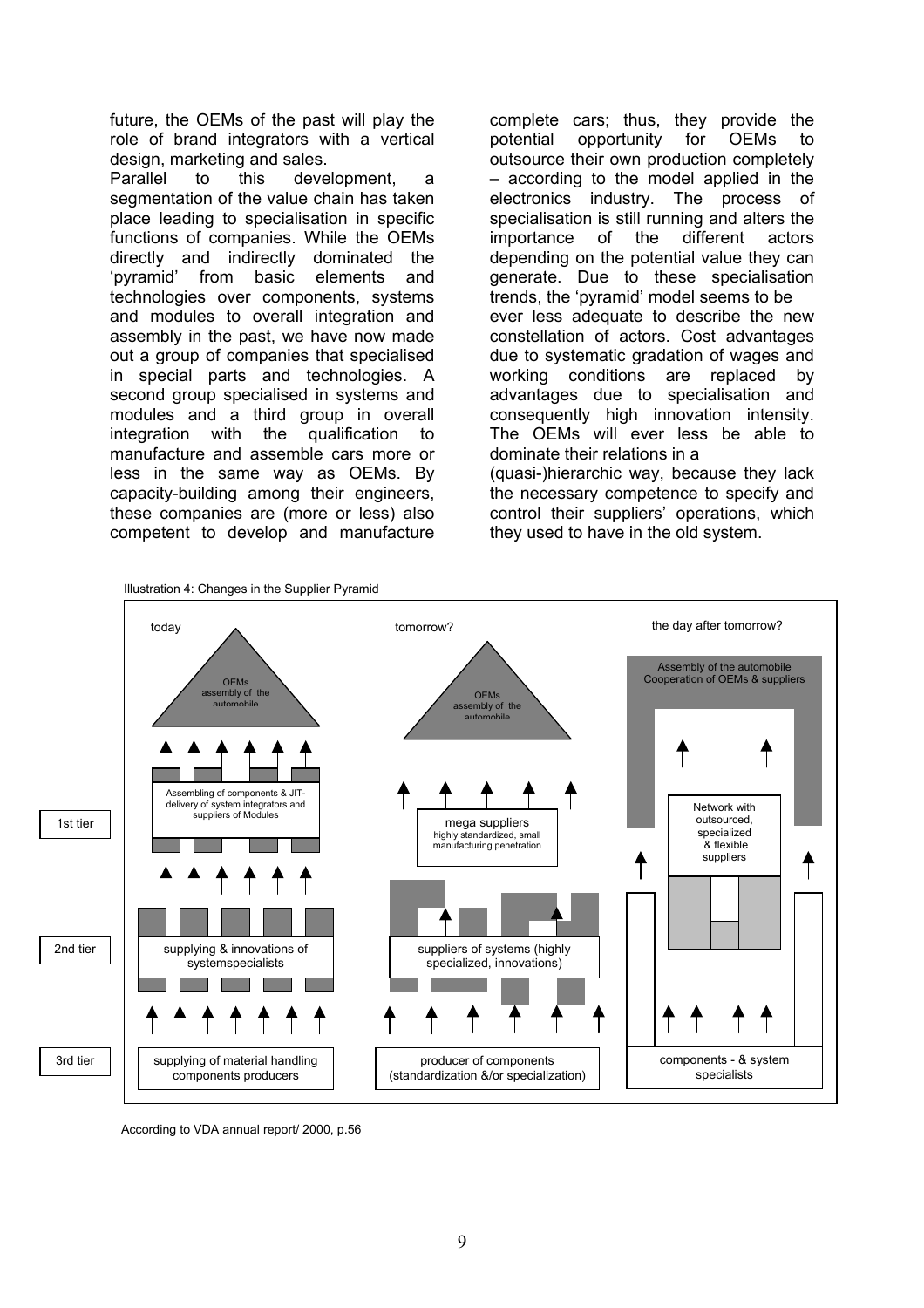future, the OEMs of the past will play the role of brand integrators with a vertical design, marketing and sales.

Parallel to this development, a segmentation of the value chain has taken place leading to specialisation in specific functions of companies. While the OEMs directly and indirectly dominated the 'pyramid' from basic elements and technologies over components, systems and modules to overall integration and assembly in the past, we have now made out a group of companies that specialised in special parts and technologies. A second group specialised in systems and modules and a third group in overall integration with the qualification to manufacture and assemble cars more or less in the same way as OEMs. By capacity-building among their engineers, these companies are (more or less) also competent to develop and manufacture

complete cars; thus, they provide the potential opportunity for OEMs to outsource their own production completely – according to the model applied in the electronics industry. The process of specialisation is still running and alters the importance of the different actors depending on the potential value they can generate. Due to these specialisation trends, the 'pyramid' model seems to be ever less adequate to describe the new constellation of actors. Cost advantages due to systematic gradation of wages and working conditions are replaced by advantages due to specialisation and consequently high innovation intensity. The OEMs will ever less be able to dominate their relations in a (quasi-)hierarchic way, because they lack the necessary competence to specify and control their suppliers' operations, which they used to have in the old system.



According to VDA annual report/ 2000, p.56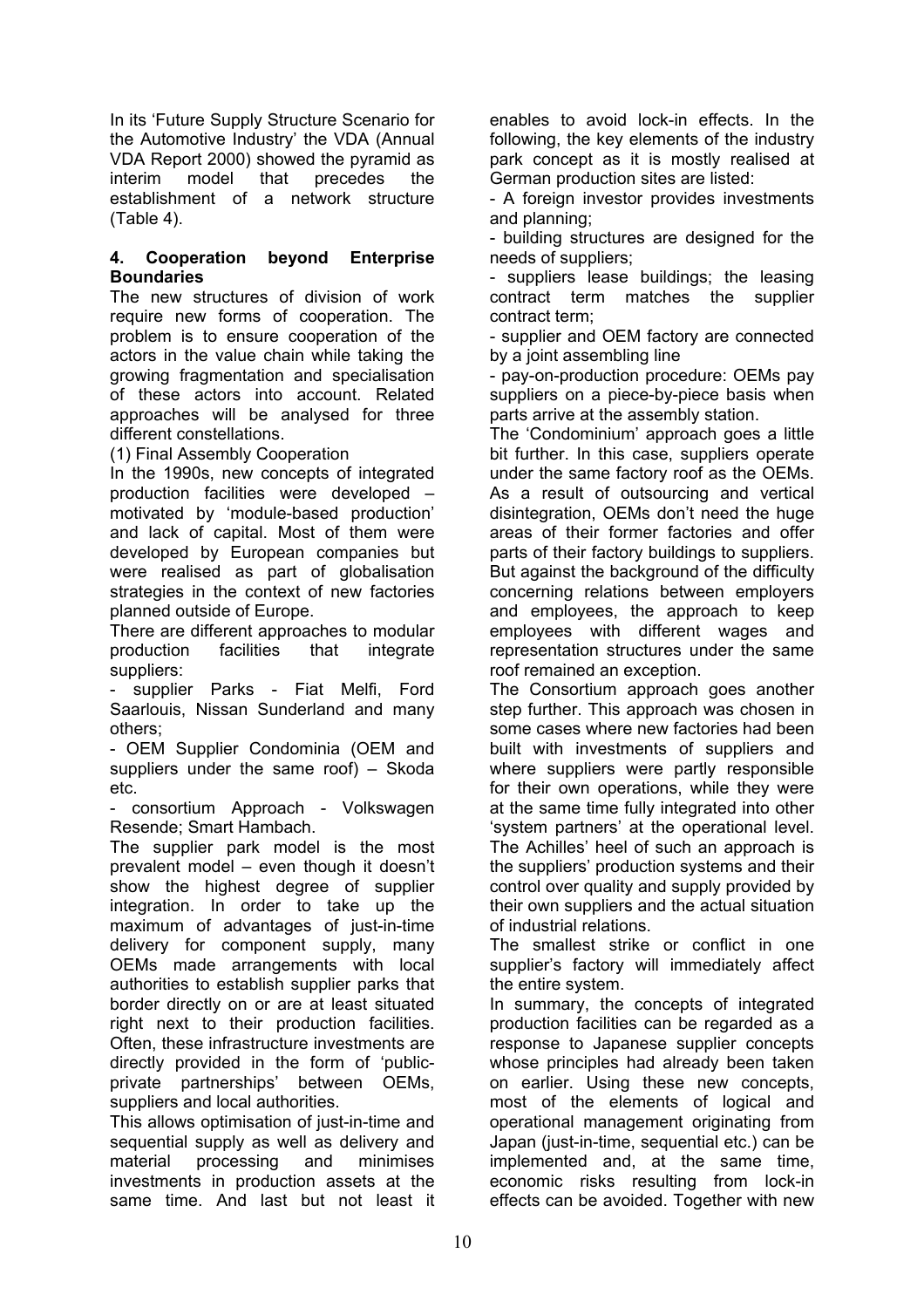In its 'Future Supply Structure Scenario for the Automotive Industry' the VDA (Annual VDA Report 2000) showed the pyramid as interim model that precedes the establishment of a network structure (Table 4).

## **4. Cooperation beyond Enterprise Boundaries**

The new structures of division of work require new forms of cooperation. The problem is to ensure cooperation of the actors in the value chain while taking the growing fragmentation and specialisation of these actors into account. Related approaches will be analysed for three different constellations.

(1) Final Assembly Cooperation

In the 1990s, new concepts of integrated production facilities were developed – motivated by 'module-based production' and lack of capital. Most of them were developed by European companies but were realised as part of globalisation strategies in the context of new factories planned outside of Europe.

There are different approaches to modular production facilities that integrate suppliers:

supplier Parks - Fiat Melfi, Ford Saarlouis, Nissan Sunderland and many others;

- OEM Supplier Condominia (OEM and suppliers under the same roof) – Skoda etc.

consortium Approach - Volkswagen Resende; Smart Hambach.

The supplier park model is the most prevalent model – even though it doesn't show the highest degree of supplier integration. In order to take up the maximum of advantages of just-in-time delivery for component supply, many OEMs made arrangements with local authorities to establish supplier parks that border directly on or are at least situated right next to their production facilities. Often, these infrastructure investments are directly provided in the form of 'publicprivate partnerships' between OEMs, suppliers and local authorities.

This allows optimisation of just-in-time and sequential supply as well as delivery and material processing and minimises investments in production assets at the same time. And last but not least it enables to avoid lock-in effects. In the following, the key elements of the industry park concept as it is mostly realised at German production sites are listed:

- A foreign investor provides investments and planning;

- building structures are designed for the needs of suppliers;

- suppliers lease buildings; the leasing contract term matches the supplier contract term;

- supplier and OEM factory are connected by a joint assembling line

- pay-on-production procedure: OEMs pay suppliers on a piece-by-piece basis when parts arrive at the assembly station.

The 'Condominium' approach goes a little bit further. In this case, suppliers operate under the same factory roof as the OEMs. As a result of outsourcing and vertical disintegration, OEMs don't need the huge areas of their former factories and offer parts of their factory buildings to suppliers. But against the background of the difficulty concerning relations between employers and employees, the approach to keep employees with different wages and representation structures under the same roof remained an exception.

The Consortium approach goes another step further. This approach was chosen in some cases where new factories had been built with investments of suppliers and where suppliers were partly responsible for their own operations, while they were at the same time fully integrated into other 'system partners' at the operational level. The Achilles' heel of such an approach is the suppliers' production systems and their control over quality and supply provided by their own suppliers and the actual situation of industrial relations.

The smallest strike or conflict in one supplier's factory will immediately affect the entire system.

In summary, the concepts of integrated production facilities can be regarded as a response to Japanese supplier concepts whose principles had already been taken on earlier. Using these new concepts, most of the elements of logical and operational management originating from Japan (just-in-time, sequential etc.) can be implemented and, at the same time, economic risks resulting from lock-in effects can be avoided. Together with new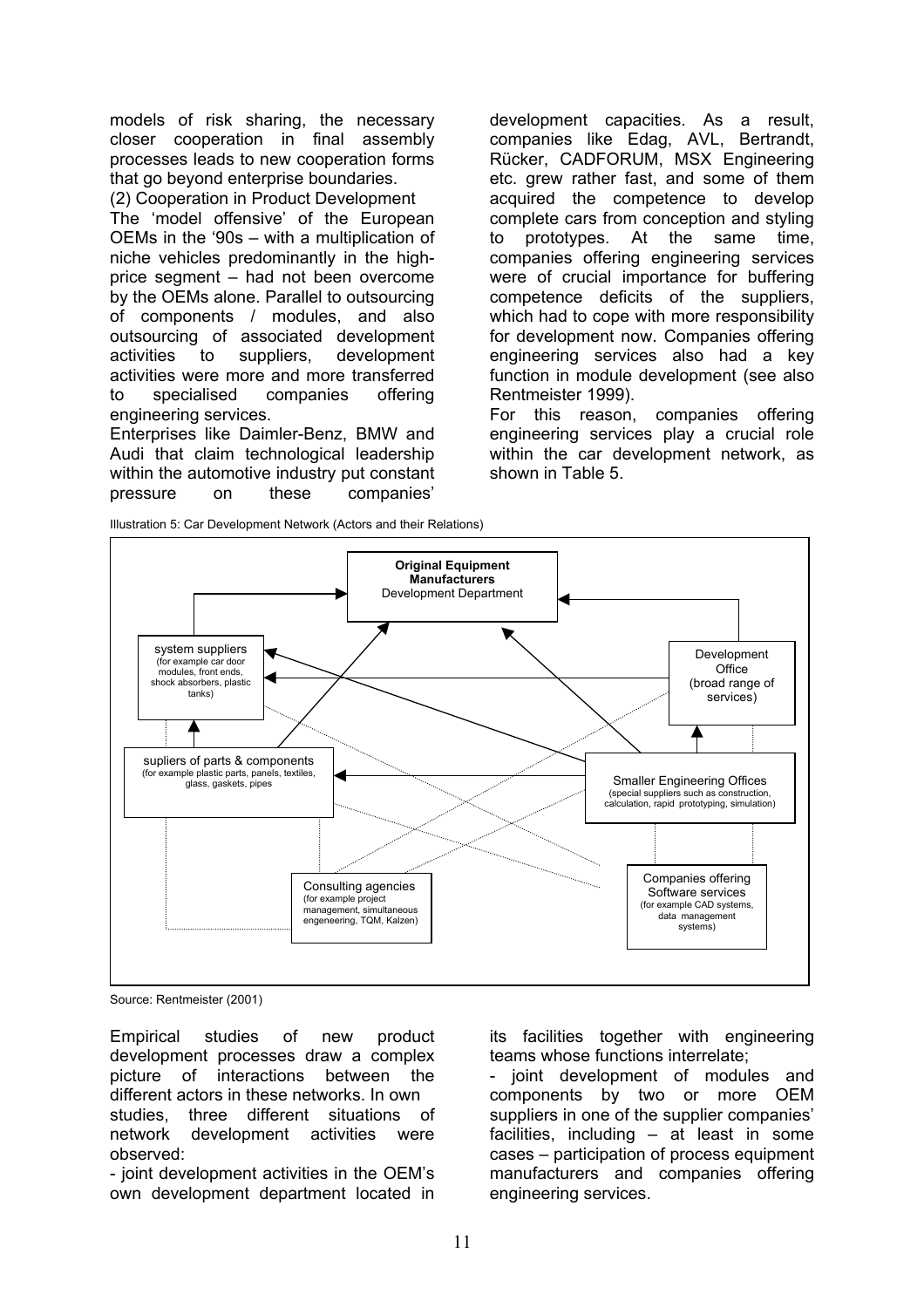models of risk sharing, the necessary closer cooperation in final assembly processes leads to new cooperation forms that go beyond enterprise boundaries.

(2) Cooperation in Product Development The 'model offensive' of the European OEMs in the '90s – with a multiplication of niche vehicles predominantly in the highprice segment – had not been overcome by the OEMs alone. Parallel to outsourcing of components / modules, and also outsourcing of associated development activities to suppliers, development activities were more and more transferred to specialised companies offering engineering services.

Enterprises like Daimler-Benz, BMW and Audi that claim technological leadership within the automotive industry put constant pressure on these companies'

development capacities. As a result, companies like Edag, AVL, Bertrandt, Rücker, CADFORUM, MSX Engineering etc. grew rather fast, and some of them acquired the competence to develop complete cars from conception and styling to prototypes. At the same time, companies offering engineering services were of crucial importance for buffering competence deficits of the suppliers, which had to cope with more responsibility for development now. Companies offering engineering services also had a key function in module development (see also Rentmeister 1999).

For this reason, companies offering engineering services play a crucial role within the car development network, as shown in Table 5.



Source: Rentmeister (2001)

Empirical studies of new product development processes draw a complex picture of interactions between the different actors in these networks. In own studies, three different situations of network development activities were observed:

- joint development activities in the OEM's own development department located in its facilities together with engineering teams whose functions interrelate;

- joint development of modules and components by two or more OEM suppliers in one of the supplier companies' facilities, including – at least in some cases – participation of process equipment manufacturers and companies offering engineering services.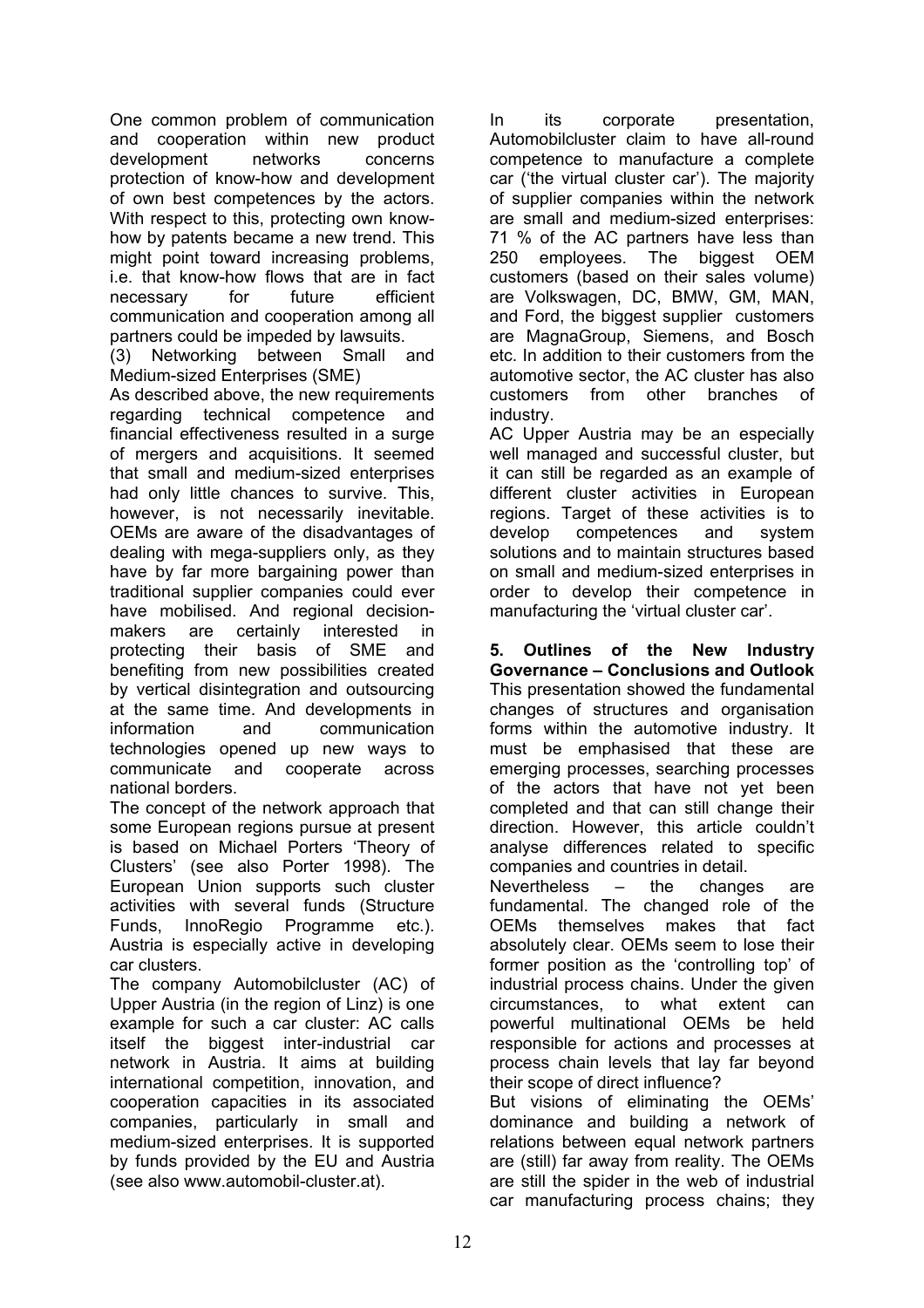One common problem of communication and cooperation within new product development networks concerns protection of know-how and development of own best competences by the actors. With respect to this, protecting own knowhow by patents became a new trend. This might point toward increasing problems, i.e. that know-how flows that are in fact necessary for future efficient communication and cooperation among all partners could be impeded by lawsuits.

(3) Networking between Small and Medium-sized Enterprises (SME)

As described above, the new requirements regarding technical competence and financial effectiveness resulted in a surge of mergers and acquisitions. It seemed that small and medium-sized enterprises had only little chances to survive. This, however, is not necessarily inevitable. OEMs are aware of the disadvantages of dealing with mega-suppliers only, as they have by far more bargaining power than traditional supplier companies could ever have mobilised. And regional decisionmakers are certainly interested in protecting their basis of SME and benefiting from new possibilities created by vertical disintegration and outsourcing at the same time. And developments in information and communication technologies opened up new ways to communicate and cooperate across national borders.

The concept of the network approach that some European regions pursue at present is based on Michael Porters 'Theory of Clusters' (see also Porter 1998). The European Union supports such cluster activities with several funds (Structure Funds, InnoRegio Programme etc.). Austria is especially active in developing car clusters.

The company Automobilcluster (AC) of Upper Austria (in the region of Linz) is one example for such a car cluster: AC calls itself the biggest inter-industrial car network in Austria. It aims at building international competition, innovation, and cooperation capacities in its associated companies, particularly in small and medium-sized enterprises. It is supported by funds provided by the EU and Austria (see also www.automobil-cluster.at).

In its corporate presentation, Automobilcluster claim to have all-round competence to manufacture a complete car ('the virtual cluster car'). The majority of supplier companies within the network are small and medium-sized enterprises: 71 % of the AC partners have less than 250 employees. The biggest OEM customers (based on their sales volume) are Volkswagen, DC, BMW, GM, MAN, and Ford, the biggest supplier customers are MagnaGroup, Siemens, and Bosch etc. In addition to their customers from the automotive sector, the AC cluster has also customers from other branches of industry.

AC Upper Austria may be an especially well managed and successful cluster, but it can still be regarded as an example of different cluster activities in European regions. Target of these activities is to develop competences and system solutions and to maintain structures based on small and medium-sized enterprises in order to develop their competence in manufacturing the 'virtual cluster car'.

**5. Outlines of the New Industry Governance – Conclusions and Outlook** This presentation showed the fundamental changes of structures and organisation forms within the automotive industry. It must be emphasised that these are emerging processes, searching processes of the actors that have not yet been completed and that can still change their direction. However, this article couldn't analyse differences related to specific companies and countries in detail. Nevertheless – the changes are fundamental. The changed role of the OEMs themselves makes that fact absolutely clear. OEMs seem to lose their former position as the 'controlling top' of industrial process chains. Under the given circumstances, to what extent can powerful multinational OEMs be held responsible for actions and processes at process chain levels that lay far beyond their scope of direct influence? But visions of eliminating the OEMs' dominance and building a network of relations between equal network partners are (still) far away from reality. The OEMs

are still the spider in the web of industrial car manufacturing process chains; they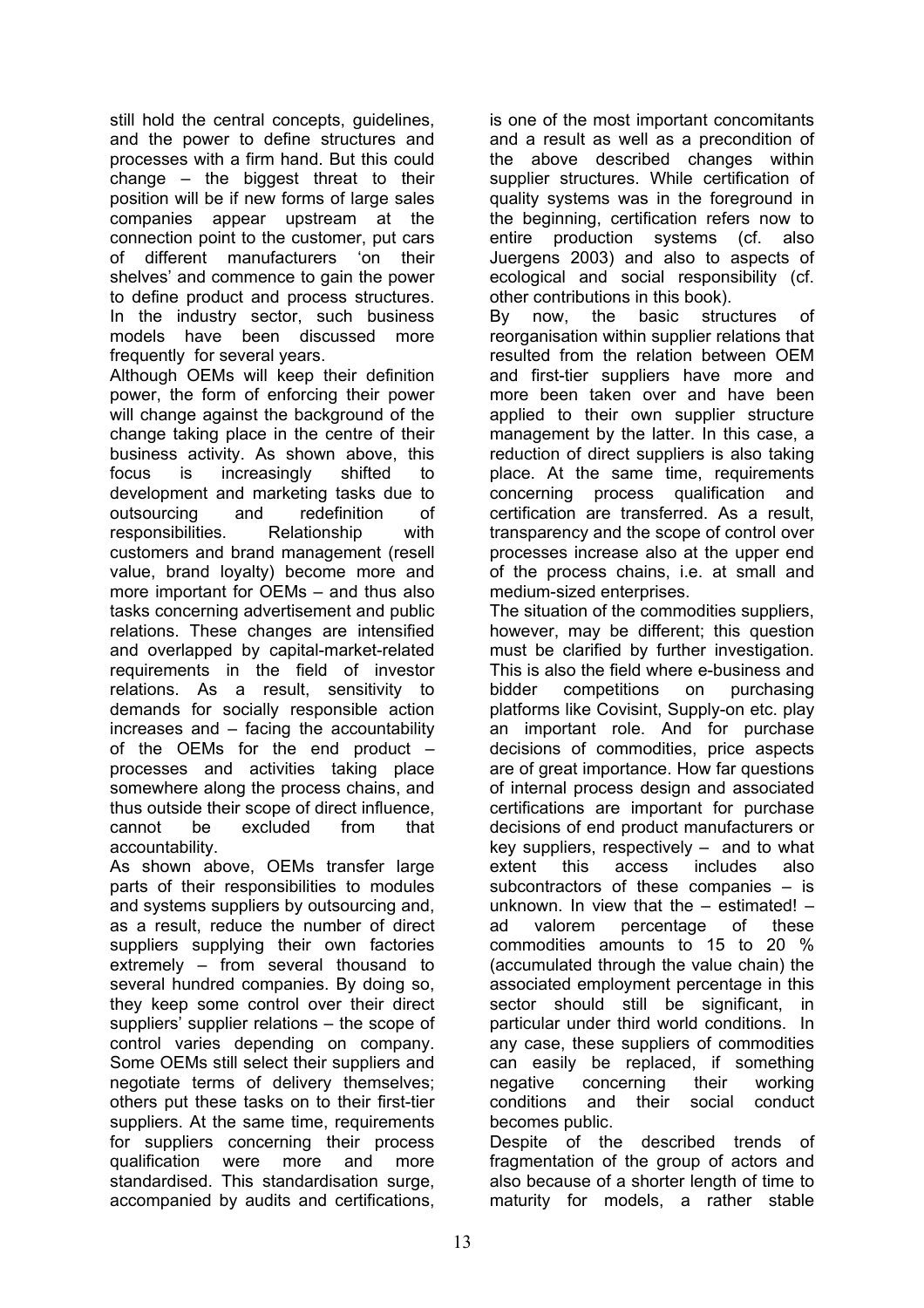still hold the central concepts, guidelines, and the power to define structures and processes with a firm hand. But this could change – the biggest threat to their position will be if new forms of large sales companies appear upstream at the connection point to the customer, put cars of different manufacturers 'on their shelves' and commence to gain the power to define product and process structures. In the industry sector, such business models have been discussed more frequently for several years.

Although OEMs will keep their definition power, the form of enforcing their power will change against the background of the change taking place in the centre of their business activity. As shown above, this focus is increasingly shifted to development and marketing tasks due to outsourcing and redefinition of responsibilities. Relationship with customers and brand management (resell value, brand loyalty) become more and more important for OEMs – and thus also tasks concerning advertisement and public relations. These changes are intensified and overlapped by capital-market-related requirements in the field of investor relations. As a result, sensitivity to demands for socially responsible action increases and – facing the accountability of the OEMs for the end product – processes and activities taking place somewhere along the process chains, and thus outside their scope of direct influence, cannot be excluded from that accountability.

As shown above, OEMs transfer large parts of their responsibilities to modules and systems suppliers by outsourcing and, as a result, reduce the number of direct suppliers supplying their own factories extremely – from several thousand to several hundred companies. By doing so, they keep some control over their direct suppliers' supplier relations – the scope of control varies depending on company. Some OEMs still select their suppliers and negotiate terms of delivery themselves; others put these tasks on to their first-tier suppliers. At the same time, requirements for suppliers concerning their process qualification were more and more standardised. This standardisation surge, accompanied by audits and certifications,

is one of the most important concomitants and a result as well as a precondition of the above described changes within supplier structures. While certification of quality systems was in the foreground in the beginning, certification refers now to entire production systems (cf. also Juergens 2003) and also to aspects of ecological and social responsibility (cf. other contributions in this book).

By now, the basic structures of reorganisation within supplier relations that resulted from the relation between OEM and first-tier suppliers have more and more been taken over and have been applied to their own supplier structure management by the latter. In this case, a reduction of direct suppliers is also taking place. At the same time, requirements concerning process qualification and certification are transferred. As a result, transparency and the scope of control over processes increase also at the upper end of the process chains, i.e. at small and medium-sized enterprises.

The situation of the commodities suppliers, however, may be different; this question must be clarified by further investigation. This is also the field where e-business and bidder competitions on purchasing platforms like Covisint, Supply-on etc. play an important role. And for purchase decisions of commodities, price aspects are of great importance. How far questions of internal process design and associated certifications are important for purchase decisions of end product manufacturers or key suppliers, respectively – and to what extent this access includes also subcontractors of these companies – is unknown. In view that the  $-$  estimated!  $$ ad valorem percentage of these commodities amounts to 15 to 20 % (accumulated through the value chain) the associated employment percentage in this sector should still be significant, in particular under third world conditions. In any case, these suppliers of commodities can easily be replaced, if something negative concerning their working conditions and their social conduct becomes public.

Despite of the described trends of fragmentation of the group of actors and also because of a shorter length of time to maturity for models, a rather stable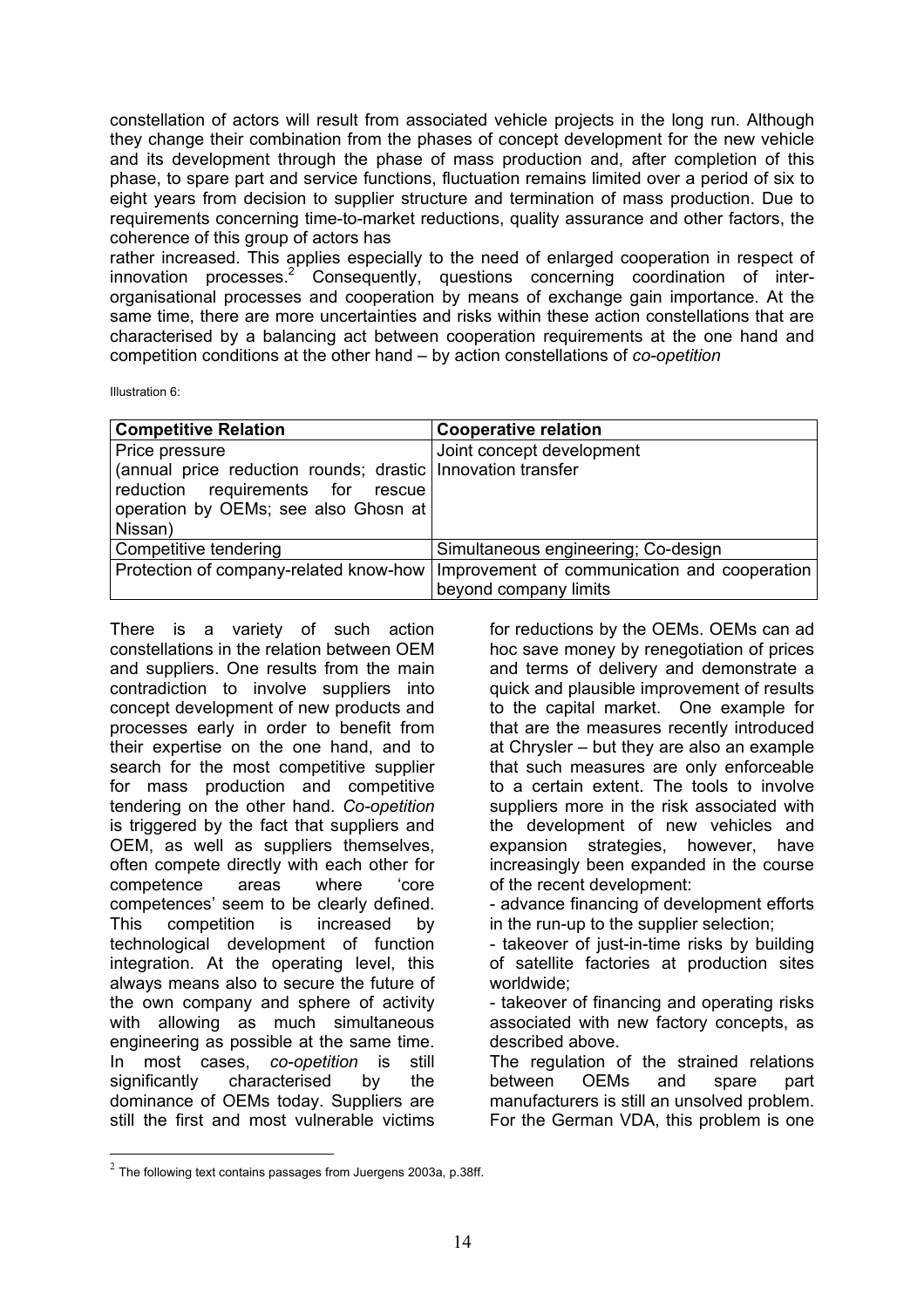constellation of actors will result from associated vehicle projects in the long run. Although they change their combination from the phases of concept development for the new vehicle and its development through the phase of mass production and, after completion of this phase, to spare part and service functions, fluctuation remains limited over a period of six to eight years from decision to supplier structure and termination of mass production. Due to requirements concerning time-to-market reductions, quality assurance and other factors, the coherence of this group of actors has

rather increased. This applies especially to the need of enlarged cooperation in respect of innovation processes.<sup>2</sup> Consequently, questions concerning coordination of interorganisational processes and cooperation by means of exchange gain importance. At the same time, there are more uncertainties and risks within these action constellations that are characterised by a balancing act between cooperation requirements at the one hand and competition conditions at the other hand – by action constellations of *co-opetition*

Illustration 6:

<u>.</u>

| <b>Competitive Relation</b>                                 | <b>Cooperative relation</b>                  |
|-------------------------------------------------------------|----------------------------------------------|
| Price pressure                                              | Joint concept development                    |
| (annual price reduction rounds; drastic Innovation transfer |                                              |
| reduction requirements for rescue                           |                                              |
| operation by OEMs; see also Ghosn at                        |                                              |
| Nissan)                                                     |                                              |
| Competitive tendering                                       | Simultaneous engineering; Co-design          |
| Protection of company-related know-how                      | Improvement of communication and cooperation |
|                                                             | beyond company limits                        |

There is a variety of such action constellations in the relation between OEM and suppliers. One results from the main contradiction to involve suppliers into concept development of new products and processes early in order to benefit from their expertise on the one hand, and to search for the most competitive supplier for mass production and competitive tendering on the other hand. *Co-opetition* is triggered by the fact that suppliers and OEM, as well as suppliers themselves, often compete directly with each other for competence areas where 'core competences' seem to be clearly defined. This competition is increased by technological development of function integration. At the operating level, this always means also to secure the future of the own company and sphere of activity with allowing as much simultaneous engineering as possible at the same time. In most cases, *co-opetition* is still significantly characterised by the dominance of OEMs today. Suppliers are still the first and most vulnerable victims

for reductions by the OEMs. OEMs can ad hoc save money by renegotiation of prices and terms of delivery and demonstrate a quick and plausible improvement of results to the capital market. One example for that are the measures recently introduced at Chrysler – but they are also an example that such measures are only enforceable to a certain extent. The tools to involve suppliers more in the risk associated with the development of new vehicles and expansion strategies, however, have increasingly been expanded in the course of the recent development: - advance financing of development efforts

in the run-up to the supplier selection;

- takeover of just-in-time risks by building of satellite factories at production sites worldwide;

- takeover of financing and operating risks associated with new factory concepts, as described above.

The regulation of the strained relations between OEMs and spare part manufacturers is still an unsolved problem. For the German VDA, this problem is one

 $2$  The following text contains passages from Juergens 2003a, p.38ff.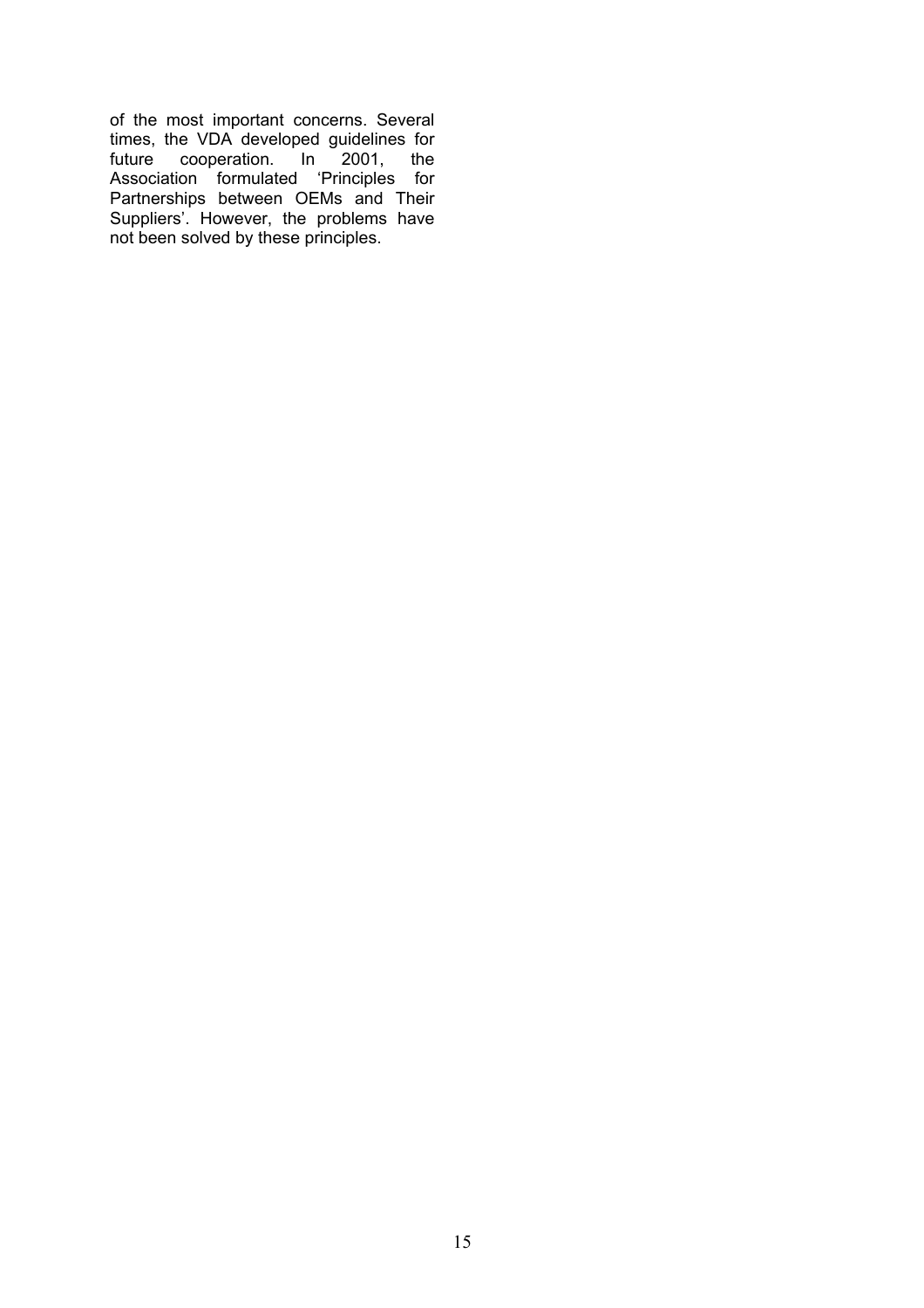of the most important concerns. Several times, the VDA developed guidelines for future cooperation. In 2001, the Association formulated 'Principles for Partnerships between OEMs and Their Suppliers'. However, the problems have not been solved by these principles.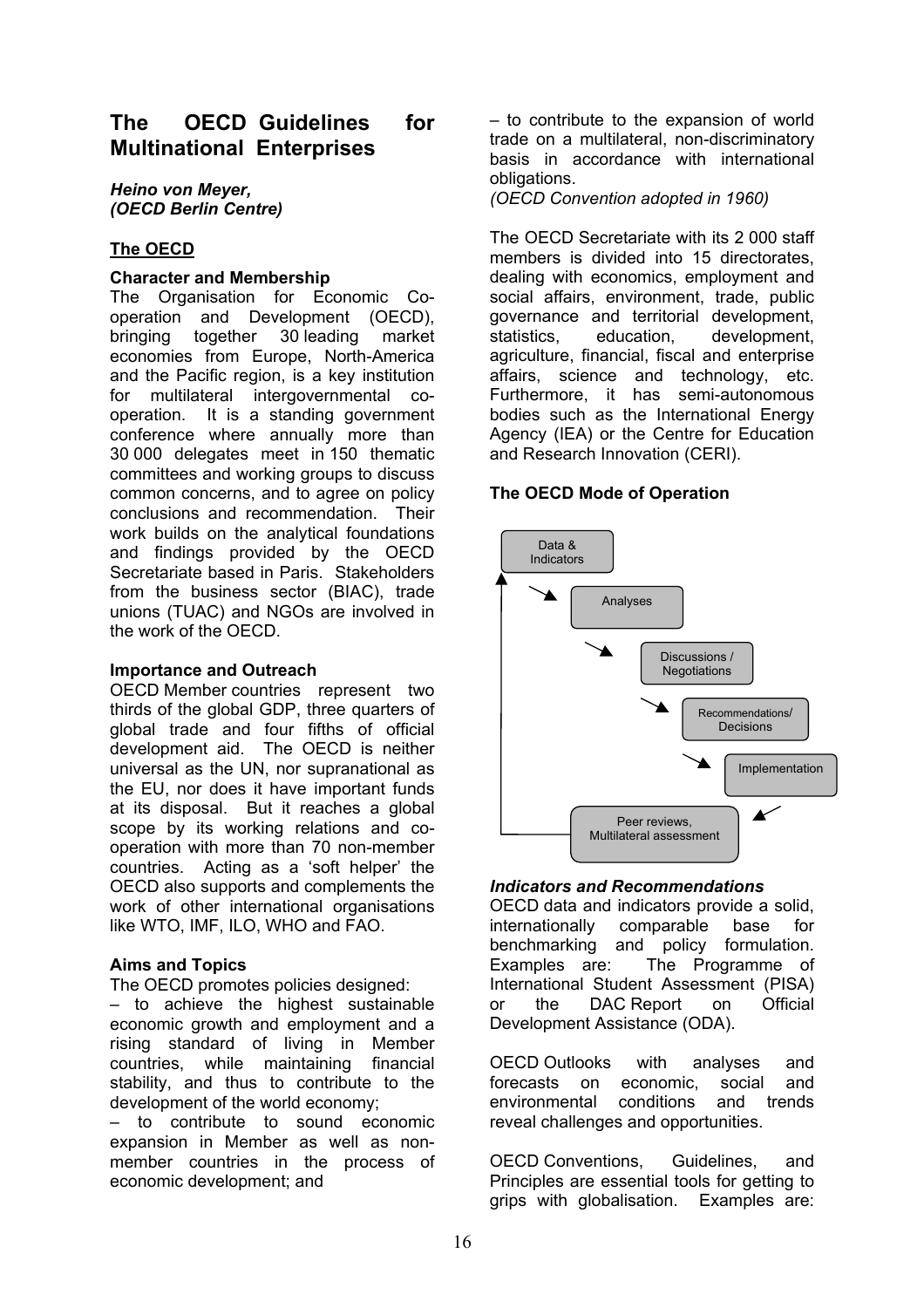# **The OECD Guidelines for Multinational Enterprises**

*Heino von Meyer, (OECD Berlin Centre)*

## **The OECD**

#### **Character and Membership**

The Organisation for Economic Cooperation and Development (OECD), bringing together 30 leading market economies from Europe, North-America and the Pacific region, is a key institution for multilateral intergovernmental cooperation. It is a standing government conference where annually more than 30 000 delegates meet in 150 thematic committees and working groups to discuss common concerns, and to agree on policy conclusions and recommendation. Their work builds on the analytical foundations and findings provided by the OECD Secretariate based in Paris. Stakeholders from the business sector (BIAC), trade unions (TUAC) and NGOs are involved in the work of the OECD.

#### **Importance and Outreach**

OECD Member countries represent two thirds of the global GDP, three quarters of global trade and four fifths of official development aid. The OECD is neither universal as the UN, nor supranational as the EU, nor does it have important funds at its disposal. But it reaches a global scope by its working relations and cooperation with more than 70 non-member countries. Acting as a 'soft helper' the OECD also supports and complements the work of other international organisations like WTO, IMF, ILO, WHO and FAO.

#### **Aims and Topics**

The OECD promotes policies designed:

– to achieve the highest sustainable economic growth and employment and a rising standard of living in Member countries, while maintaining financial stability, and thus to contribute to the development of the world economy;

– to contribute to sound economic expansion in Member as well as nonmember countries in the process of economic development; and

– to contribute to the expansion of world trade on a multilateral, non-discriminatory basis in accordance with international obligations.

*(OECD Convention adopted in 1960)*

The OECD Secretariate with its 2 000 staff members is divided into 15 directorates, dealing with economics, employment and social affairs, environment, trade, public governance and territorial development, statistics, education, development, agriculture, financial, fiscal and enterprise affairs, science and technology, etc. Furthermore, it has semi-autonomous bodies such as the International Energy Agency (IEA) or the Centre for Education and Research Innovation (CERI).

#### **The OECD Mode of Operation**



#### *Indicators and Recommendations*

OECD data and indicators provide a solid, internationally comparable base for benchmarking and policy formulation. Examples are: The Programme of International Student Assessment (PISA) or the DAC Report on Official Development Assistance (ODA).

OECD Outlooks with analyses and forecasts on economic, social and environmental conditions and trends reveal challenges and opportunities.

OECD Conventions, Guidelines, and Principles are essential tools for getting to grips with globalisation. Examples are: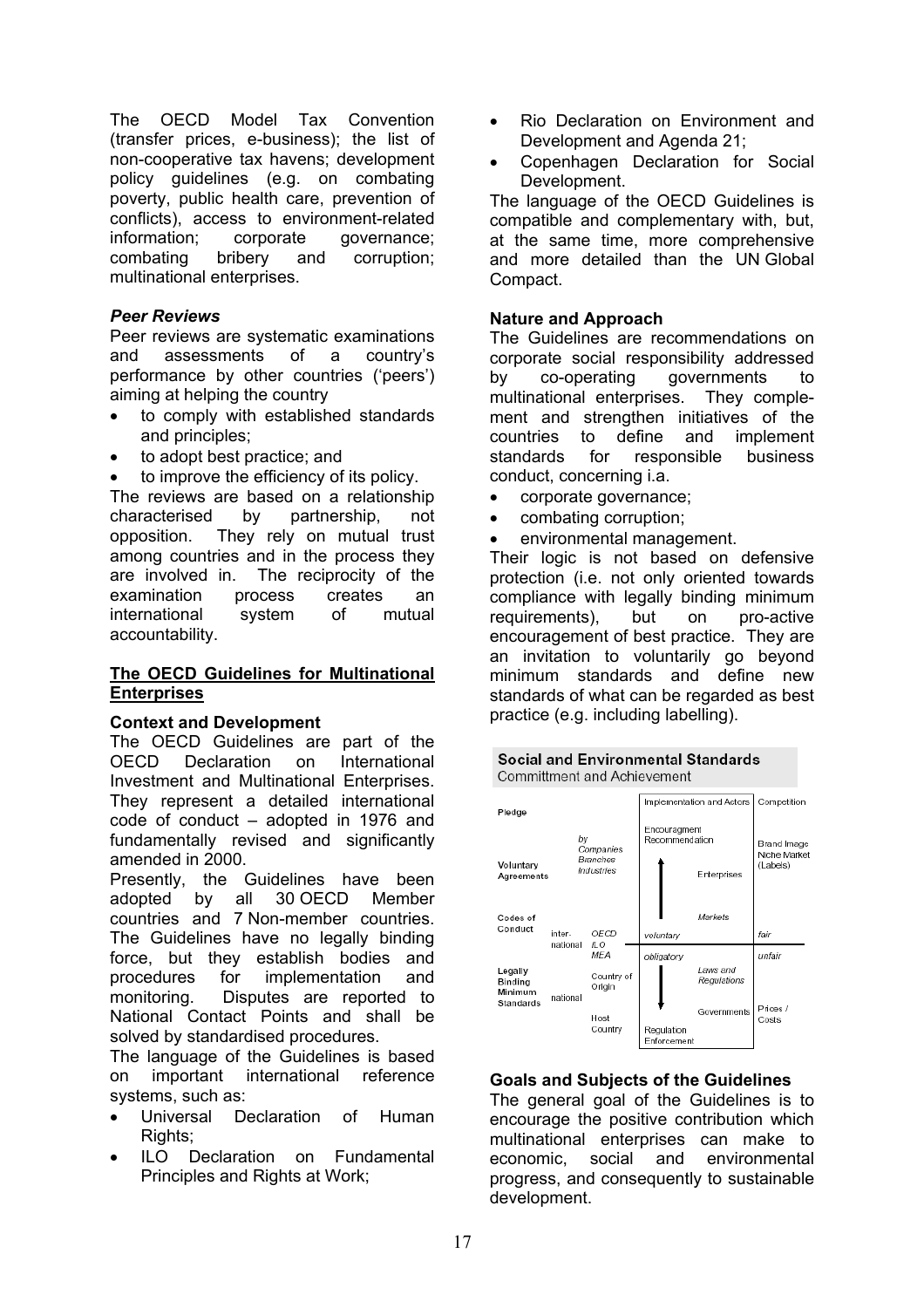The OECD Model Tax Convention (transfer prices, e-business); the list of non-cooperative tax havens; development policy guidelines (e.g. on combating poverty, public health care, prevention of conflicts), access to environment-related information; corporate governance; combating bribery and corruption; multinational enterprises.

#### *Peer Reviews*

Peer reviews are systematic examinations and assessments of a country's performance by other countries ('peers') aiming at helping the country

- to comply with established standards and principles;
- to adopt best practice; and
- to improve the efficiency of its policy.

The reviews are based on a relationship characterised by partnership, not opposition. They rely on mutual trust among countries and in the process they are involved in. The reciprocity of the examination process creates an international system of mutual accountability.

#### **The OECD Guidelines for Multinational Enterprises**

#### **Context and Development**

The OECD Guidelines are part of the OECD Declaration on International Investment and Multinational Enterprises. They represent a detailed international code of conduct – adopted in 1976 and fundamentally revised and significantly amended in 2000.

Presently, the Guidelines have been adopted by all 30 OECD Member countries and 7 Non-member countries. The Guidelines have no legally binding force, but they establish bodies and procedures for implementation and monitoring. Disputes are reported to National Contact Points and shall be solved by standardised procedures.

The language of the Guidelines is based on important international reference systems, such as:

- Universal Declaration of Human Rights:
- ILO Declaration on Fundamental Principles and Rights at Work;
- Rio Declaration on Environment and Development and Agenda 21;
- Copenhagen Declaration for Social Development.

The language of the OECD Guidelines is compatible and complementary with, but, at the same time, more comprehensive and more detailed than the UN Global Compact.

#### **Nature and Approach**

The Guidelines are recommendations on corporate social responsibility addressed by co-operating governments to multinational enterprises. They complement and strengthen initiatives of the countries to define and implement standards for responsible business conduct, concerning i.a.

- corporate governance;
- combating corruption;
- environmental management.

Their logic is not based on defensive protection (i.e. not only oriented towards compliance with legally binding minimum requirements), but on pro-active encouragement of best practice. They are an invitation to voluntarily go beyond minimum standards and define new standards of what can be regarded as best practice (e.g. including labelling).





#### **Goals and Subjects of the Guidelines**

The general goal of the Guidelines is to encourage the positive contribution which multinational enterprises can make to economic, social and environmental progress, and consequently to sustainable development.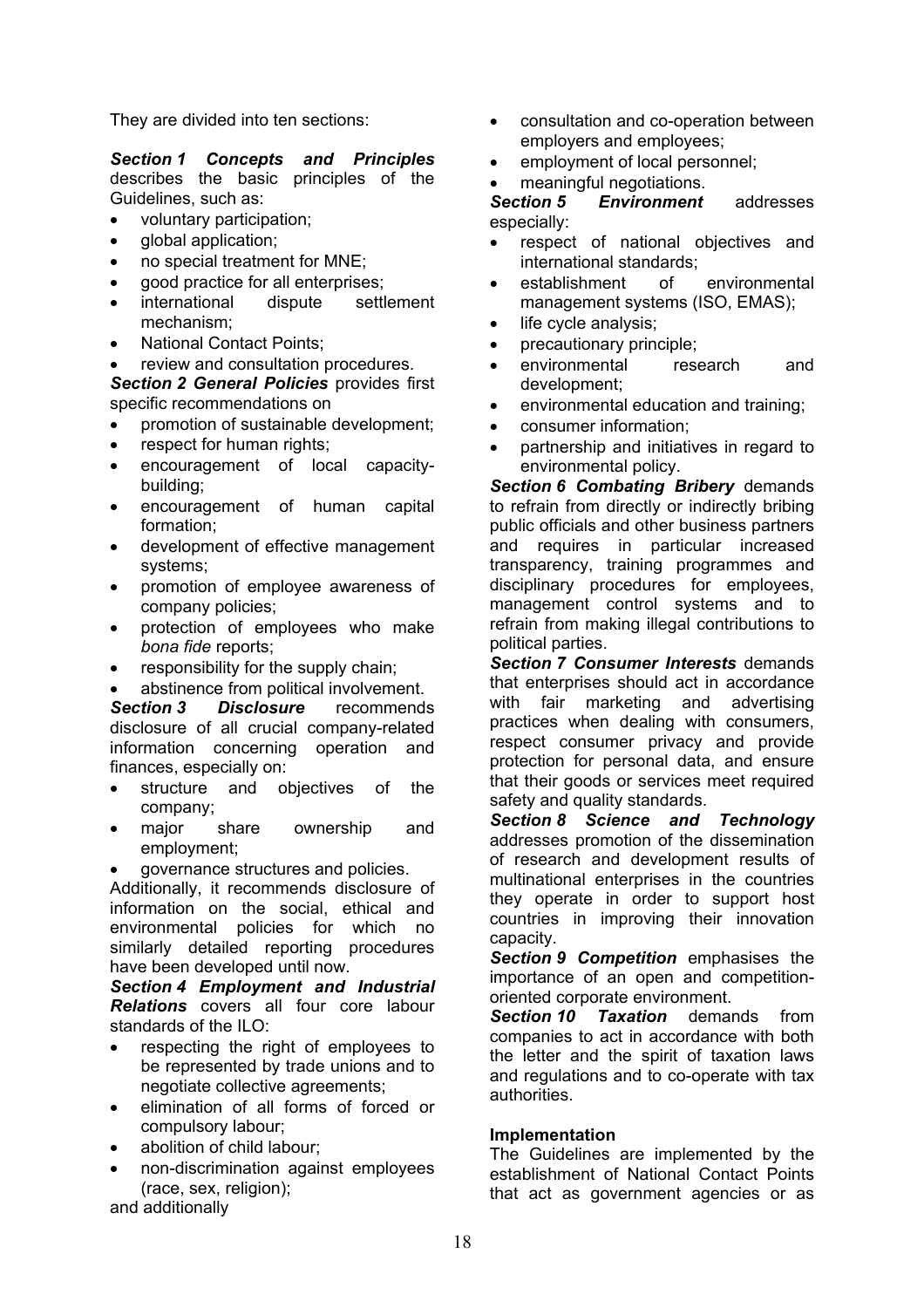They are divided into ten sections:

*Section 1 Concepts and Principles* describes the basic principles of the Guidelines, such as:

- voluntary participation;
- **global application:**
- no special treatment for MNE;
- good practice for all enterprises;
- international dispute settlement mechanism;
- National Contact Points;
- review and consultation procedures.

*Section 2 General Policies* provides first specific recommendations on

- promotion of sustainable development;
- respect for human rights;
- encouragement of local capacitybuilding;
- encouragement of human capital formation;
- development of effective management systems;
- promotion of employee awareness of company policies;
- protection of employees who make *bona fide* reports;
- responsibility for the supply chain;
- abstinence from political involvement.

*Section 3 Disclosure* recommends disclosure of all crucial company-related information concerning operation and finances, especially on:

- structure and objectives of the company;
- major share ownership and employment;
- governance structures and policies.

Additionally, it recommends disclosure of information on the social, ethical and environmental policies for which no similarly detailed reporting procedures have been developed until now.

*Section 4 Employment and Industrial Relations* covers all four core labour standards of the ILO:

- respecting the right of employees to be represented by trade unions and to negotiate collective agreements;
- elimination of all forms of forced or compulsory labour;
- abolition of child labour:
- non-discrimination against employees (race, sex, religion);

and additionally

- consultation and co-operation between employers and employees;
- employment of local personnel;
- meaningful negotiations.

*Section 5 Environment* addresses especially:

- respect of national objectives and international standards;
- establishment of environmental management systems (ISO, EMAS);
- life cycle analysis;
- precautionary principle;
- environmental research and development;
- environmental education and training;
- consumer information;
- partnership and initiatives in regard to environmental policy.

*Section 6 Combating Bribery* demands to refrain from directly or indirectly bribing public officials and other business partners and requires in particular increased transparency, training programmes and disciplinary procedures for employees, management control systems and to refrain from making illegal contributions to political parties.

*Section 7 Consumer Interests* demands that enterprises should act in accordance with fair marketing and advertising practices when dealing with consumers, respect consumer privacy and provide protection for personal data, and ensure that their goods or services meet required safety and quality standards.

*Section 8 Science and Technology* addresses promotion of the dissemination of research and development results of multinational enterprises in the countries they operate in order to support host countries in improving their innovation capacity.

*Section 9 Competition* emphasises the importance of an open and competitionoriented corporate environment.

*Section 10 Taxation* demands from companies to act in accordance with both the letter and the spirit of taxation laws and regulations and to co-operate with tax authorities.

#### **Implementation**

The Guidelines are implemented by the establishment of National Contact Points that act as government agencies or as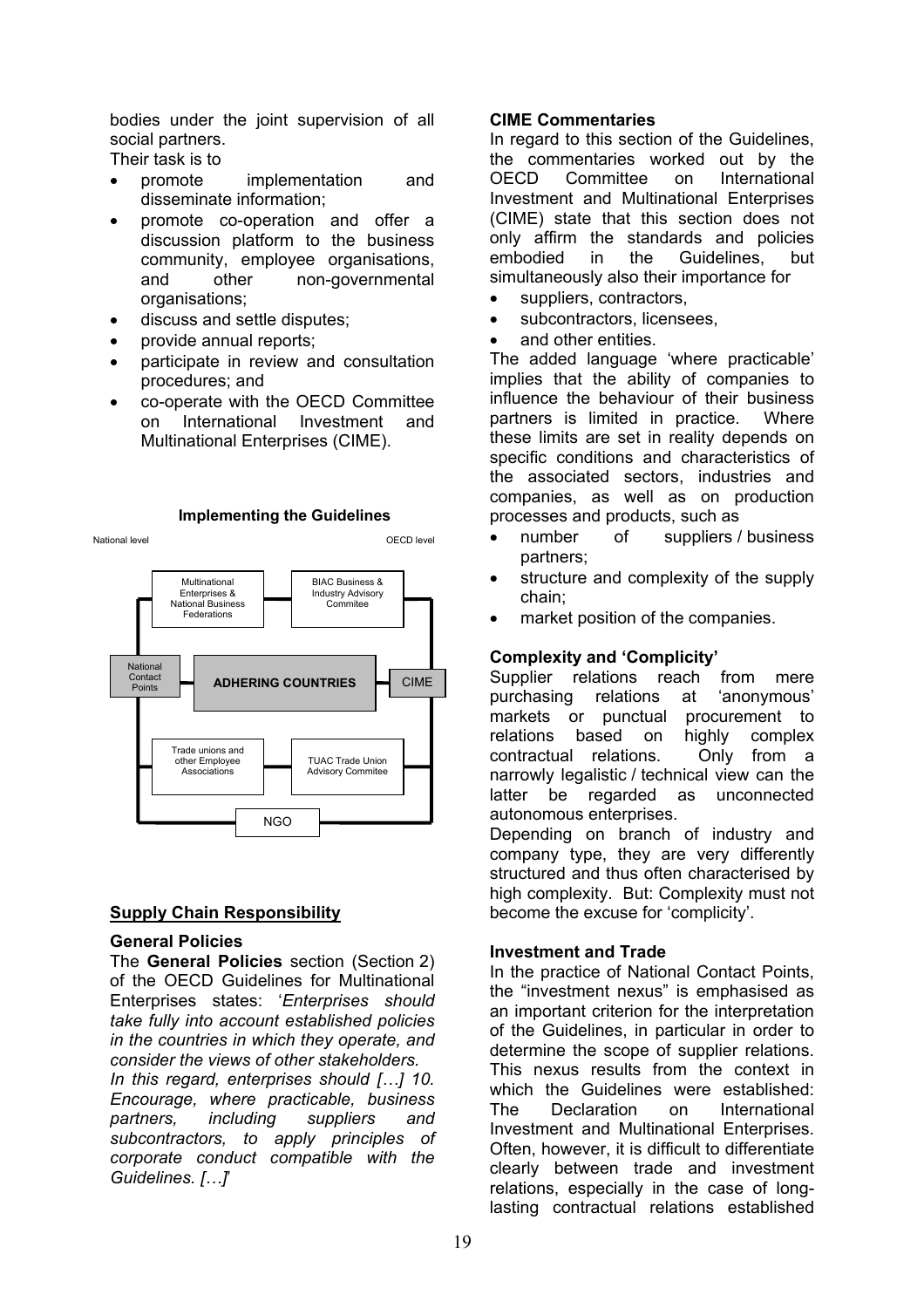bodies under the joint supervision of all social partners.

Their task is to

- promote implementation and disseminate information;
- promote co-operation and offer a discussion platform to the business community, employee organisations, and other non-governmental organisations;
- discuss and settle disputes;
- provide annual reports;
- participate in review and consultation procedures; and
- co-operate with the OECD Committee on International Investment and Multinational Enterprises (CIME).

#### **Implementing the Guidelines**



#### **Supply Chain Responsibility**

#### **General Policies**

The **General Policies** section (Section 2) of the OECD Guidelines for Multinational Enterprises states: '*Enterprises should take fully into account established policies in the countries in which they operate, and consider the views of other stakeholders. In this regard, enterprises should […] 10. Encourage, where practicable, business partners, including suppliers and subcontractors, to apply principles of corporate conduct compatible with the Guidelines. […]*'

#### **CIME Commentaries**

In regard to this section of the Guidelines, the commentaries worked out by the OECD Committee on International Investment and Multinational Enterprises (CIME) state that this section does not only affirm the standards and policies embodied in the Guidelines, but simultaneously also their importance for

- suppliers, contractors,
- subcontractors, licensees
- and other entities.

The added language 'where practicable' implies that the ability of companies to influence the behaviour of their business partners is limited in practice. Where these limits are set in reality depends on specific conditions and characteristics of the associated sectors, industries and companies, as well as on production processes and products, such as

- number of suppliers / business partners;
- structure and complexity of the supply chain;
- market position of the companies.

#### **Complexity and 'Complicity'**

Supplier relations reach from mere purchasing relations at 'anonymous' markets or punctual procurement to relations based on highly complex contractual relations. Only from a narrowly legalistic / technical view can the latter be regarded as unconnected autonomous enterprises.

Depending on branch of industry and company type, they are very differently structured and thus often characterised by high complexity. But: Complexity must not become the excuse for 'complicity'.

#### **Investment and Trade**

In the practice of National Contact Points, the "investment nexus" is emphasised as an important criterion for the interpretation of the Guidelines, in particular in order to determine the scope of supplier relations. This nexus results from the context in which the Guidelines were established: The Declaration on International Investment and Multinational Enterprises. Often, however, it is difficult to differentiate clearly between trade and investment relations, especially in the case of longlasting contractual relations established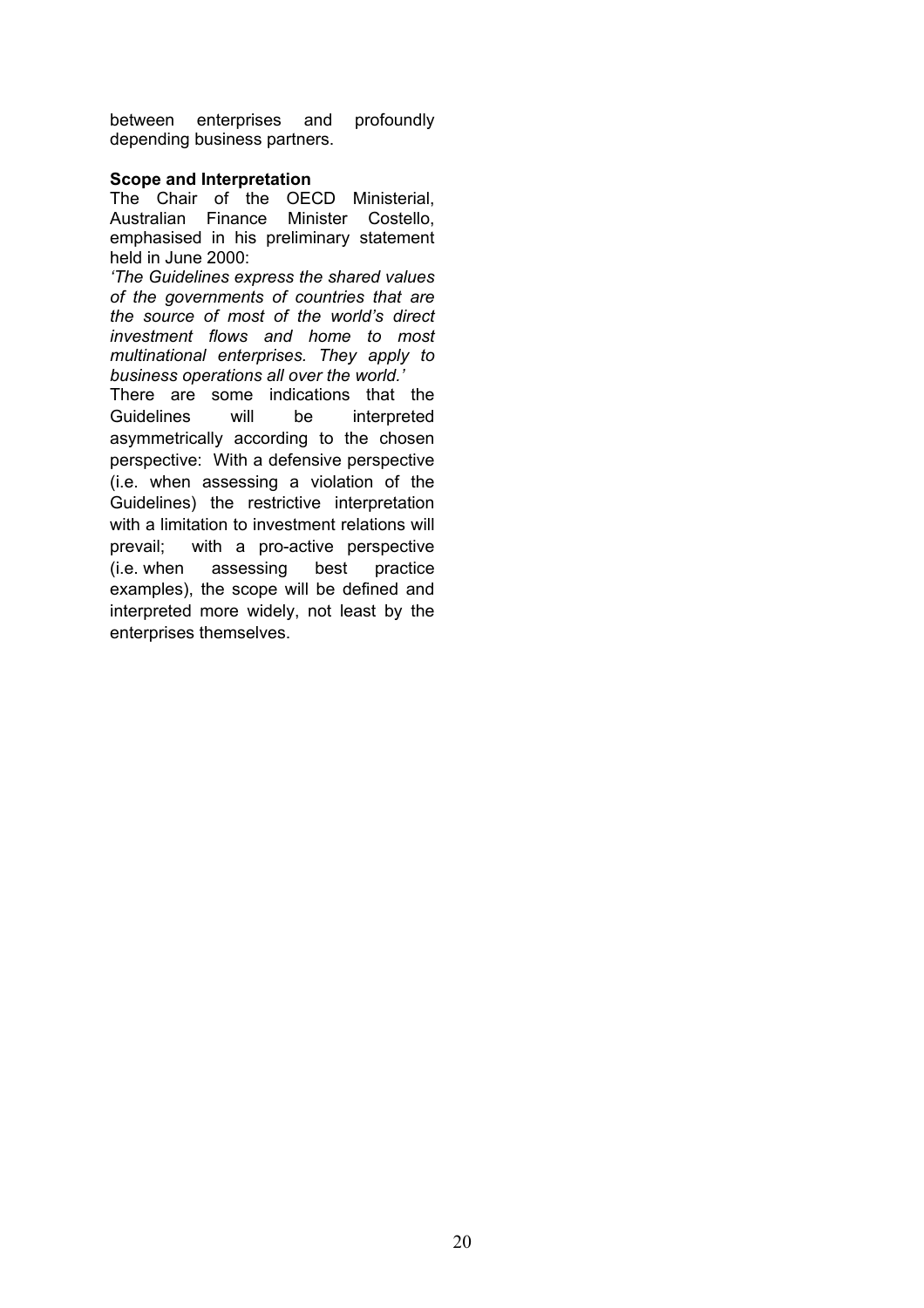between enterprises and profoundly depending business partners.

#### **Scope and Interpretation**

The Chair of the OECD Ministerial, Australian Finance Minister Costello, emphasised in his preliminary statement held in June 2000:

*'The Guidelines express the shared values of the governments of countries that are the source of most of the world's direct investment flows and home to most multinational enterprises. They apply to business operations all over the world.'*

There are some indications that the Guidelines will be interpreted asymmetrically according to the chosen perspective: With a defensive perspective (i.e. when assessing a violation of the Guidelines) the restrictive interpretation with a limitation to investment relations will prevail; with a pro-active perspective (i.e. when assessing best practice examples), the scope will be defined and interpreted more widely, not least by the enterprises themselves.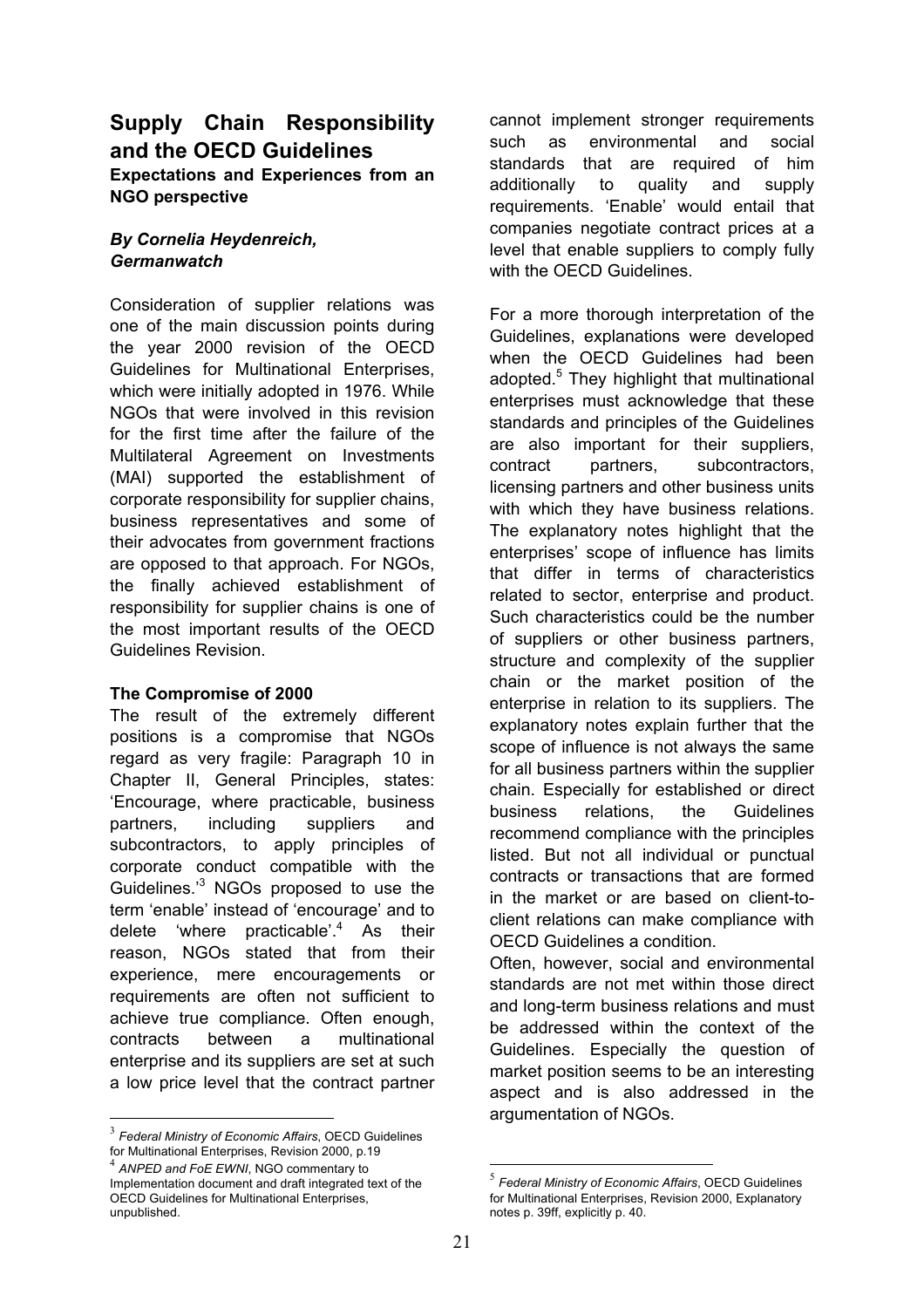## **Supply Chain Responsibility and the OECD Guidelines Expectations and Experiences from an NGO perspective**

## *By Cornelia Heydenreich, Germanwatch*

Consideration of supplier relations was one of the main discussion points during the year 2000 revision of the OECD Guidelines for Multinational Enterprises, which were initially adopted in 1976. While NGOs that were involved in this revision for the first time after the failure of the Multilateral Agreement on Investments (MAI) supported the establishment of corporate responsibility for supplier chains, business representatives and some of their advocates from government fractions are opposed to that approach. For NGOs, the finally achieved establishment of responsibility for supplier chains is one of the most important results of the OECD Guidelines Revision.

## **The Compromise of 2000**

The result of the extremely different positions is a compromise that NGOs regard as very fragile: Paragraph 10 in Chapter II, General Principles, states: 'Encourage, where practicable, business partners, including suppliers and subcontractors, to apply principles of corporate conduct compatible with the Guidelines.<sup>3</sup> NGOs proposed to use the term 'enable' instead of 'encourage' and to delete 'where practicable'.<sup>4</sup> As their reason, NGOs stated that from their experience, mere encouragements or requirements are often not sufficient to achieve true compliance. Often enough, contracts between a multinational enterprise and its suppliers are set at such a low price level that the contract partner

1

cannot implement stronger requirements such as environmental and social standards that are required of him additionally to quality and supply requirements. 'Enable' would entail that companies negotiate contract prices at a level that enable suppliers to comply fully with the OFCD Guidelines

For a more thorough interpretation of the Guidelines, explanations were developed when the OECD Guidelines had been adopted.<sup>5</sup> They highlight that multinational enterprises must acknowledge that these standards and principles of the Guidelines are also important for their suppliers, contract partners, subcontractors, licensing partners and other business units with which they have business relations. The explanatory notes highlight that the enterprises' scope of influence has limits that differ in terms of characteristics related to sector, enterprise and product. Such characteristics could be the number of suppliers or other business partners, structure and complexity of the supplier chain or the market position of the enterprise in relation to its suppliers. The explanatory notes explain further that the scope of influence is not always the same for all business partners within the supplier chain. Especially for established or direct business relations, the Guidelines recommend compliance with the principles listed. But not all individual or punctual contracts or transactions that are formed in the market or are based on client-toclient relations can make compliance with OECD Guidelines a condition.

Often, however, social and environmental standards are not met within those direct and long-term business relations and must be addressed within the context of the Guidelines. Especially the question of market position seems to be an interesting aspect and is also addressed in the argumentation of NGOs.

<sup>3</sup> *Federal Ministry of Economic Affairs*, OECD Guidelines for Multinational Enterprises, Revision 2000, p.19

<sup>4</sup> *ANPED and FoE EWNI*, NGO commentary to Implementation document and draft integrated text of the OECD Guidelines for Multinational Enterprises, unpublished.

 $\overline{a}$ <sup>5</sup> *Federal Ministry of Economic Affairs*, OECD Guidelines for Multinational Enterprises, Revision 2000, Explanatory notes p. 39ff, explicitly p. 40.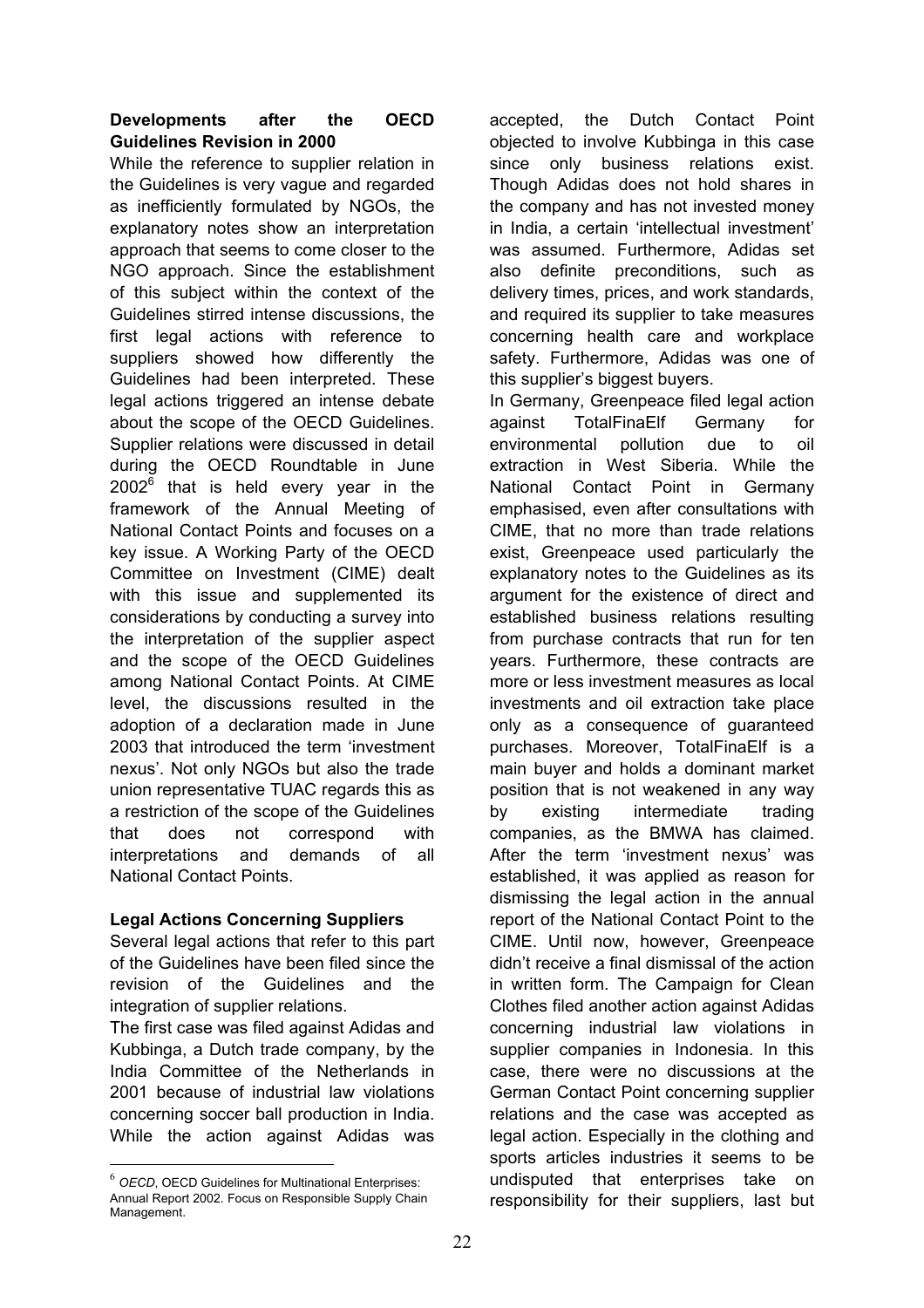## **Developments after the OECD Guidelines Revision in 2000**

While the reference to supplier relation in the Guidelines is very vague and regarded as inefficiently formulated by NGOs, the explanatory notes show an interpretation approach that seems to come closer to the NGO approach. Since the establishment of this subject within the context of the Guidelines stirred intense discussions, the first legal actions with reference to suppliers showed how differently the Guidelines had been interpreted. These legal actions triggered an intense debate about the scope of the OECD Guidelines. Supplier relations were discussed in detail during the OECD Roundtable in June 2002<sup>6</sup> that is held every year in the framework of the Annual Meeting of National Contact Points and focuses on a key issue. A Working Party of the OECD Committee on Investment (CIME) dealt with this issue and supplemented its considerations by conducting a survey into the interpretation of the supplier aspect and the scope of the OECD Guidelines among National Contact Points. At CIME level, the discussions resulted in the adoption of a declaration made in June 2003 that introduced the term 'investment nexus'. Not only NGOs but also the trade union representative TUAC regards this as a restriction of the scope of the Guidelines that does not correspond with interpretations and demands of all National Contact Points.

## **Legal Actions Concerning Suppliers**

Several legal actions that refer to this part of the Guidelines have been filed since the revision of the Guidelines and the integration of supplier relations.

The first case was filed against Adidas and Kubbinga, a Dutch trade company, by the India Committee of the Netherlands in 2001 because of industrial law violations concerning soccer ball production in India. While the action against Adidas was

accepted, the Dutch Contact Point objected to involve Kubbinga in this case since only business relations exist. Though Adidas does not hold shares in the company and has not invested money in India, a certain 'intellectual investment' was assumed. Furthermore, Adidas set also definite preconditions, such as delivery times, prices, and work standards, and required its supplier to take measures concerning health care and workplace safety. Furthermore, Adidas was one of this supplier's biggest buyers.

In Germany, Greenpeace filed legal action against TotalFinaElf Germany for environmental pollution due to oil extraction in West Siberia. While the National Contact Point in Germany emphasised, even after consultations with CIME, that no more than trade relations exist, Greenpeace used particularly the explanatory notes to the Guidelines as its argument for the existence of direct and established business relations resulting from purchase contracts that run for ten years. Furthermore, these contracts are more or less investment measures as local investments and oil extraction take place only as a consequence of guaranteed purchases. Moreover, TotalFinaElf is a main buyer and holds a dominant market position that is not weakened in any way by existing intermediate trading companies, as the BMWA has claimed. After the term 'investment nexus' was established, it was applied as reason for dismissing the legal action in the annual report of the National Contact Point to the CIME. Until now, however, Greenpeace didn't receive a final dismissal of the action in written form. The Campaign for Clean Clothes filed another action against Adidas concerning industrial law violations in supplier companies in Indonesia. In this case, there were no discussions at the German Contact Point concerning supplier relations and the case was accepted as legal action. Especially in the clothing and sports articles industries it seems to be undisputed that enterprises take on responsibility for their suppliers, last but

<sup>1</sup> <sup>6</sup> *OECD*, OECD Guidelines for Multinational Enterprises: Annual Report 2002. Focus on Responsible Supply Chain Management.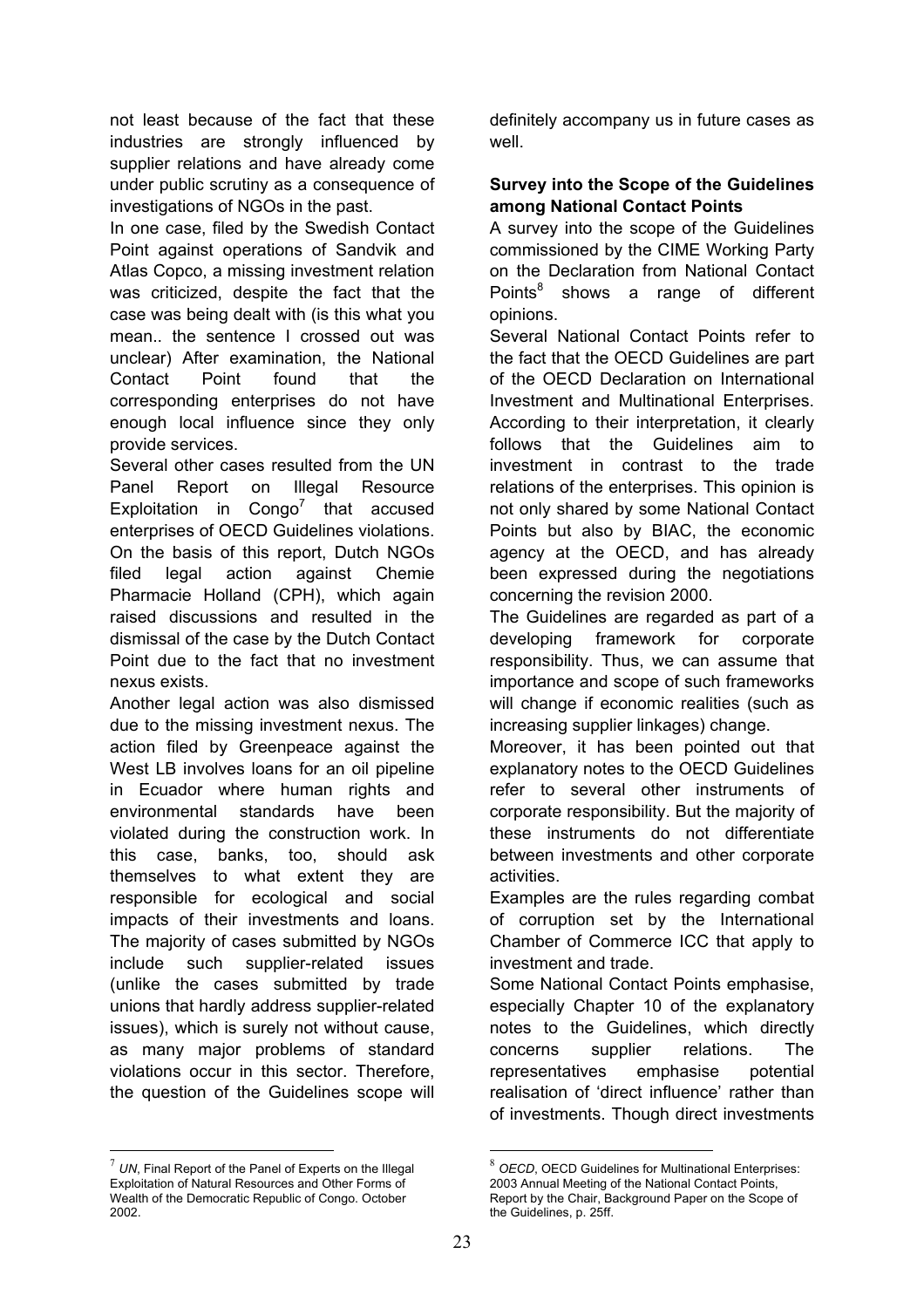not least because of the fact that these industries are strongly influenced by supplier relations and have already come under public scrutiny as a consequence of investigations of NGOs in the past.

In one case, filed by the Swedish Contact Point against operations of Sandvik and Atlas Copco, a missing investment relation was criticized, despite the fact that the case was being dealt with (is this what you mean.. the sentence I crossed out was unclear) After examination, the National Contact Point found that the corresponding enterprises do not have enough local influence since they only provide services.

Several other cases resulted from the UN Panel Report on Illegal Resource Exploitation in Congo<sup>7</sup> that accused enterprises of OECD Guidelines violations. On the basis of this report, Dutch NGOs filed legal action against Chemie Pharmacie Holland (CPH), which again raised discussions and resulted in the dismissal of the case by the Dutch Contact Point due to the fact that no investment nexus exists.

Another legal action was also dismissed due to the missing investment nexus. The action filed by Greenpeace against the West LB involves loans for an oil pipeline in Ecuador where human rights and environmental standards have been violated during the construction work. In this case, banks, too, should ask themselves to what extent they are responsible for ecological and social impacts of their investments and loans. The majority of cases submitted by NGOs include such supplier-related issues (unlike the cases submitted by trade unions that hardly address supplier-related issues), which is surely not without cause, as many major problems of standard violations occur in this sector. Therefore, the question of the Guidelines scope will

 $7$  UN, Final Report of the Panel of Experts on the Illegal Exploitation of Natural Resources and Other Forms of Wealth of the Democratic Republic of Congo. October 2002.

<u>.</u>

definitely accompany us in future cases as well.

## **Survey into the Scope of the Guidelines among National Contact Points**

A survey into the scope of the Guidelines commissioned by the CIME Working Party on the Declaration from National Contact Points<sup>8</sup> shows a range of different opinions.

Several National Contact Points refer to the fact that the OECD Guidelines are part of the OECD Declaration on International Investment and Multinational Enterprises. According to their interpretation, it clearly follows that the Guidelines aim to investment in contrast to the trade relations of the enterprises. This opinion is not only shared by some National Contact Points but also by BIAC, the economic agency at the OECD, and has already been expressed during the negotiations concerning the revision 2000.

The Guidelines are regarded as part of a developing framework for corporate responsibility. Thus, we can assume that importance and scope of such frameworks will change if economic realities (such as increasing supplier linkages) change.

Moreover, it has been pointed out that explanatory notes to the OECD Guidelines refer to several other instruments of corporate responsibility. But the majority of these instruments do not differentiate between investments and other corporate activities.

Examples are the rules regarding combat of corruption set by the International Chamber of Commerce ICC that apply to investment and trade.

Some National Contact Points emphasise, especially Chapter 10 of the explanatory notes to the Guidelines, which directly concerns supplier relations. The representatives emphasise potential realisation of 'direct influence' rather than of investments. Though direct investments

**OECD, OECD Guidelines for Multinational Enterprises:** 2003 Annual Meeting of the National Contact Points, Report by the Chair, Background Paper on the Scope of the Guidelines, p. 25ff.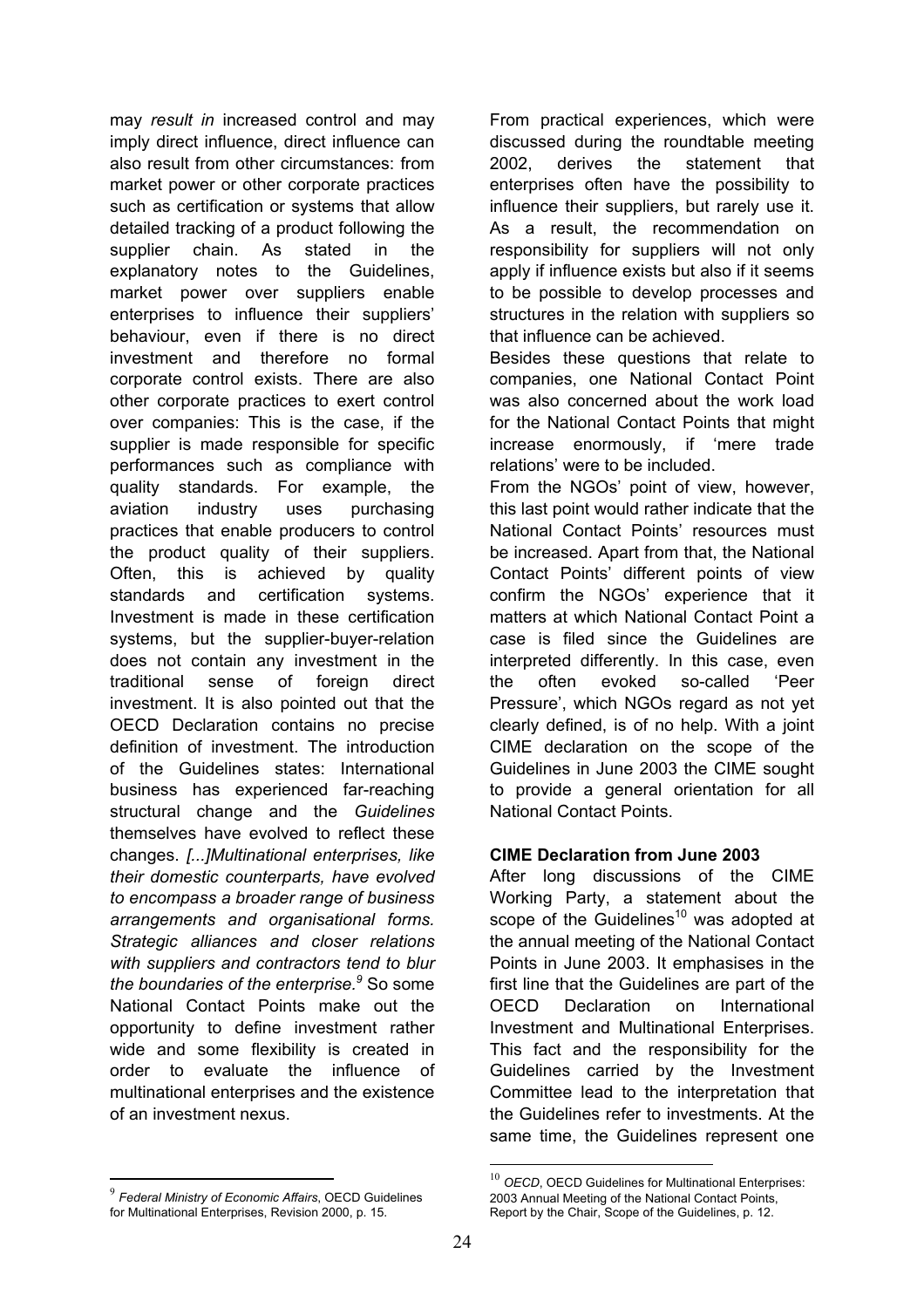may *result in* increased control and may imply direct influence, direct influence can also result from other circumstances: from market power or other corporate practices such as certification or systems that allow detailed tracking of a product following the supplier chain. As stated in the explanatory notes to the Guidelines, market power over suppliers enable enterprises to influence their suppliers' behaviour, even if there is no direct investment and therefore no formal corporate control exists. There are also other corporate practices to exert control over companies: This is the case, if the supplier is made responsible for specific performances such as compliance with quality standards. For example, the aviation industry uses purchasing practices that enable producers to control the product quality of their suppliers. Often, this is achieved by quality standards and certification systems. Investment is made in these certification systems, but the supplier-buyer-relation does not contain any investment in the traditional sense of foreign direct investment. It is also pointed out that the OECD Declaration contains no precise definition of investment. The introduction of the Guidelines states: International business has experienced far-reaching structural change and the *Guidelines* themselves have evolved to reflect these changes. *[...]Multinational enterprises, like their domestic counterparts, have evolved to encompass a broader range of business arrangements and organisational forms. Strategic alliances and closer relations with suppliers and contractors tend to blur the boundaries of the enterprise.*<sup>9</sup> So some National Contact Points make out the opportunity to define investment rather wide and some flexibility is created in order to evaluate the influence of multinational enterprises and the existence of an investment nexus.

From practical experiences, which were discussed during the roundtable meeting 2002, derives the statement that enterprises often have the possibility to influence their suppliers, but rarely use it. As a result, the recommendation on responsibility for suppliers will not only apply if influence exists but also if it seems to be possible to develop processes and structures in the relation with suppliers so that influence can be achieved.

Besides these questions that relate to companies, one National Contact Point was also concerned about the work load for the National Contact Points that might increase enormously, if 'mere trade relations' were to be included.

From the NGOs' point of view, however, this last point would rather indicate that the National Contact Points' resources must be increased. Apart from that, the National Contact Points' different points of view confirm the NGOs' experience that it matters at which National Contact Point a case is filed since the Guidelines are interpreted differently. In this case, even the often evoked so-called 'Peer Pressure', which NGOs regard as not yet clearly defined, is of no help. With a joint CIME declaration on the scope of the Guidelines in June 2003 the CIME sought to provide a general orientation for all National Contact Points.

## **CIME Declaration from June 2003**

After long discussions of the CIME Working Party, a statement about the scope of the Guidelines<sup>10</sup> was adopted at the annual meeting of the National Contact Points in June 2003. It emphasises in the first line that the Guidelines are part of the OECD Declaration on International Investment and Multinational Enterprises. This fact and the responsibility for the Guidelines carried by the Investment Committee lead to the interpretation that the Guidelines refer to investments. At the same time, the Guidelines represent one

<u>.</u>

<sup>9</sup> *Federal Ministry of Economic Affairs*, OECD Guidelines for Multinational Enterprises, Revision 2000, p. 15.

<sup>&</sup>lt;sup>10</sup> OECD, OECD Guidelines for Multinational Enterprises: 2003 Annual Meeting of the National Contact Points, Report by the Chair, Scope of the Guidelines, p. 12.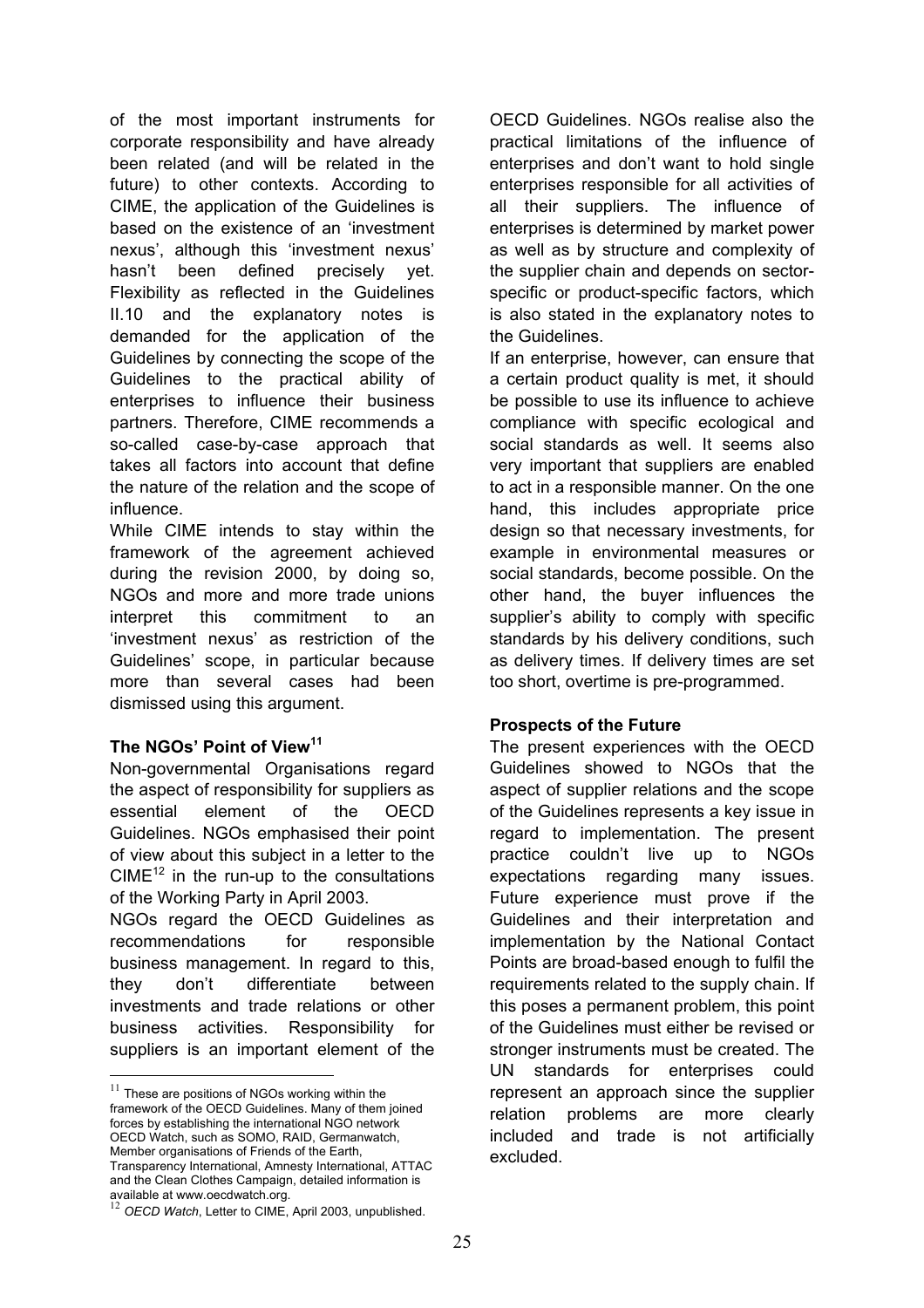of the most important instruments for corporate responsibility and have already been related (and will be related in the future) to other contexts. According to CIME, the application of the Guidelines is based on the existence of an 'investment nexus', although this 'investment nexus' hasn't been defined precisely yet. Flexibility as reflected in the Guidelines II.10 and the explanatory notes is demanded for the application of the Guidelines by connecting the scope of the Guidelines to the practical ability of enterprises to influence their business partners. Therefore, CIME recommends a so-called case-by-case approach that takes all factors into account that define the nature of the relation and the scope of influence.

While CIME intends to stay within the framework of the agreement achieved during the revision 2000, by doing so, NGOs and more and more trade unions interpret this commitment to an 'investment nexus' as restriction of the Guidelines' scope, in particular because more than several cases had been dismissed using this argument.

#### **The NGOs' Point of View<sup>11</sup>**

<u>.</u>

Non-governmental Organisations regard the aspect of responsibility for suppliers as essential element of the OECD Guidelines. NGOs emphasised their point of view about this subject in a letter to the  $CIME^{12}$  in the run-up to the consultations of the Working Party in April 2003. NGOs regard the OECD Guidelines as

recommendations for responsible business management. In regard to this, they don't differentiate between investments and trade relations or other business activities. Responsibility for suppliers is an important element of the

OECD Guidelines. NGOs realise also the practical limitations of the influence of enterprises and don't want to hold single enterprises responsible for all activities of all their suppliers. The influence of enterprises is determined by market power as well as by structure and complexity of the supplier chain and depends on sectorspecific or product-specific factors, which is also stated in the explanatory notes to the Guidelines.

If an enterprise, however, can ensure that a certain product quality is met, it should be possible to use its influence to achieve compliance with specific ecological and social standards as well. It seems also very important that suppliers are enabled to act in a responsible manner. On the one hand, this includes appropriate price design so that necessary investments, for example in environmental measures or social standards, become possible. On the other hand, the buyer influences the supplier's ability to comply with specific standards by his delivery conditions, such as delivery times. If delivery times are set too short, overtime is pre-programmed.

#### **Prospects of the Future**

The present experiences with the OECD Guidelines showed to NGOs that the aspect of supplier relations and the scope of the Guidelines represents a key issue in regard to implementation. The present practice couldn't live up to NGOs expectations regarding many issues. Future experience must prove if the Guidelines and their interpretation and implementation by the National Contact Points are broad-based enough to fulfil the requirements related to the supply chain. If this poses a permanent problem, this point of the Guidelines must either be revised or stronger instruments must be created. The UN standards for enterprises could represent an approach since the supplier relation problems are more clearly included and trade is not artificially excluded.

 $11$  These are positions of NGOs working within the framework of the OECD Guidelines. Many of them joined forces by establishing the international NGO network OECD Watch, such as SOMO, RAID, Germanwatch, Member organisations of Friends of the Earth, Transparency International, Amnesty International, ATTAC and the Clean Clothes Campaign, detailed information is available at www.oecdwatch.org.

<sup>12</sup> *OECD Watch*, Letter to CIME, April 2003, unpublished.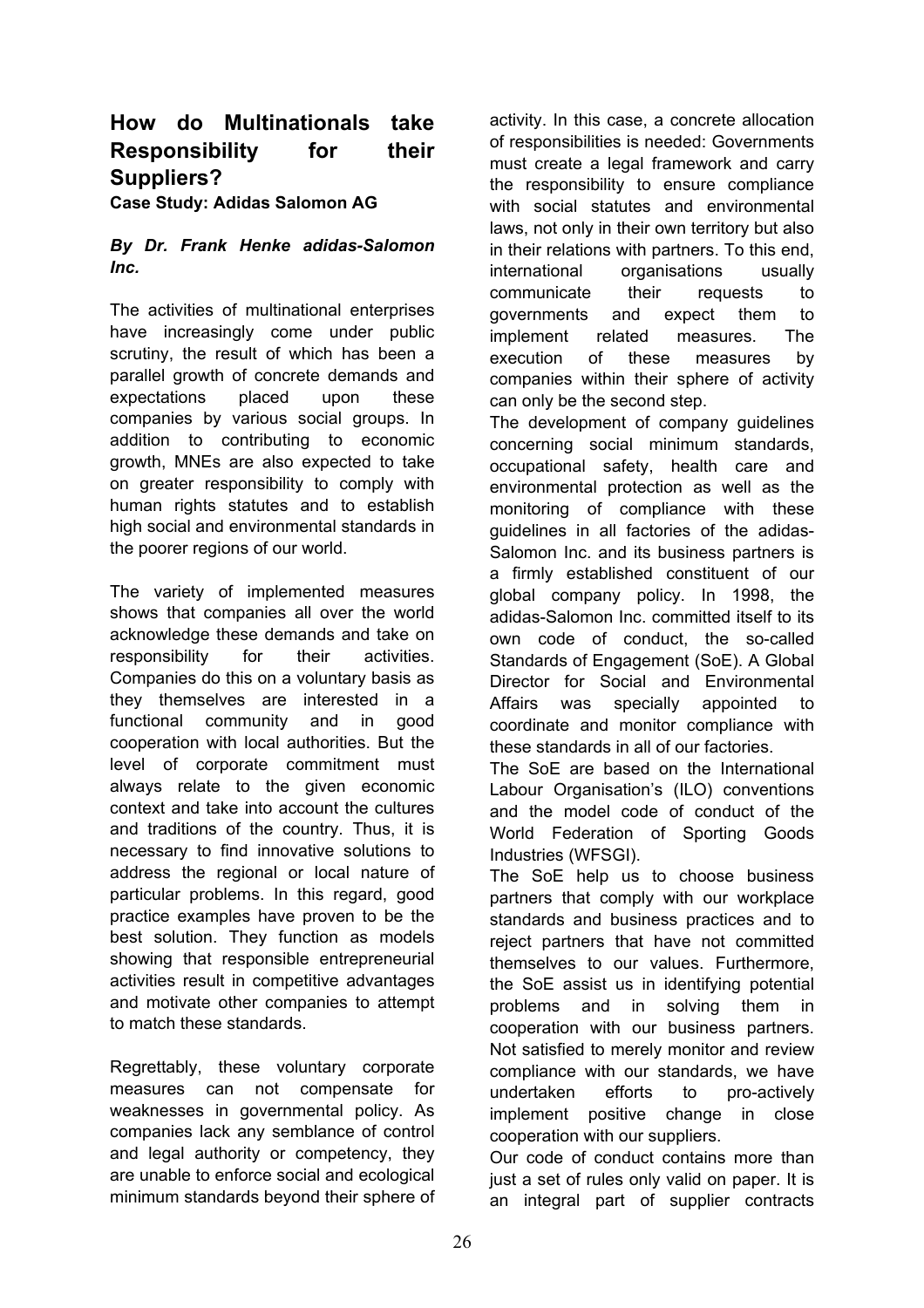# **How do Multinationals take Responsibility for their Suppliers?**

**Case Study: Adidas Salomon AG**

## *By Dr. Frank Henke adidas-Salomon Inc.*

The activities of multinational enterprises have increasingly come under public scrutiny, the result of which has been a parallel growth of concrete demands and expectations placed upon these companies by various social groups. In addition to contributing to economic growth, MNEs are also expected to take on greater responsibility to comply with human rights statutes and to establish high social and environmental standards in the poorer regions of our world.

The variety of implemented measures shows that companies all over the world acknowledge these demands and take on responsibility for their activities. Companies do this on a voluntary basis as they themselves are interested in a functional community and in good cooperation with local authorities. But the level of corporate commitment must always relate to the given economic context and take into account the cultures and traditions of the country. Thus, it is necessary to find innovative solutions to address the regional or local nature of particular problems. In this regard, good practice examples have proven to be the best solution. They function as models showing that responsible entrepreneurial activities result in competitive advantages and motivate other companies to attempt to match these standards.

Regrettably, these voluntary corporate measures can not compensate for weaknesses in governmental policy. As companies lack any semblance of control and legal authority or competency, they are unable to enforce social and ecological minimum standards beyond their sphere of

activity. In this case, a concrete allocation of responsibilities is needed: Governments must create a legal framework and carry the responsibility to ensure compliance with social statutes and environmental laws, not only in their own territory but also in their relations with partners. To this end, international organisations usually communicate their requests to governments and expect them to implement related measures. The execution of these measures by companies within their sphere of activity can only be the second step.

The development of company guidelines concerning social minimum standards, occupational safety, health care and environmental protection as well as the monitoring of compliance with these guidelines in all factories of the adidas-Salomon Inc. and its business partners is a firmly established constituent of our global company policy. In 1998, the adidas-Salomon Inc. committed itself to its own code of conduct, the so-called Standards of Engagement (SoE). A Global Director for Social and Environmental Affairs was specially appointed to coordinate and monitor compliance with these standards in all of our factories.

The SoE are based on the International Labour Organisation's (ILO) conventions and the model code of conduct of the World Federation of Sporting Goods Industries (WFSGI).

The SoE help us to choose business partners that comply with our workplace standards and business practices and to reject partners that have not committed themselves to our values. Furthermore, the SoE assist us in identifying potential problems and in solving them in cooperation with our business partners. Not satisfied to merely monitor and review compliance with our standards, we have undertaken efforts to pro-actively implement positive change in close cooperation with our suppliers.

Our code of conduct contains more than just a set of rules only valid on paper. It is an integral part of supplier contracts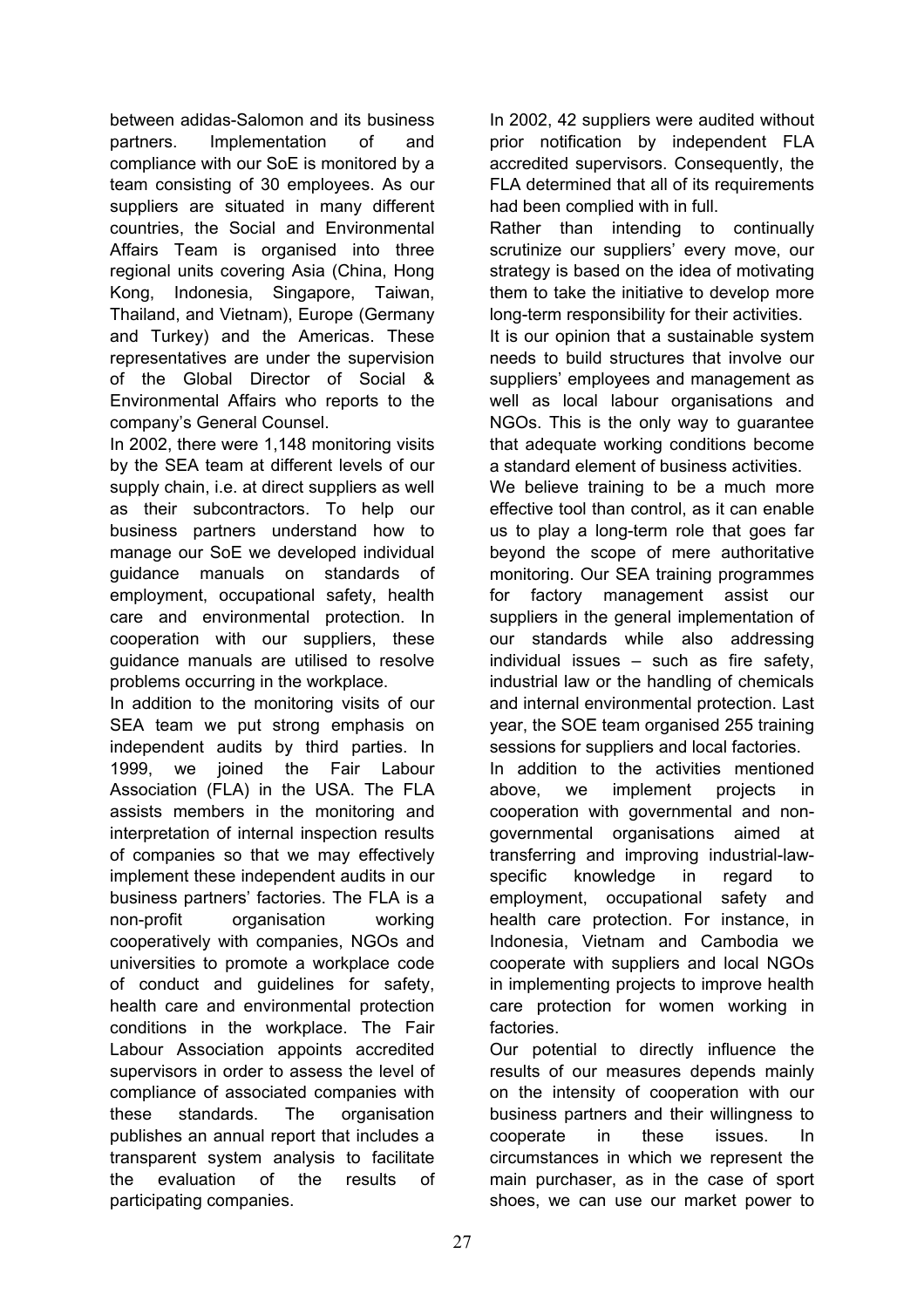between adidas-Salomon and its business partners. Implementation of and compliance with our SoE is monitored by a team consisting of 30 employees. As our suppliers are situated in many different countries, the Social and Environmental Affairs Team is organised into three regional units covering Asia (China, Hong Kong, Indonesia, Singapore, Taiwan, Thailand, and Vietnam), Europe (Germany and Turkey) and the Americas. These representatives are under the supervision of the Global Director of Social & Environmental Affairs who reports to the company's General Counsel.

In 2002, there were 1,148 monitoring visits by the SEA team at different levels of our supply chain, i.e. at direct suppliers as well as their subcontractors. To help our business partners understand how to manage our SoE we developed individual guidance manuals on standards of employment, occupational safety, health care and environmental protection. In cooperation with our suppliers, these guidance manuals are utilised to resolve problems occurring in the workplace.

In addition to the monitoring visits of our SEA team we put strong emphasis on independent audits by third parties. In 1999, we joined the Fair Labour Association (FLA) in the USA. The FLA assists members in the monitoring and interpretation of internal inspection results of companies so that we may effectively implement these independent audits in our business partners' factories. The FLA is a non-profit organisation working cooperatively with companies, NGOs and universities to promote a workplace code of conduct and guidelines for safety, health care and environmental protection conditions in the workplace. The Fair Labour Association appoints accredited supervisors in order to assess the level of compliance of associated companies with these standards. The organisation publishes an annual report that includes a transparent system analysis to facilitate the evaluation of the results of participating companies.

In 2002, 42 suppliers were audited without prior notification by independent FLA accredited supervisors. Consequently, the FLA determined that all of its requirements had been complied with in full.

Rather than intending to continually scrutinize our suppliers' every move, our strategy is based on the idea of motivating them to take the initiative to develop more long-term responsibility for their activities.

It is our opinion that a sustainable system needs to build structures that involve our suppliers' employees and management as well as local labour organisations and NGOs. This is the only way to guarantee that adequate working conditions become a standard element of business activities.

We believe training to be a much more effective tool than control, as it can enable us to play a long-term role that goes far beyond the scope of mere authoritative monitoring. Our SEA training programmes for factory management assist our suppliers in the general implementation of our standards while also addressing individual issues – such as fire safety, industrial law or the handling of chemicals and internal environmental protection. Last year, the SOE team organised 255 training sessions for suppliers and local factories.

In addition to the activities mentioned above, we implement projects in cooperation with governmental and nongovernmental organisations aimed at transferring and improving industrial-lawspecific knowledge in regard to employment, occupational safety and health care protection. For instance, in Indonesia, Vietnam and Cambodia we cooperate with suppliers and local NGOs in implementing projects to improve health care protection for women working in factories.

Our potential to directly influence the results of our measures depends mainly on the intensity of cooperation with our business partners and their willingness to cooperate in these issues. In circumstances in which we represent the main purchaser, as in the case of sport shoes, we can use our market power to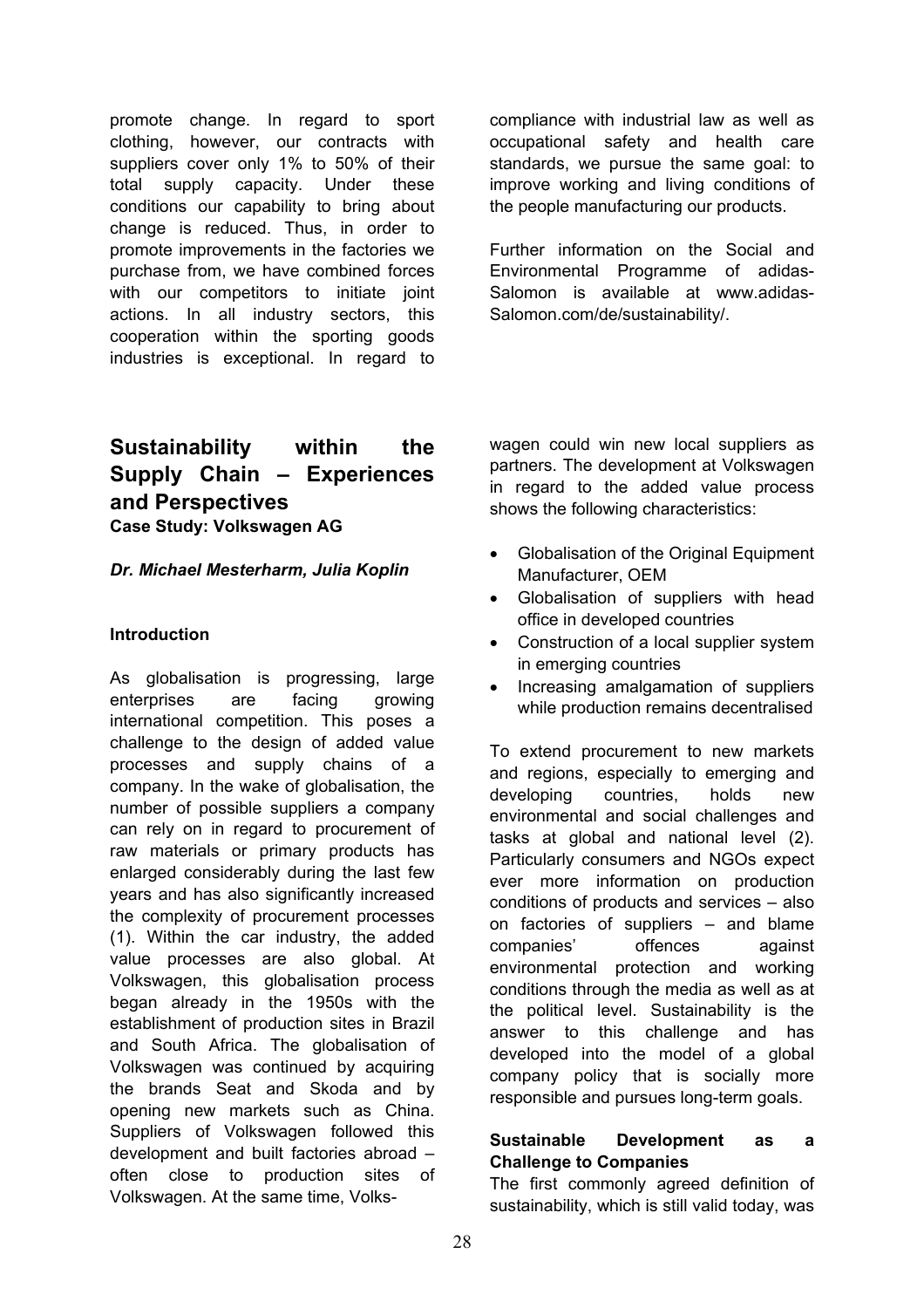promote change. In regard to sport clothing, however, our contracts with suppliers cover only 1% to 50% of their total supply capacity. Under these conditions our capability to bring about change is reduced. Thus, in order to promote improvements in the factories we purchase from, we have combined forces with our competitors to initiate joint actions. In all industry sectors, this cooperation within the sporting goods industries is exceptional. In regard to

## **Sustainability within the Supply Chain – Experiences and Perspectives Case Study: Volkswagen AG**

#### *Dr. Michael Mesterharm, Julia Koplin*

#### **Introduction**

As globalisation is progressing, large enterprises are facing growing international competition. This poses a challenge to the design of added value processes and supply chains of a company. In the wake of globalisation, the number of possible suppliers a company can rely on in regard to procurement of raw materials or primary products has enlarged considerably during the last few years and has also significantly increased the complexity of procurement processes (1). Within the car industry, the added value processes are also global. At Volkswagen, this globalisation process began already in the 1950s with the establishment of production sites in Brazil and South Africa. The globalisation of Volkswagen was continued by acquiring the brands Seat and Skoda and by opening new markets such as China. Suppliers of Volkswagen followed this development and built factories abroad – often close to production sites of Volkswagen. At the same time, Volkscompliance with industrial law as well as occupational safety and health care standards, we pursue the same goal: to improve working and living conditions of the people manufacturing our products.

Further information on the Social and Environmental Programme of adidas-Salomon is available at www.adidas-Salomon.com/de/sustainability/.

wagen could win new local suppliers as partners. The development at Volkswagen in regard to the added value process shows the following characteristics:

- Globalisation of the Original Equipment Manufacturer, OEM
- Globalisation of suppliers with head office in developed countries
- Construction of a local supplier system in emerging countries
- Increasing amalgamation of suppliers while production remains decentralised

To extend procurement to new markets and regions, especially to emerging and developing countries, holds new environmental and social challenges and tasks at global and national level (2). Particularly consumers and NGOs expect ever more information on production conditions of products and services – also on factories of suppliers – and blame companies' offences against environmental protection and working conditions through the media as well as at the political level. Sustainability is the answer to this challenge and has developed into the model of a global company policy that is socially more responsible and pursues long-term goals.

#### **Sustainable Development as a Challenge to Companies**

The first commonly agreed definition of sustainability, which is still valid today, was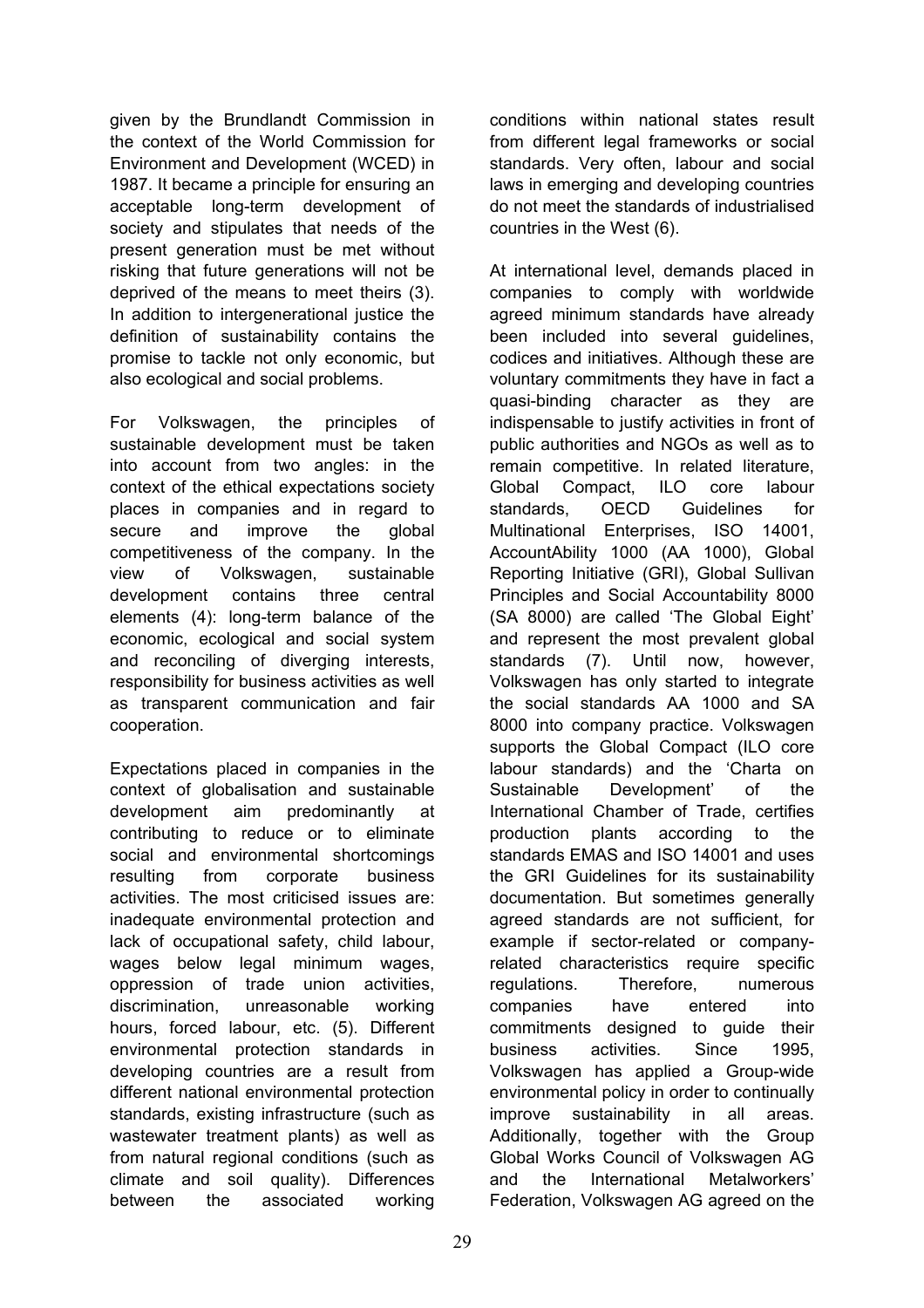given by the Brundlandt Commission in the context of the World Commission for Environment and Development (WCED) in 1987. It became a principle for ensuring an acceptable long-term development of society and stipulates that needs of the present generation must be met without risking that future generations will not be deprived of the means to meet theirs (3). In addition to intergenerational justice the definition of sustainability contains the promise to tackle not only economic, but also ecological and social problems.

For Volkswagen, the principles of sustainable development must be taken into account from two angles: in the context of the ethical expectations society places in companies and in regard to secure and improve the global competitiveness of the company. In the view of Volkswagen, sustainable development contains three central elements (4): long-term balance of the economic, ecological and social system and reconciling of diverging interests, responsibility for business activities as well as transparent communication and fair cooperation.

Expectations placed in companies in the context of globalisation and sustainable development aim predominantly at contributing to reduce or to eliminate social and environmental shortcomings resulting from corporate business activities. The most criticised issues are: inadequate environmental protection and lack of occupational safety, child labour, wages below legal minimum wages, oppression of trade union activities, discrimination, unreasonable working hours, forced labour, etc. (5). Different environmental protection standards in developing countries are a result from different national environmental protection standards, existing infrastructure (such as wastewater treatment plants) as well as from natural regional conditions (such as climate and soil quality). Differences between the associated working

conditions within national states result from different legal frameworks or social standards. Very often, labour and social laws in emerging and developing countries do not meet the standards of industrialised countries in the West (6).

At international level, demands placed in companies to comply with worldwide agreed minimum standards have already been included into several quidelines, codices and initiatives. Although these are voluntary commitments they have in fact a quasi-binding character as they are indispensable to justify activities in front of public authorities and NGOs as well as to remain competitive. In related literature, Global Compact, ILO core labour standards, OECD Guidelines for Multinational Enterprises, ISO 14001, AccountAbility 1000 (AA 1000), Global Reporting Initiative (GRI), Global Sullivan Principles and Social Accountability 8000 (SA 8000) are called 'The Global Eight' and represent the most prevalent global standards (7). Until now, however, Volkswagen has only started to integrate the social standards AA 1000 and SA 8000 into company practice. Volkswagen supports the Global Compact (ILO core labour standards) and the 'Charta on Sustainable Development' of the International Chamber of Trade, certifies production plants according to the standards EMAS and ISO 14001 and uses the GRI Guidelines for its sustainability documentation. But sometimes generally agreed standards are not sufficient, for example if sector-related or companyrelated characteristics require specific regulations. Therefore, numerous companies have entered into commitments designed to guide their business activities. Since 1995, Volkswagen has applied a Group-wide environmental policy in order to continually improve sustainability in all areas. Additionally, together with the Group Global Works Council of Volkswagen AG and the International Metalworkers' Federation, Volkswagen AG agreed on the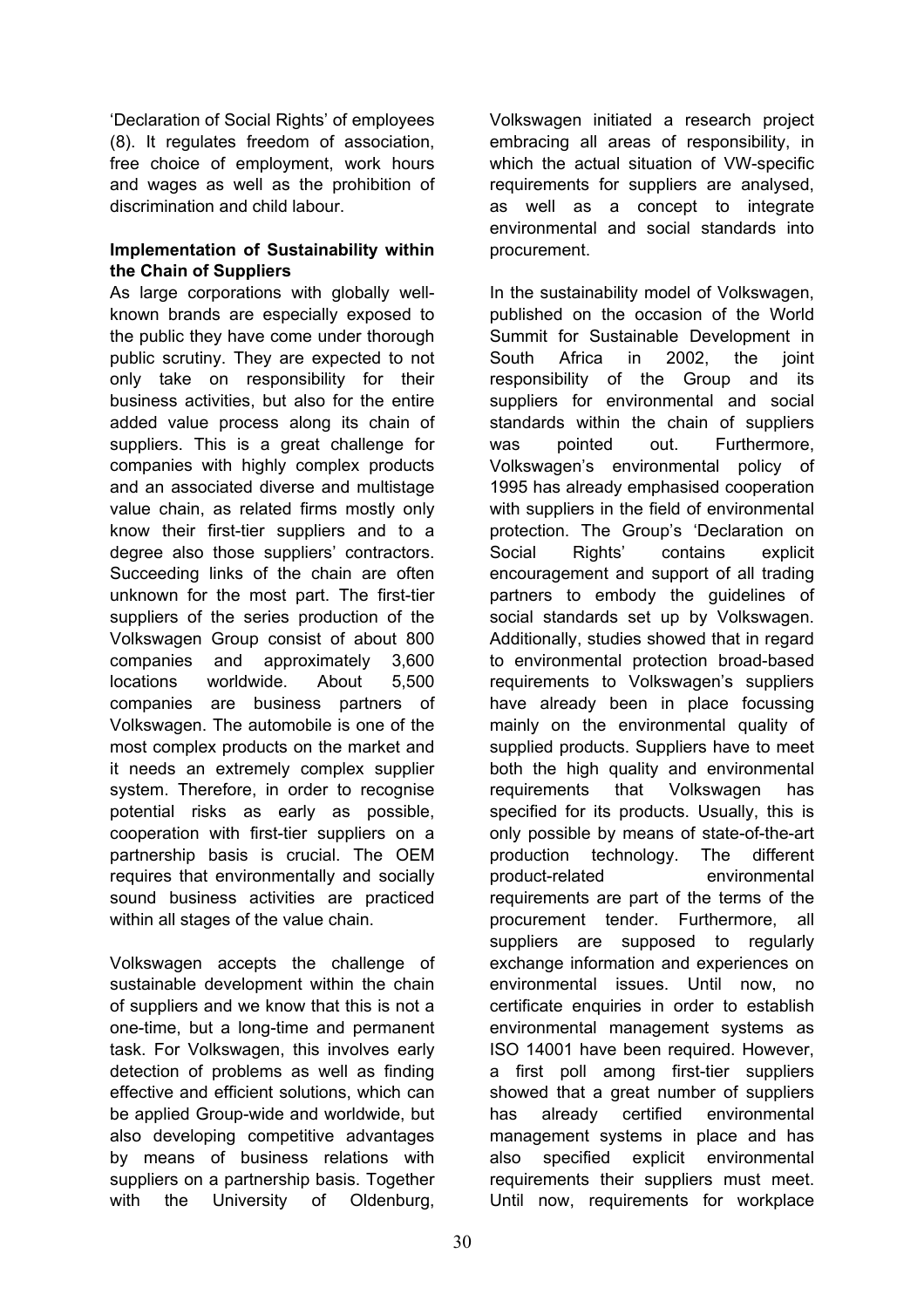'Declaration of Social Rights' of employees (8). It regulates freedom of association, free choice of employment, work hours and wages as well as the prohibition of discrimination and child labour.

## **Implementation of Sustainability within the Chain of Suppliers**

As large corporations with globally wellknown brands are especially exposed to the public they have come under thorough public scrutiny. They are expected to not only take on responsibility for their business activities, but also for the entire added value process along its chain of suppliers. This is a great challenge for companies with highly complex products and an associated diverse and multistage value chain, as related firms mostly only know their first-tier suppliers and to a degree also those suppliers' contractors. Succeeding links of the chain are often unknown for the most part. The first-tier suppliers of the series production of the Volkswagen Group consist of about 800 companies and approximately 3,600 locations worldwide. About 5,500 companies are business partners of Volkswagen. The automobile is one of the most complex products on the market and it needs an extremely complex supplier system. Therefore, in order to recognise potential risks as early as possible, cooperation with first-tier suppliers on a partnership basis is crucial. The OEM requires that environmentally and socially sound business activities are practiced within all stages of the value chain.

Volkswagen accepts the challenge of sustainable development within the chain of suppliers and we know that this is not a one-time, but a long-time and permanent task. For Volkswagen, this involves early detection of problems as well as finding effective and efficient solutions, which can be applied Group-wide and worldwide, but also developing competitive advantages by means of business relations with suppliers on a partnership basis. Together with the University of Oldenburg,

Volkswagen initiated a research project embracing all areas of responsibility, in which the actual situation of VW-specific requirements for suppliers are analysed, as well as a concept to integrate environmental and social standards into procurement.

In the sustainability model of Volkswagen, published on the occasion of the World Summit for Sustainable Development in South Africa in 2002, the joint responsibility of the Group and its suppliers for environmental and social standards within the chain of suppliers was pointed out. Furthermore, Volkswagen's environmental policy of 1995 has already emphasised cooperation with suppliers in the field of environmental protection. The Group's 'Declaration on Social Rights' contains explicit encouragement and support of all trading partners to embody the guidelines of social standards set up by Volkswagen. Additionally, studies showed that in regard to environmental protection broad-based requirements to Volkswagen's suppliers have already been in place focussing mainly on the environmental quality of supplied products. Suppliers have to meet both the high quality and environmental requirements that Volkswagen has specified for its products. Usually, this is only possible by means of state-of-the-art production technology. The different product-related environmental requirements are part of the terms of the procurement tender. Furthermore, all suppliers are supposed to regularly exchange information and experiences on environmental issues. Until now, no certificate enquiries in order to establish environmental management systems as ISO 14001 have been required. However, a first poll among first-tier suppliers showed that a great number of suppliers has already certified environmental management systems in place and has also specified explicit environmental requirements their suppliers must meet. Until now, requirements for workplace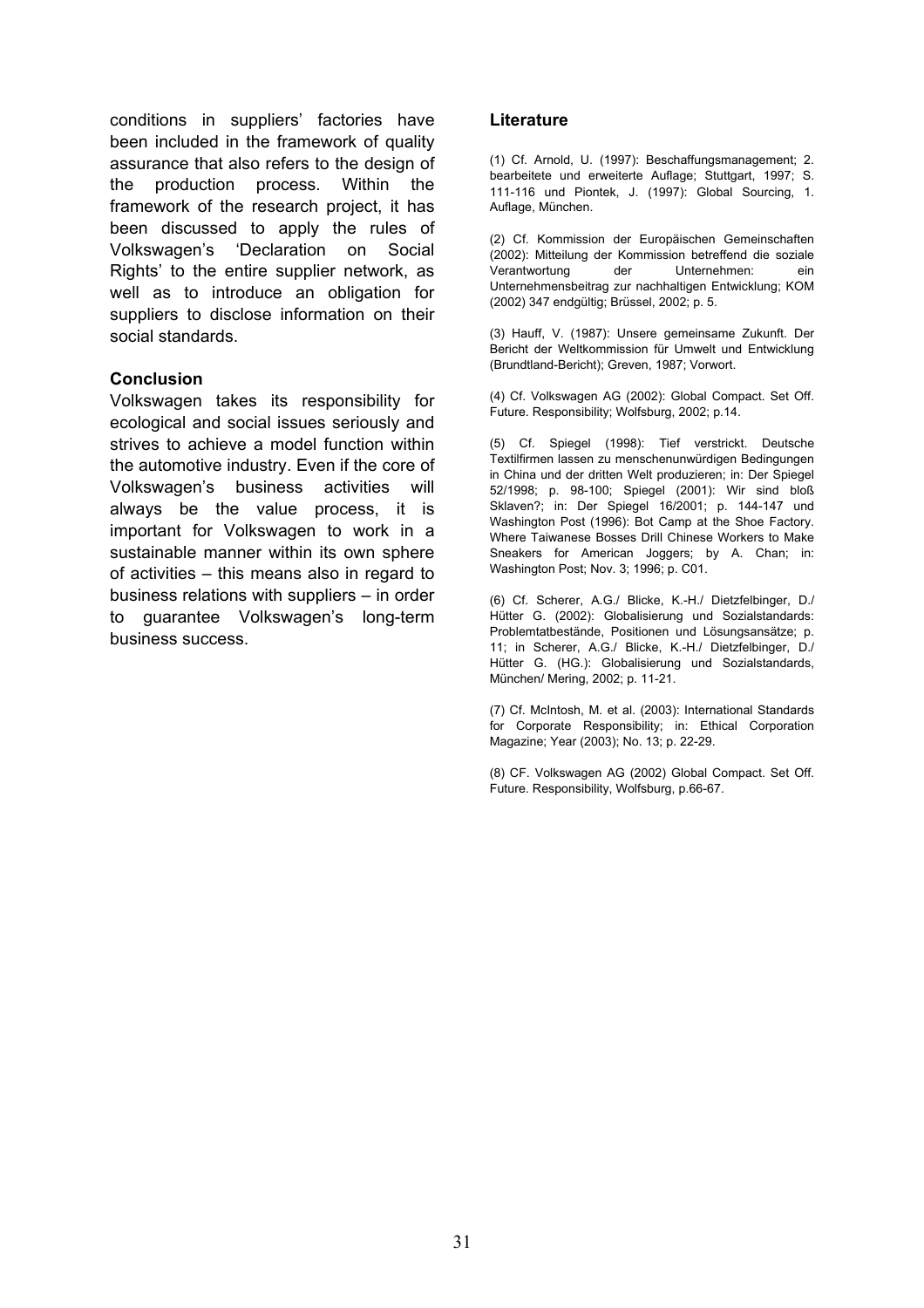conditions in suppliers' factories have been included in the framework of quality assurance that also refers to the design of the production process. Within the framework of the research project, it has been discussed to apply the rules of Volkswagen's 'Declaration on Social Rights' to the entire supplier network, as well as to introduce an obligation for suppliers to disclose information on their social standards.

#### **Conclusion**

Volkswagen takes its responsibility for ecological and social issues seriously and strives to achieve a model function within the automotive industry. Even if the core of Volkswagen's business activities will always be the value process, it is important for Volkswagen to work in a sustainable manner within its own sphere of activities – this means also in regard to business relations with suppliers – in order to guarantee Volkswagen's long-term business success.

#### **Literature**

(1) Cf. Arnold, U. (1997): Beschaffungsmanagement; 2. bearbeitete und erweiterte Auflage; Stuttgart, 1997; S. 111-116 und Piontek, J. (1997): Global Sourcing, 1. Auflage, München.

(2) Cf. Kommission der Europäischen Gemeinschaften (2002): Mitteilung der Kommission betreffend die soziale Verantwortung der Unternehmen: ein Unternehmensbeitrag zur nachhaltigen Entwicklung; KOM (2002) 347 endgültig; Brüssel, 2002; p. 5.

(3) Hauff, V. (1987): Unsere gemeinsame Zukunft. Der Bericht der Weltkommission für Umwelt und Entwicklung (Brundtland-Bericht); Greven, 1987; Vorwort.

(4) Cf. Volkswagen AG (2002): Global Compact. Set Off. Future. Responsibility; Wolfsburg, 2002; p.14.

(5) Cf. Spiegel (1998): Tief verstrickt. Deutsche Textilfirmen lassen zu menschenunwürdigen Bedingungen in China und der dritten Welt produzieren; in: Der Spiegel 52/1998; p. 98-100; Spiegel (2001): Wir sind bloß Sklaven?; in: Der Spiegel 16/2001; p. 144-147 und Washington Post (1996): Bot Camp at the Shoe Factory. Where Taiwanese Bosses Drill Chinese Workers to Make Sneakers for American Joggers; by A. Chan; in: Washington Post; Nov. 3; 1996; p. C01.

(6) Cf. Scherer, A.G./ Blicke, K.-H./ Dietzfelbinger, D./ Hütter G. (2002): Globalisierung und Sozialstandards: Problemtatbestände, Positionen und Lösungsansätze; p. 11; in Scherer, A.G./ Blicke, K.-H./ Dietzfelbinger, D./ Hütter G. (HG.): Globalisierung und Sozialstandards, München/ Mering, 2002; p. 11-21.

(7) Cf. McIntosh, M. et al. (2003): International Standards for Corporate Responsibility; in: Ethical Corporation Magazine; Year (2003); No. 13; p. 22-29.

(8) CF. Volkswagen AG (2002) Global Compact. Set Off. Future. Responsibility, Wolfsburg, p.66-67.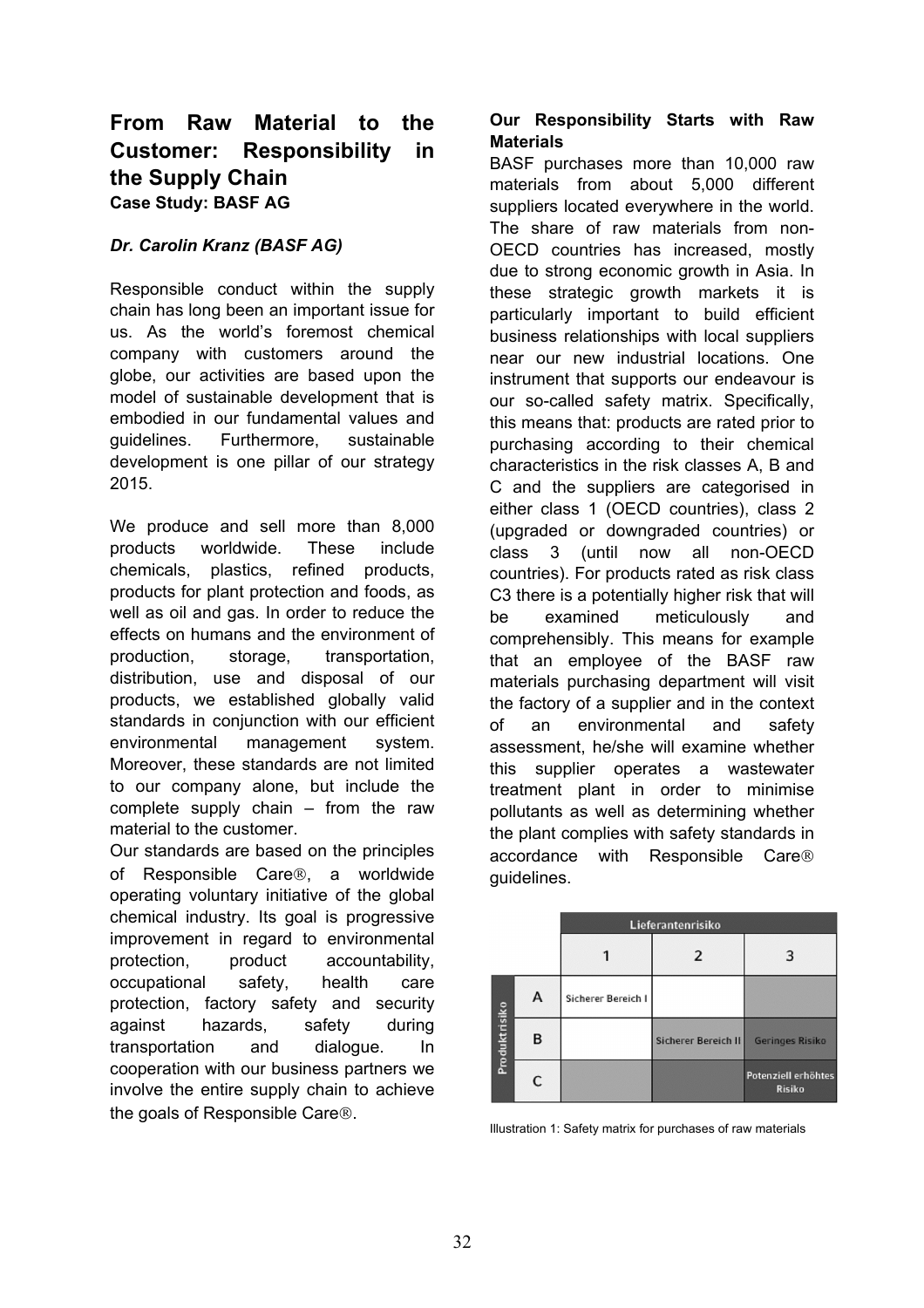# **From Raw Material to the Customer: Responsibility in the Supply Chain Case Study: BASF AG**

## *Dr. Carolin Kranz (BASF AG)*

Responsible conduct within the supply chain has long been an important issue for us. As the world's foremost chemical company with customers around the globe, our activities are based upon the model of sustainable development that is embodied in our fundamental values and guidelines. Furthermore, sustainable development is one pillar of our strategy 2015.

We produce and sell more than 8,000 products worldwide. These include chemicals, plastics, refined products, products for plant protection and foods, as well as oil and gas. In order to reduce the effects on humans and the environment of production, storage, transportation, distribution, use and disposal of our products, we established globally valid standards in conjunction with our efficient environmental management system. Moreover, these standards are not limited to our company alone, but include the complete supply chain – from the raw material to the customer.

Our standards are based on the principles of Responsible Care®, a worldwide operating voluntary initiative of the global chemical industry. Its goal is progressive improvement in regard to environmental protection, product accountability, occupational safety, health care protection, factory safety and security against hazards, safety during transportation and dialogue. In cooperation with our business partners we involve the entire supply chain to achieve the goals of Responsible Care<sup>®</sup>.

## **Our Responsibility Starts with Raw Materials**

BASF purchases more than 10,000 raw materials from about 5,000 different suppliers located everywhere in the world. The share of raw materials from non-OECD countries has increased, mostly due to strong economic growth in Asia. In these strategic growth markets it is particularly important to build efficient business relationships with local suppliers near our new industrial locations. One instrument that supports our endeavour is our so-called safety matrix. Specifically, this means that: products are rated prior to purchasing according to their chemical characteristics in the risk classes A, B and C and the suppliers are categorised in either class 1 (OECD countries), class 2 (upgraded or downgraded countries) or class 3 (until now all non-OECD countries). For products rated as risk class C3 there is a potentially higher risk that will be examined meticulously and comprehensibly. This means for example that an employee of the BASF raw materials purchasing department will visit the factory of a supplier and in the context of an environmental and safety assessment, he/she will examine whether this supplier operates a wastewater treatment plant in order to minimise pollutants as well as determining whether the plant complies with safety standards in accordance with Responsible Care guidelines.



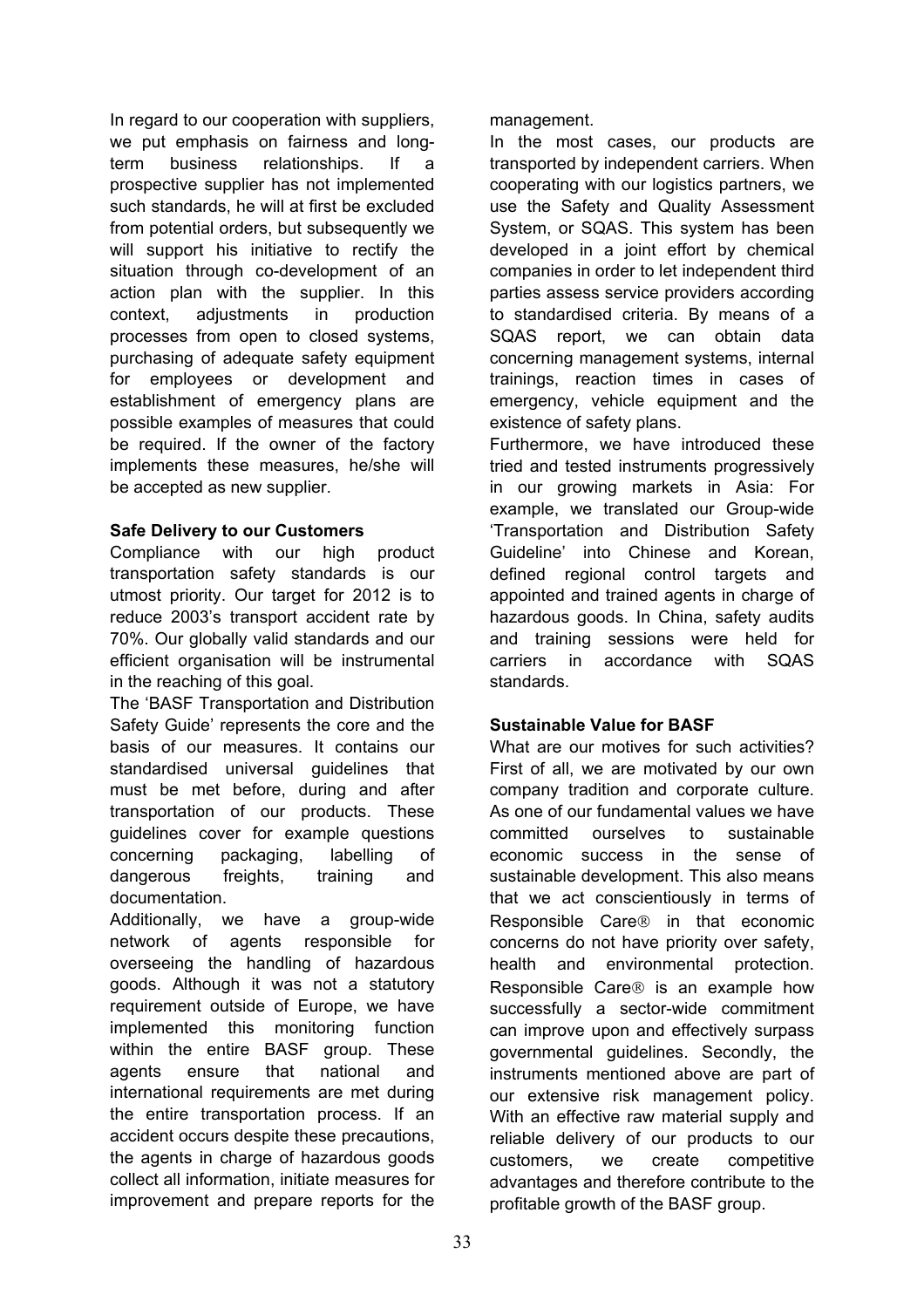In regard to our cooperation with suppliers, we put emphasis on fairness and longterm business relationships. If a prospective supplier has not implemented such standards, he will at first be excluded from potential orders, but subsequently we will support his initiative to rectify the situation through co-development of an action plan with the supplier. In this context, adjustments in production processes from open to closed systems, purchasing of adequate safety equipment for employees or development and establishment of emergency plans are possible examples of measures that could be required. If the owner of the factory implements these measures, he/she will be accepted as new supplier.

## **Safe Delivery to our Customers**

Compliance with our high product transportation safety standards is our utmost priority. Our target for 2012 is to reduce 2003's transport accident rate by 70%. Our globally valid standards and our efficient organisation will be instrumental in the reaching of this goal.

The 'BASF Transportation and Distribution Safety Guide' represents the core and the basis of our measures. It contains our standardised universal guidelines that must be met before, during and after transportation of our products. These guidelines cover for example questions concerning packaging, labelling of dangerous freights, training and documentation.

Additionally, we have a group-wide network of agents responsible for overseeing the handling of hazardous goods. Although it was not a statutory requirement outside of Europe, we have implemented this monitoring function within the entire BASF group. These agents ensure that national and international requirements are met during the entire transportation process. If an accident occurs despite these precautions, the agents in charge of hazardous goods collect all information, initiate measures for improvement and prepare reports for the

management.

In the most cases, our products are transported by independent carriers. When cooperating with our logistics partners, we use the Safety and Quality Assessment System, or SQAS. This system has been developed in a joint effort by chemical companies in order to let independent third parties assess service providers according to standardised criteria. By means of a SQAS report, we can obtain data concerning management systems, internal trainings, reaction times in cases of emergency, vehicle equipment and the existence of safety plans.

Furthermore, we have introduced these tried and tested instruments progressively in our growing markets in Asia: For example, we translated our Group-wide 'Transportation and Distribution Safety Guideline' into Chinese and Korean, defined regional control targets and appointed and trained agents in charge of hazardous goods. In China, safety audits and training sessions were held for carriers in accordance with SQAS standards.

## **Sustainable Value for BASF**

What are our motives for such activities? First of all, we are motivated by our own company tradition and corporate culture. As one of our fundamental values we have committed ourselves to sustainable economic success in the sense of sustainable development. This also means that we act conscientiously in terms of Responsible Care $\otimes$  in that economic concerns do not have priority over safety, health and environmental protection. Responsible Care<sup>®</sup> is an example how successfully a sector-wide commitment can improve upon and effectively surpass governmental guidelines. Secondly, the instruments mentioned above are part of our extensive risk management policy. With an effective raw material supply and reliable delivery of our products to our customers, we create competitive advantages and therefore contribute to the profitable growth of the BASF group.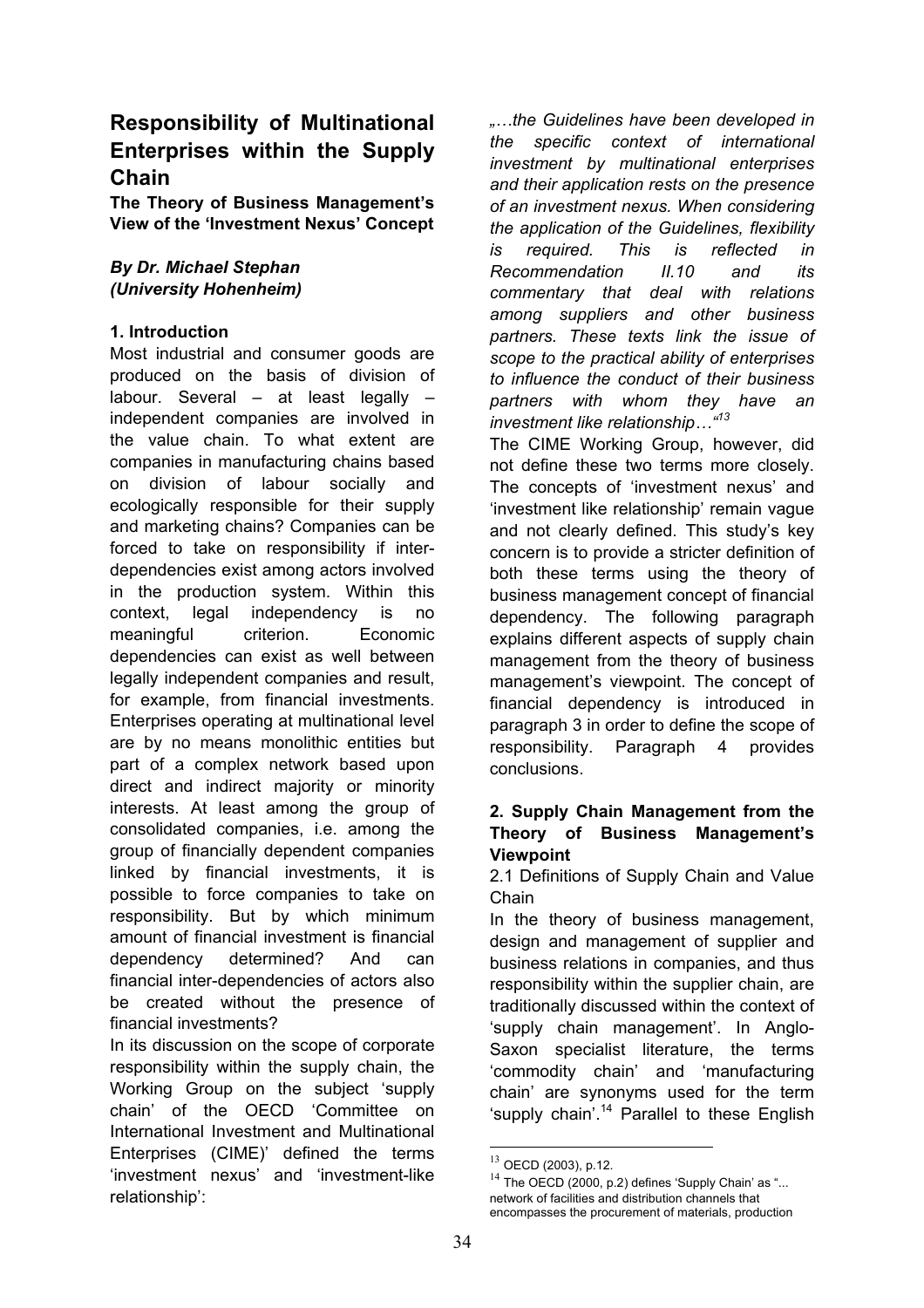# **Responsibility of Multinational Enterprises within the Supply Chain**

**The Theory of Business Management's View of the 'Investment Nexus' Concept**

## *By Dr. Michael Stephan (University Hohenheim)*

## **1. Introduction**

Most industrial and consumer goods are produced on the basis of division of labour. Several – at least legally – independent companies are involved in the value chain. To what extent are companies in manufacturing chains based on division of labour socially and ecologically responsible for their supply and marketing chains? Companies can be forced to take on responsibility if interdependencies exist among actors involved in the production system. Within this context, legal independency is no meaningful criterion. Economic dependencies can exist as well between legally independent companies and result, for example, from financial investments. Enterprises operating at multinational level are by no means monolithic entities but part of a complex network based upon direct and indirect majority or minority interests. At least among the group of consolidated companies, i.e. among the group of financially dependent companies linked by financial investments, it is possible to force companies to take on responsibility. But by which minimum amount of financial investment is financial dependency determined? And can financial inter-dependencies of actors also be created without the presence of financial investments?

In its discussion on the scope of corporate responsibility within the supply chain, the Working Group on the subject 'supply chain' of the OECD 'Committee on International Investment and Multinational Enterprises (CIME)' defined the terms 'investment nexus' and 'investment-like relationship':

*"…the Guidelines have been developed in the specific context of international investment by multinational enterprises and their application rests on the presence of an investment nexus. When considering the application of the Guidelines, flexibility is required. This is reflected in Recommendation II.10 and its commentary that deal with relations among suppliers and other business partners. These texts link the issue of scope to the practical ability of enterprises to influence the conduct of their business partners with whom they have an investment like relationship…"13*

The CIME Working Group, however, did not define these two terms more closely. The concepts of 'investment nexus' and 'investment like relationship' remain vague and not clearly defined. This study's key concern is to provide a stricter definition of both these terms using the theory of business management concept of financial dependency. The following paragraph explains different aspects of supply chain management from the theory of business management's viewpoint. The concept of financial dependency is introduced in paragraph 3 in order to define the scope of responsibility. Paragraph 4 provides conclusions.

## **2. Supply Chain Management from the Theory of Business Management's Viewpoint**

2.1 Definitions of Supply Chain and Value Chain

In the theory of business management, design and management of supplier and business relations in companies, and thus responsibility within the supplier chain, are traditionally discussed within the context of 'supply chain management'. In Anglo-Saxon specialist literature, the terms 'commodity chain' and 'manufacturing chain' are synonyms used for the term 'supply chain'.<sup>14</sup> Parallel to these English

 $13$  OECD (2003), p.12.

 $14$  The OECD (2000, p.2) defines 'Supply Chain' as "... network of facilities and distribution channels that encompasses the procurement of materials, production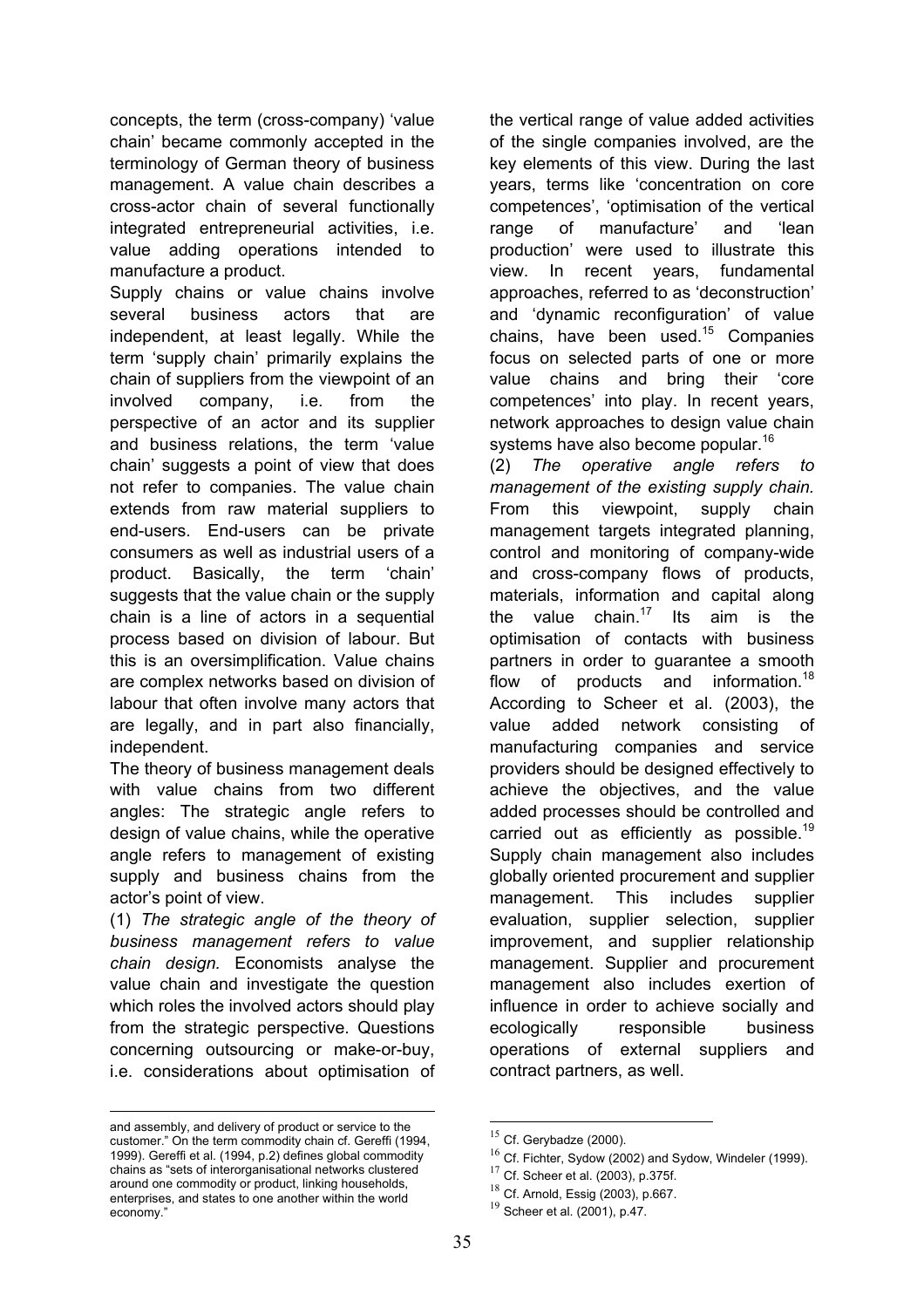concepts, the term (cross-company) 'value chain' became commonly accepted in the terminology of German theory of business management. A value chain describes a cross-actor chain of several functionally integrated entrepreneurial activities, i.e. value adding operations intended to manufacture a product.

Supply chains or value chains involve several business actors that are independent, at least legally. While the term 'supply chain' primarily explains the chain of suppliers from the viewpoint of an involved company, i.e. from the perspective of an actor and its supplier and business relations, the term 'value chain' suggests a point of view that does not refer to companies. The value chain extends from raw material suppliers to end-users. End-users can be private consumers as well as industrial users of a product. Basically, the term 'chain' suggests that the value chain or the supply chain is a line of actors in a sequential process based on division of labour. But this is an oversimplification. Value chains are complex networks based on division of labour that often involve many actors that are legally, and in part also financially, independent.

The theory of business management deals with value chains from two different angles: The strategic angle refers to design of value chains, while the operative angle refers to management of existing supply and business chains from the actor's point of view.

(1) *The strategic angle of the theory of business management refers to value chain design.* Economists analyse the value chain and investigate the question which roles the involved actors should play from the strategic perspective. Questions concerning outsourcing or make-or-buy, i.e. considerations about optimisation of

and assembly, and delivery of product or service to the customer." On the term commodity chain cf. Gereffi (1994, 1999). Gereffi et al. (1994, p.2) defines global commodity chains as "sets of interorganisational networks clustered around one commodity or product, linking households, enterprises, and states to one another within the world economy."

1

the vertical range of value added activities of the single companies involved, are the key elements of this view. During the last years, terms like 'concentration on core competences', 'optimisation of the vertical range of manufacture' and 'lean production' were used to illustrate this view. In recent years, fundamental approaches, referred to as 'deconstruction' and 'dynamic reconfiguration' of value chains, have been used. $15$  Companies focus on selected parts of one or more value chains and bring their 'core competences' into play. In recent years, network approaches to design value chain systems have also become popular.<sup>16</sup>

(2) *The operative angle refers to management of the existing supply chain.* From this viewpoint, supply chain management targets integrated planning, control and monitoring of company-wide and cross-company flows of products, materials, information and capital along the value chain.<sup>17</sup> Its aim is the optimisation of contacts with business partners in order to guarantee a smooth flow of products and information.<sup>18</sup> According to Scheer et al. (2003), the value added network consisting of manufacturing companies and service providers should be designed effectively to achieve the objectives, and the value added processes should be controlled and carried out as efficiently as possible.<sup>19</sup> Supply chain management also includes globally oriented procurement and supplier management. This includes supplier evaluation, supplier selection, supplier improvement, and supplier relationship management. Supplier and procurement management also includes exertion of influence in order to achieve socially and ecologically responsible business operations of external suppliers and contract partners, as well.

 $15$  Cf. Gerybadze (2000).

 $16$  Cf. Fichter, Sydow (2002) and Sydow, Windeler (1999).

 $17$  Cf. Scheer et al. (2003), p.375f.

 $18$  Cf. Arnold, Essig (2003), p.667.

 $19$  Scheer et al. (2001), p.47.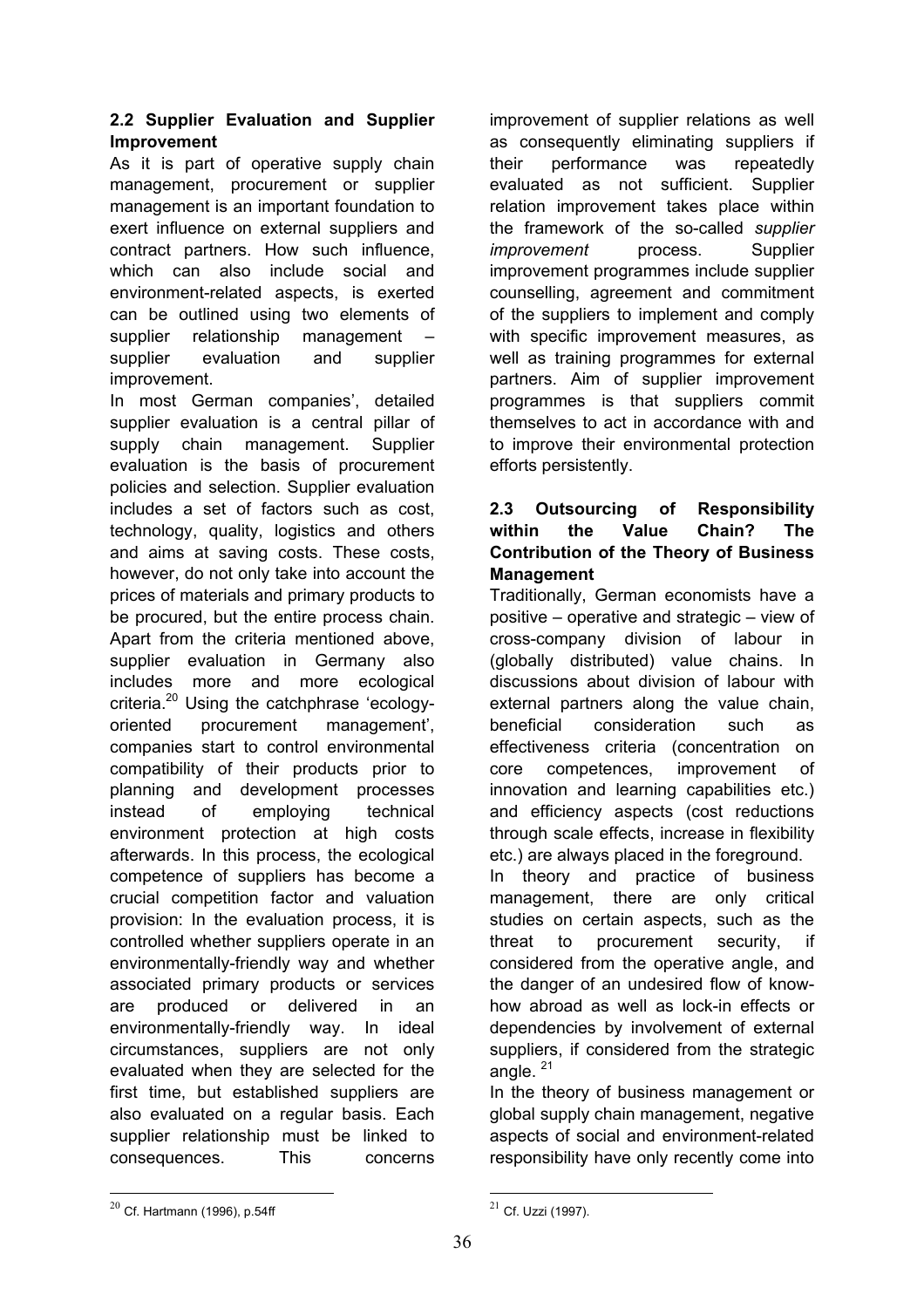## **2.2 Supplier Evaluation and Supplier Improvement**

As it is part of operative supply chain management, procurement or supplier management is an important foundation to exert influence on external suppliers and contract partners. How such influence, which can also include social and environment-related aspects, is exerted can be outlined using two elements of supplier relationship management – supplier evaluation and supplier improvement.

In most German companies', detailed supplier evaluation is a central pillar of supply chain management. Supplier evaluation is the basis of procurement policies and selection. Supplier evaluation includes a set of factors such as cost, technology, quality, logistics and others and aims at saving costs. These costs, however, do not only take into account the prices of materials and primary products to be procured, but the entire process chain. Apart from the criteria mentioned above, supplier evaluation in Germany also includes more and more ecological criteria.20 Using the catchphrase 'ecologyoriented procurement management', companies start to control environmental compatibility of their products prior to planning and development processes instead of employing technical environment protection at high costs afterwards. In this process, the ecological competence of suppliers has become a crucial competition factor and valuation provision: In the evaluation process, it is controlled whether suppliers operate in an environmentally-friendly way and whether associated primary products or services are produced or delivered in an environmentally-friendly way. In ideal circumstances, suppliers are not only evaluated when they are selected for the first time, but established suppliers are also evaluated on a regular basis. Each supplier relationship must be linked to consequences. This concerns

improvement of supplier relations as well as consequently eliminating suppliers if their performance was repeatedly evaluated as not sufficient. Supplier relation improvement takes place within the framework of the so-called *supplier improvement* process. Supplier improvement programmes include supplier counselling, agreement and commitment of the suppliers to implement and comply with specific improvement measures, as well as training programmes for external partners. Aim of supplier improvement programmes is that suppliers commit themselves to act in accordance with and to improve their environmental protection efforts persistently.

## **2.3 Outsourcing of Responsibility within the Value Chain? The Contribution of the Theory of Business Management**

Traditionally, German economists have a positive – operative and strategic – view of cross-company division of labour in (globally distributed) value chains. In discussions about division of labour with external partners along the value chain, beneficial consideration such as effectiveness criteria (concentration on core competences, improvement of innovation and learning capabilities etc.) and efficiency aspects (cost reductions through scale effects, increase in flexibility etc.) are always placed in the foreground.

In theory and practice of business management, there are only critical studies on certain aspects, such as the threat to procurement security, if considered from the operative angle, and the danger of an undesired flow of knowhow abroad as well as lock-in effects or dependencies by involvement of external suppliers, if considered from the strategic angle.  $21$ 

In the theory of business management or global supply chain management, negative aspects of social and environment-related responsibility have only recently come into

1

 $20$  Cf. Hartmann (1996), p.54ff

 $21$  Cf. Uzzi (1997).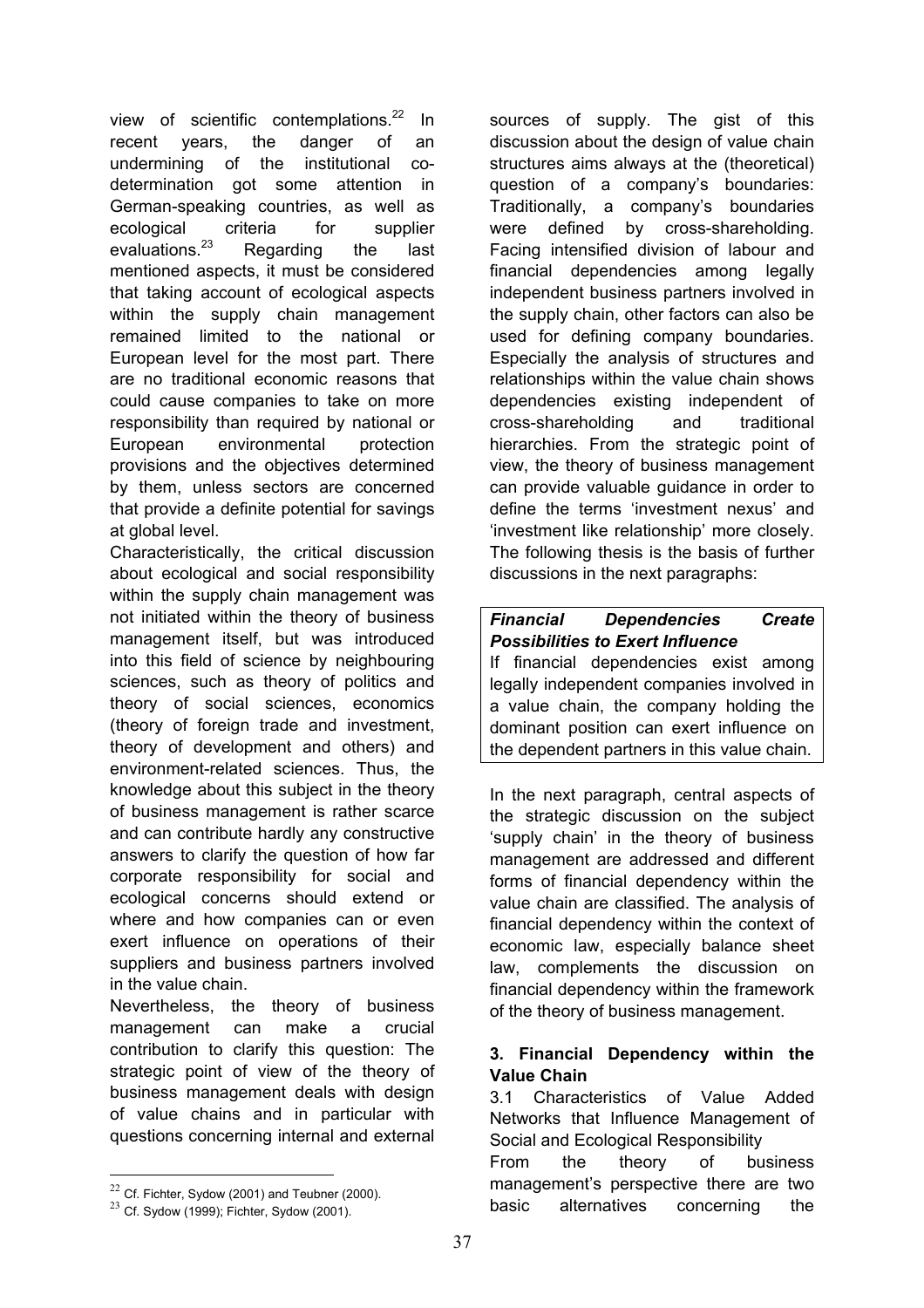view of scientific contemplations.<sup>22</sup> In recent years, the danger of an undermining of the institutional codetermination got some attention in German-speaking countries, as well as ecological criteria for supplier evaluations.23 Regarding the last mentioned aspects, it must be considered that taking account of ecological aspects within the supply chain management remained limited to the national or European level for the most part. There are no traditional economic reasons that could cause companies to take on more responsibility than required by national or European environmental protection provisions and the objectives determined by them, unless sectors are concerned that provide a definite potential for savings at global level.

Characteristically, the critical discussion about ecological and social responsibility within the supply chain management was not initiated within the theory of business management itself, but was introduced into this field of science by neighbouring sciences, such as theory of politics and theory of social sciences, economics (theory of foreign trade and investment, theory of development and others) and environment-related sciences. Thus, the knowledge about this subject in the theory of business management is rather scarce and can contribute hardly any constructive answers to clarify the question of how far corporate responsibility for social and ecological concerns should extend or where and how companies can or even exert influence on operations of their suppliers and business partners involved in the value chain.

Nevertheless, the theory of business management can make a crucial contribution to clarify this question: The strategic point of view of the theory of business management deals with design of value chains and in particular with questions concerning internal and external

1

sources of supply. The gist of this discussion about the design of value chain structures aims always at the (theoretical) question of a company's boundaries: Traditionally, a company's boundaries were defined by cross-shareholding. Facing intensified division of labour and financial dependencies among legally independent business partners involved in the supply chain, other factors can also be used for defining company boundaries. Especially the analysis of structures and relationships within the value chain shows dependencies existing independent of cross-shareholding and traditional hierarchies. From the strategic point of view, the theory of business management can provide valuable guidance in order to define the terms 'investment nexus' and 'investment like relationship' more closely. The following thesis is the basis of further discussions in the next paragraphs:

# *Financial Dependencies Create Possibilities to Exert Influence*

If financial dependencies exist among legally independent companies involved in a value chain, the company holding the dominant position can exert influence on the dependent partners in this value chain.

In the next paragraph, central aspects of the strategic discussion on the subject 'supply chain' in the theory of business management are addressed and different forms of financial dependency within the value chain are classified. The analysis of financial dependency within the context of economic law, especially balance sheet law, complements the discussion on financial dependency within the framework of the theory of business management.

## **3. Financial Dependency within the Value Chain**

3.1 Characteristics of Value Added Networks that Influence Management of Social and Ecological Responsibility From the theory of business management's perspective there are two basic alternatives concerning the

 $22$  Cf. Fichter, Sydow (2001) and Teubner (2000).

 $23$  Cf. Sydow (1999); Fichter, Sydow (2001).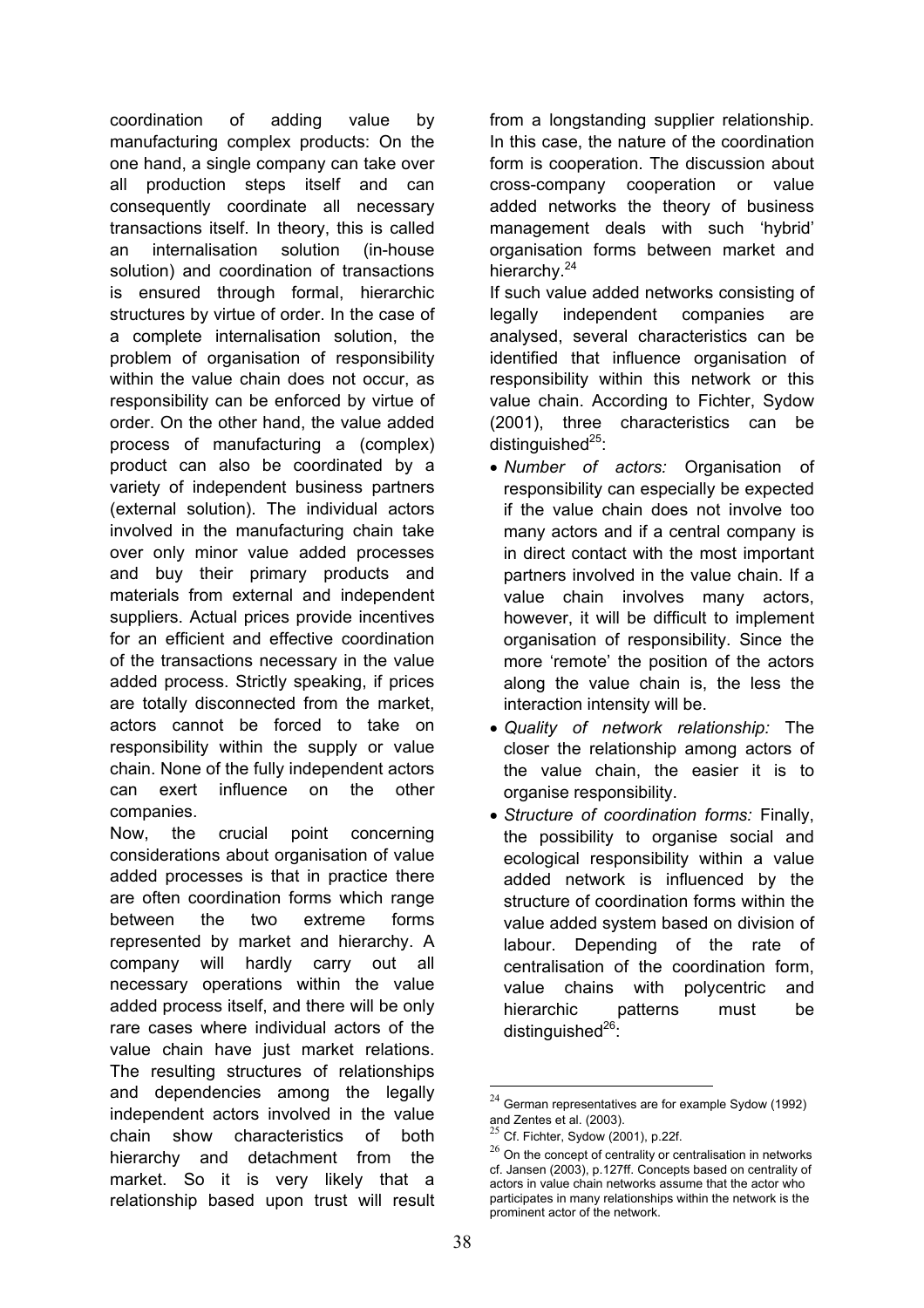coordination of adding value by manufacturing complex products: On the one hand, a single company can take over all production steps itself and can consequently coordinate all necessary transactions itself. In theory, this is called an internalisation solution (in-house solution) and coordination of transactions is ensured through formal, hierarchic structures by virtue of order. In the case of a complete internalisation solution, the problem of organisation of responsibility within the value chain does not occur, as responsibility can be enforced by virtue of order. On the other hand, the value added process of manufacturing a (complex) product can also be coordinated by a variety of independent business partners (external solution). The individual actors involved in the manufacturing chain take over only minor value added processes and buy their primary products and materials from external and independent suppliers. Actual prices provide incentives for an efficient and effective coordination of the transactions necessary in the value added process. Strictly speaking, if prices are totally disconnected from the market, actors cannot be forced to take on responsibility within the supply or value chain. None of the fully independent actors can exert influence on the other companies.

Now, the crucial point concerning considerations about organisation of value added processes is that in practice there are often coordination forms which range between the two extreme forms represented by market and hierarchy. A company will hardly carry out all necessary operations within the value added process itself, and there will be only rare cases where individual actors of the value chain have just market relations. The resulting structures of relationships and dependencies among the legally independent actors involved in the value chain show characteristics of both hierarchy and detachment from the market. So it is very likely that a relationship based upon trust will result

from a longstanding supplier relationship. In this case, the nature of the coordination form is cooperation. The discussion about cross-company cooperation or value added networks the theory of business management deals with such 'hybrid' organisation forms between market and hierarchy.<sup>24</sup>

If such value added networks consisting of legally independent companies are analysed, several characteristics can be identified that influence organisation of responsibility within this network or this value chain. According to Fichter, Sydow (2001), three characteristics can be distinguished $^{25}$ :

- *Number of actors:* Organisation of responsibility can especially be expected if the value chain does not involve too many actors and if a central company is in direct contact with the most important partners involved in the value chain. If a value chain involves many actors, however, it will be difficult to implement organisation of responsibility. Since the more 'remote' the position of the actors along the value chain is, the less the interaction intensity will be.
- *Quality of network relationship:* The closer the relationship among actors of the value chain, the easier it is to organise responsibility.
- *Structure of coordination forms:* Finally, the possibility to organise social and ecological responsibility within a value added network is influenced by the structure of coordination forms within the value added system based on division of labour. Depending of the rate of centralisation of the coordination form, value chains with polycentric and hierarchic patterns must be distinguished $^{26}$ :

 $24$  German representatives are for example Sydow (1992) and Zentes et al. (2003).

<sup>25</sup> Cf. Fichter, Sydow (2001), p.22f.

 $26$  On the concept of centrality or centralisation in networks cf. Jansen (2003), p.127ff. Concepts based on centrality of actors in value chain networks assume that the actor who participates in many relationships within the network is the prominent actor of the network.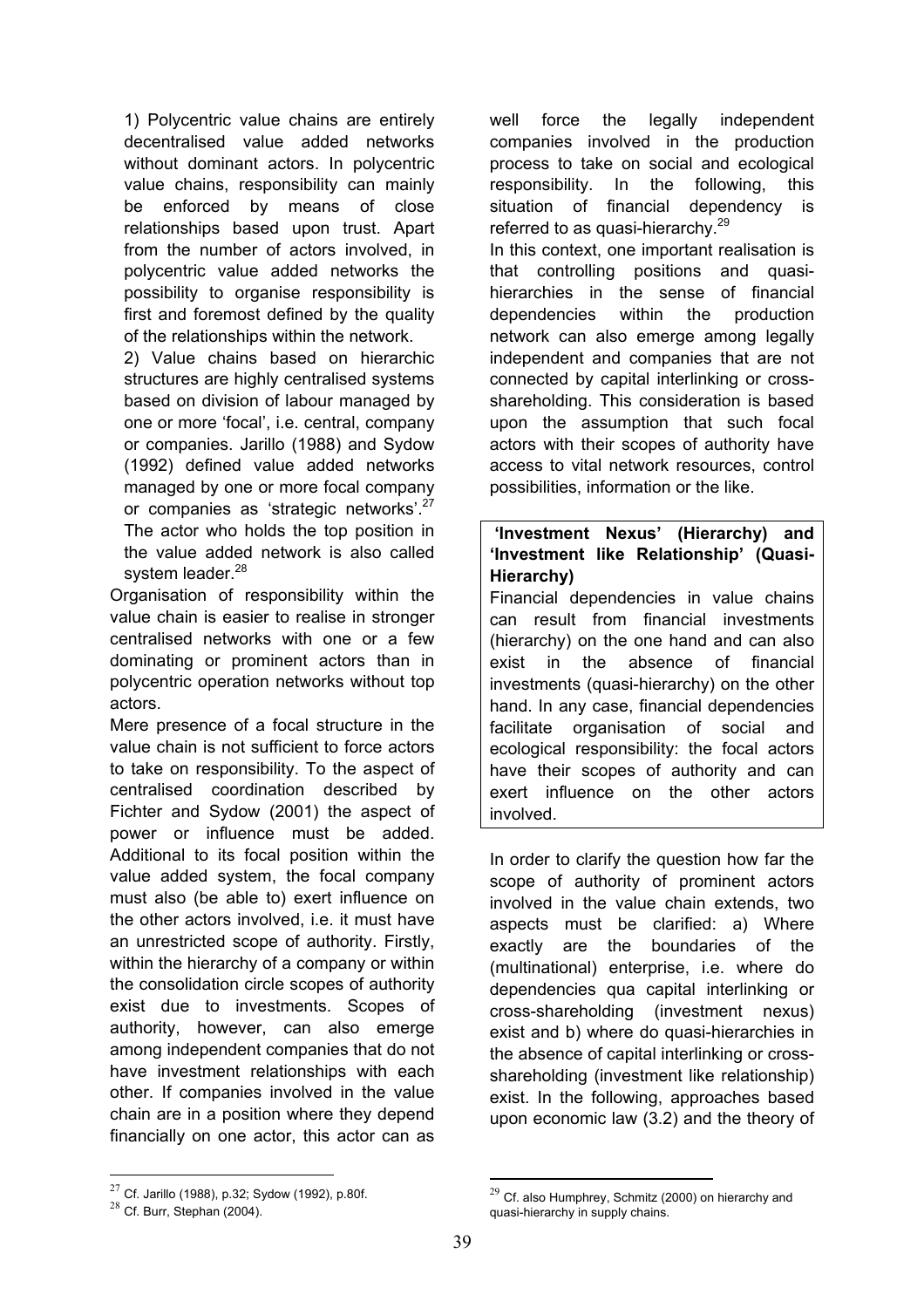1) Polycentric value chains are entirely decentralised value added networks without dominant actors. In polycentric value chains, responsibility can mainly be enforced by means of close relationships based upon trust. Apart from the number of actors involved, in polycentric value added networks the possibility to organise responsibility is first and foremost defined by the quality of the relationships within the network.

2) Value chains based on hierarchic structures are highly centralised systems based on division of labour managed by one or more 'focal', i.e. central, company or companies. Jarillo (1988) and Sydow (1992) defined value added networks managed by one or more focal company or companies as 'strategic networks'.27 The actor who holds the top position in the value added network is also called system leader.<sup>28</sup>

Organisation of responsibility within the value chain is easier to realise in stronger centralised networks with one or a few dominating or prominent actors than in polycentric operation networks without top actors.

Mere presence of a focal structure in the value chain is not sufficient to force actors to take on responsibility. To the aspect of centralised coordination described by Fichter and Sydow (2001) the aspect of power or influence must be added. Additional to its focal position within the value added system, the focal company must also (be able to) exert influence on the other actors involved, i.e. it must have an unrestricted scope of authority. Firstly, within the hierarchy of a company or within the consolidation circle scopes of authority exist due to investments. Scopes of authority, however, can also emerge among independent companies that do not have investment relationships with each other. If companies involved in the value chain are in a position where they depend financially on one actor, this actor can as

well force the legally independent companies involved in the production process to take on social and ecological responsibility. In the following, this situation of financial dependency is referred to as quasi-hierarchy. $29$ 

In this context, one important realisation is that controlling positions and quasihierarchies in the sense of financial dependencies within the production network can also emerge among legally independent and companies that are not connected by capital interlinking or crossshareholding. This consideration is based upon the assumption that such focal actors with their scopes of authority have access to vital network resources, control possibilities, information or the like.

## **'Investment Nexus' (Hierarchy) and 'Investment like Relationship' (Quasi-Hierarchy)**

Financial dependencies in value chains can result from financial investments (hierarchy) on the one hand and can also exist in the absence of financial investments (quasi-hierarchy) on the other hand. In any case, financial dependencies facilitate organisation of social and ecological responsibility: the focal actors have their scopes of authority and can exert influence on the other actors involved.

In order to clarify the question how far the scope of authority of prominent actors involved in the value chain extends, two aspects must be clarified: a) Where exactly are the boundaries of the (multinational) enterprise, i.e. where do dependencies qua capital interlinking or cross-shareholding (investment nexus) exist and b) where do quasi-hierarchies in the absence of capital interlinking or crossshareholding (investment like relationship) exist. In the following, approaches based upon economic law (3.2) and the theory of

1

 $27$  Cf. Jarillo (1988), p.32; Sydow (1992), p.80f.

 $28$  Cf. Burr, Stephan (2004).

 $^{29}$  Cf. also Humphrey, Schmitz (2000) on hierarchy and quasi-hierarchy in supply chains.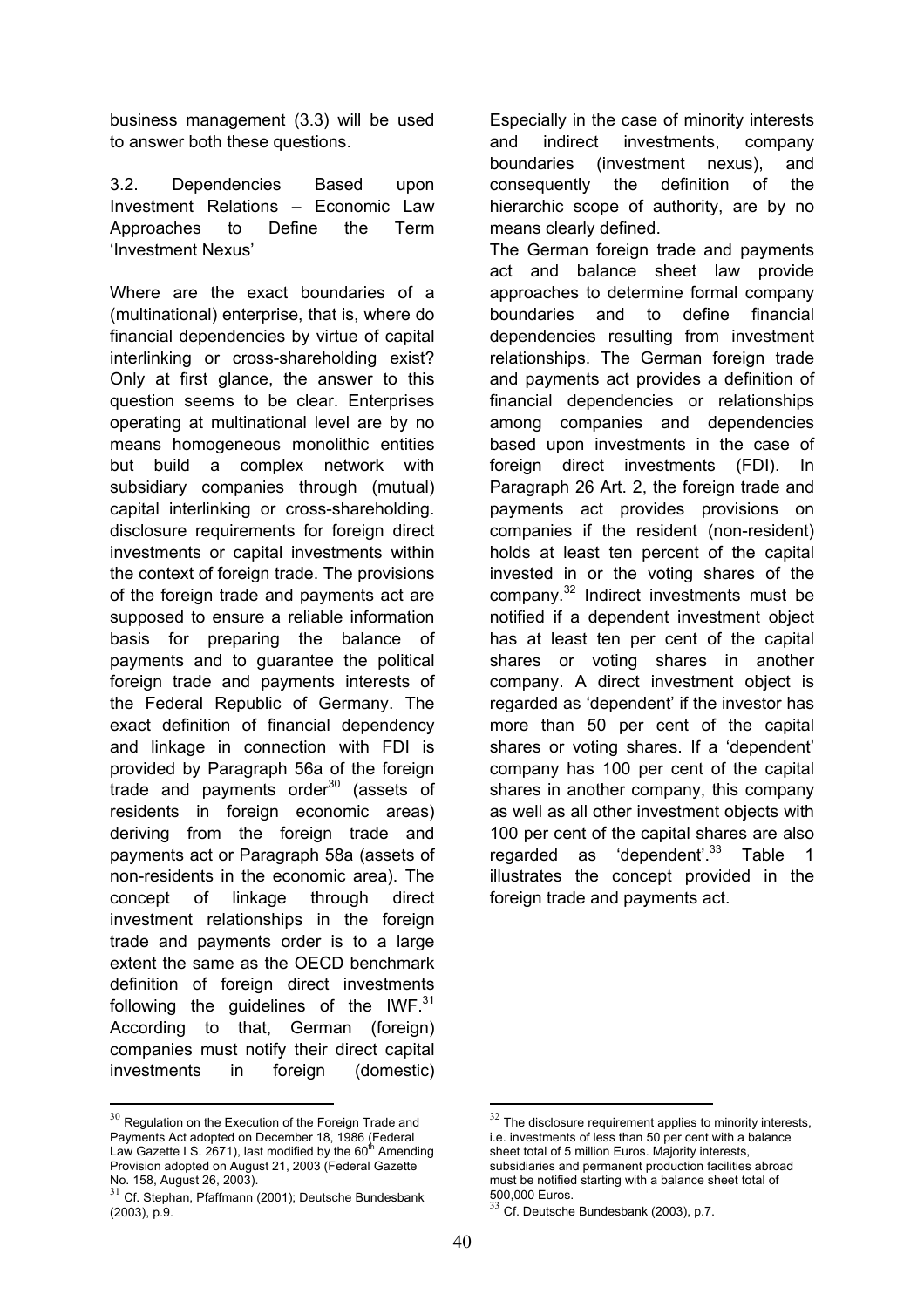business management (3.3) will be used to answer both these questions.

3.2. Dependencies Based upon Investment Relations – Economic Law Approaches to Define the Term 'Investment Nexus'

Where are the exact boundaries of a (multinational) enterprise, that is, where do financial dependencies by virtue of capital interlinking or cross-shareholding exist? Only at first glance, the answer to this question seems to be clear. Enterprises operating at multinational level are by no means homogeneous monolithic entities but build a complex network with subsidiary companies through (mutual) capital interlinking or cross-shareholding. disclosure requirements for foreign direct investments or capital investments within the context of foreign trade. The provisions of the foreign trade and payments act are supposed to ensure a reliable information basis for preparing the balance of payments and to guarantee the political foreign trade and payments interests of the Federal Republic of Germany. The exact definition of financial dependency and linkage in connection with FDI is provided by Paragraph 56a of the foreign trade and payments order<sup>30</sup> (assets of residents in foreign economic areas) deriving from the foreign trade and payments act or Paragraph 58a (assets of non-residents in the economic area). The concept of linkage through direct investment relationships in the foreign trade and payments order is to a large extent the same as the OECD benchmark definition of foreign direct investments following the guidelines of the IWF.<sup>31</sup> According to that, German (foreign) companies must notify their direct capital investments in foreign (domestic)

 $30$  Regulation on the Execution of the Foreign Trade and Payments Act adopted on December 18, 1986 (Federal Law Gazette I S. 2671), last modified by the 60<sup>th</sup> Amending Provision adopted on August 21, 2003 (Federal Gazette No. 158, August 26, 2003).

1

Especially in the case of minority interests and indirect investments, company boundaries (investment nexus), and consequently the definition of the hierarchic scope of authority, are by no means clearly defined.

The German foreign trade and payments act and balance sheet law provide approaches to determine formal company boundaries and to define financial dependencies resulting from investment relationships. The German foreign trade and payments act provides a definition of financial dependencies or relationships among companies and dependencies based upon investments in the case of foreign direct investments (FDI). In Paragraph 26 Art. 2, the foreign trade and payments act provides provisions on companies if the resident (non-resident) holds at least ten percent of the capital invested in or the voting shares of the company.32 Indirect investments must be notified if a dependent investment object has at least ten per cent of the capital shares or voting shares in another company. A direct investment object is regarded as 'dependent' if the investor has more than 50 per cent of the capital shares or voting shares. If a 'dependent' company has 100 per cent of the capital shares in another company, this company as well as all other investment objects with 100 per cent of the capital shares are also regarded as 'dependent'. $33$  Table 1 illustrates the concept provided in the foreign trade and payments act.

 $31$  Cf. Stephan, Pfaffmann (2001); Deutsche Bundesbank (2003), p.9.

 $32$  The disclosure requirement applies to minority interests, i.e. investments of less than 50 per cent with a balance sheet total of 5 million Euros. Majority interests, subsidiaries and permanent production facilities abroad must be notified starting with a balance sheet total of 500,000 Euros.

Cf. Deutsche Bundesbank (2003), p.7.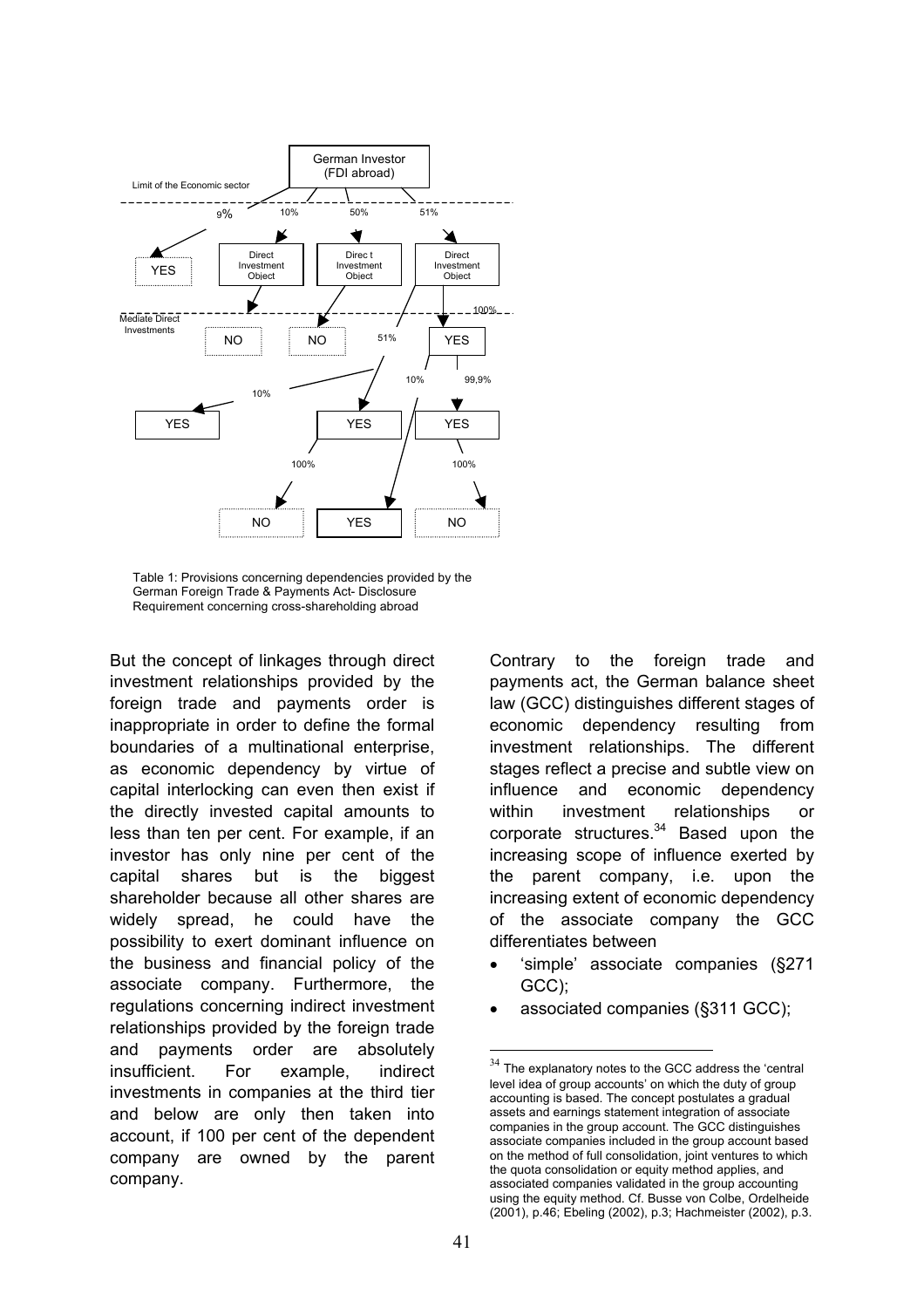

Table 1: Provisions concerning dependencies provided by the German Foreign Trade & Payments Act- Disclosure Requirement concerning cross-shareholding abroad

But the concept of linkages through direct investment relationships provided by the foreign trade and payments order is inappropriate in order to define the formal boundaries of a multinational enterprise, as economic dependency by virtue of capital interlocking can even then exist if the directly invested capital amounts to less than ten per cent. For example, if an investor has only nine per cent of the capital shares but is the biggest shareholder because all other shares are widely spread, he could have the possibility to exert dominant influence on the business and financial policy of the associate company. Furthermore, the regulations concerning indirect investment relationships provided by the foreign trade and payments order are absolutely insufficient. For example, indirect investments in companies at the third tier and below are only then taken into account, if 100 per cent of the dependent company are owned by the parent company.

Contrary to the foreign trade and payments act, the German balance sheet law (GCC) distinguishes different stages of economic dependency resulting from investment relationships. The different stages reflect a precise and subtle view on influence and economic dependency within investment relationships or corporate structures.<sup>34</sup> Based upon the increasing scope of influence exerted by the parent company, i.e. upon the increasing extent of economic dependency of the associate company the GCC differentiates between

- 'simple' associate companies (§271 GCC);
- associated companies (§311 GCC);

 $34$  The explanatory notes to the GCC address the 'central level idea of group accounts' on which the duty of group accounting is based. The concept postulates a gradual assets and earnings statement integration of associate companies in the group account. The GCC distinguishes associate companies included in the group account based on the method of full consolidation, joint ventures to which the quota consolidation or equity method applies, and associated companies validated in the group accounting using the equity method. Cf. Busse von Colbe, Ordelheide (2001), p.46; Ebeling (2002), p.3; Hachmeister (2002), p.3.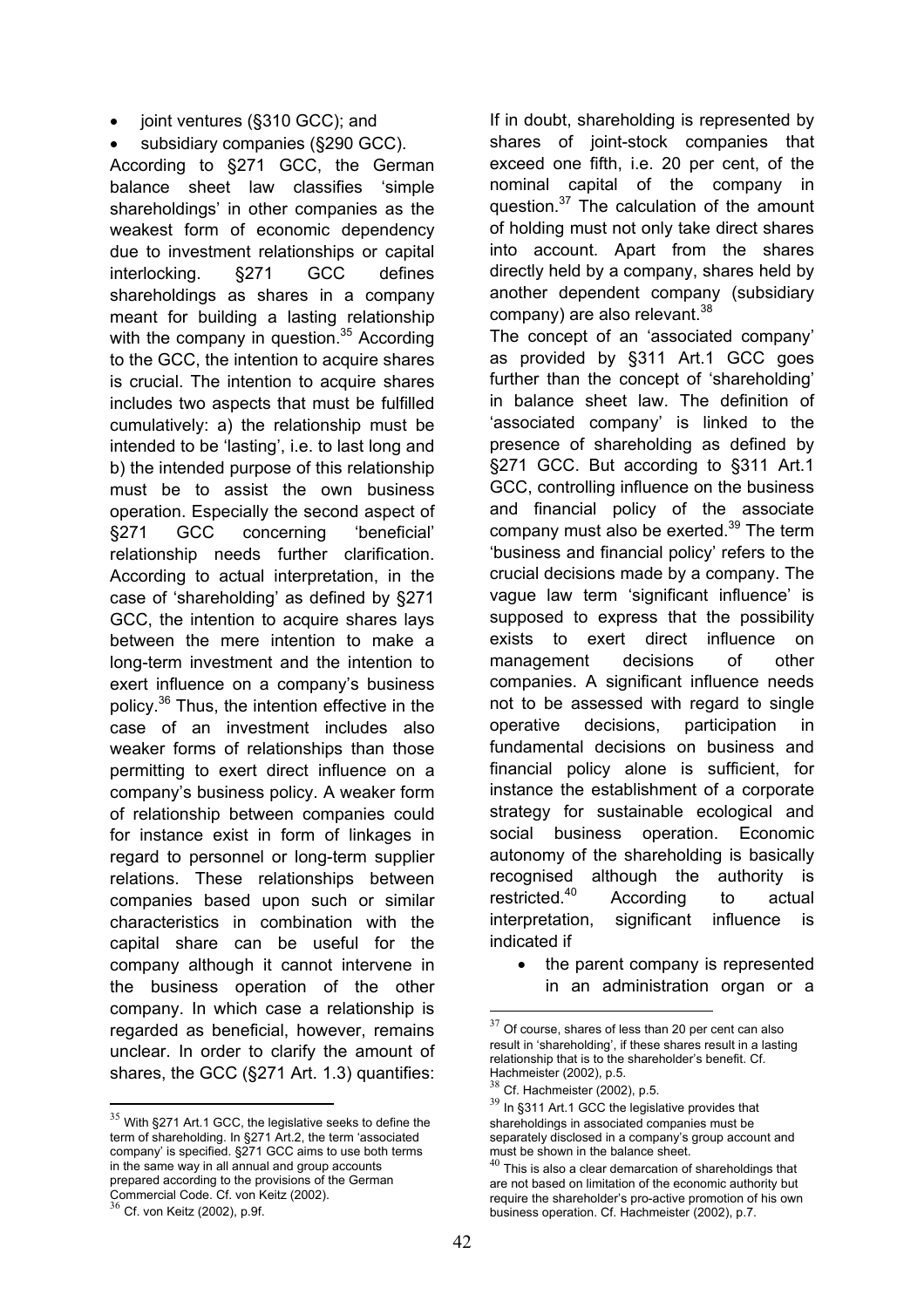- joint ventures (§310 GCC); and
- subsidiary companies (§290 GCC).

According to §271 GCC, the German balance sheet law classifies 'simple shareholdings' in other companies as the weakest form of economic dependency due to investment relationships or capital interlocking. §271 GCC defines shareholdings as shares in a company meant for building a lasting relationship with the company in question. $35$  According to the GCC, the intention to acquire shares is crucial. The intention to acquire shares includes two aspects that must be fulfilled cumulatively: a) the relationship must be intended to be 'lasting', i.e. to last long and b) the intended purpose of this relationship must be to assist the own business operation. Especially the second aspect of §271 GCC concerning 'beneficial' relationship needs further clarification. According to actual interpretation, in the case of 'shareholding' as defined by §271 GCC, the intention to acquire shares lays between the mere intention to make a long-term investment and the intention to exert influence on a company's business policy.36 Thus, the intention effective in the case of an investment includes also weaker forms of relationships than those permitting to exert direct influence on a company's business policy. A weaker form of relationship between companies could for instance exist in form of linkages in regard to personnel or long-term supplier relations. These relationships between companies based upon such or similar characteristics in combination with the capital share can be useful for the company although it cannot intervene in the business operation of the other company. In which case a relationship is regarded as beneficial, however, remains unclear. In order to clarify the amount of shares, the GCC (§271 Art. 1.3) quantifies:

1

If in doubt, shareholding is represented by shares of joint-stock companies that exceed one fifth, i.e. 20 per cent, of the nominal capital of the company in question.<sup>37</sup> The calculation of the amount of holding must not only take direct shares into account. Apart from the shares directly held by a company, shares held by another dependent company (subsidiary company) are also relevant.<sup>38</sup>

The concept of an 'associated company' as provided by §311 Art.1 GCC goes further than the concept of 'shareholding' in balance sheet law. The definition of 'associated company' is linked to the presence of shareholding as defined by §271 GCC. But according to §311 Art.1 GCC, controlling influence on the business and financial policy of the associate company must also be exerted. $39$  The term 'business and financial policy' refers to the crucial decisions made by a company. The vague law term 'significant influence' is supposed to express that the possibility exists to exert direct influence on management decisions of other companies. A significant influence needs not to be assessed with regard to single operative decisions, participation in fundamental decisions on business and financial policy alone is sufficient, for instance the establishment of a corporate strategy for sustainable ecological and social business operation. Economic autonomy of the shareholding is basically recognised although the authority is restricted.40 According to actual interpretation, significant influence is indicated if

• the parent company is represented in an administration organ or a

<sup>&</sup>lt;sup>35</sup> With §271 Art.1 GCC, the legislative seeks to define the term of shareholding. In §271 Art.2, the term 'associated company' is specified. §271 GCC aims to use both terms in the same way in all annual and group accounts prepared according to the provisions of the German Commercial Code. Cf. von Keitz (2002).<br><sup>36</sup> Cf. von Keitz (2002), p.9f.

 $37$  Of course, shares of less than 20 per cent can also result in 'shareholding', if these shares result in a lasting relationship that is to the shareholder's benefit. Cf. Hachmeister (2002), p.5.

 $38$  Cf. Hachmeister (2002), p.5.

 $39$  In §311 Art.1 GCC the legislative provides that shareholdings in associated companies must be separately disclosed in a company's group account and must be shown in the balance sheet.

 $40$  This is also a clear demarcation of shareholdings that are not based on limitation of the economic authority but require the shareholder's pro-active promotion of his own business operation. Cf. Hachmeister (2002), p.7.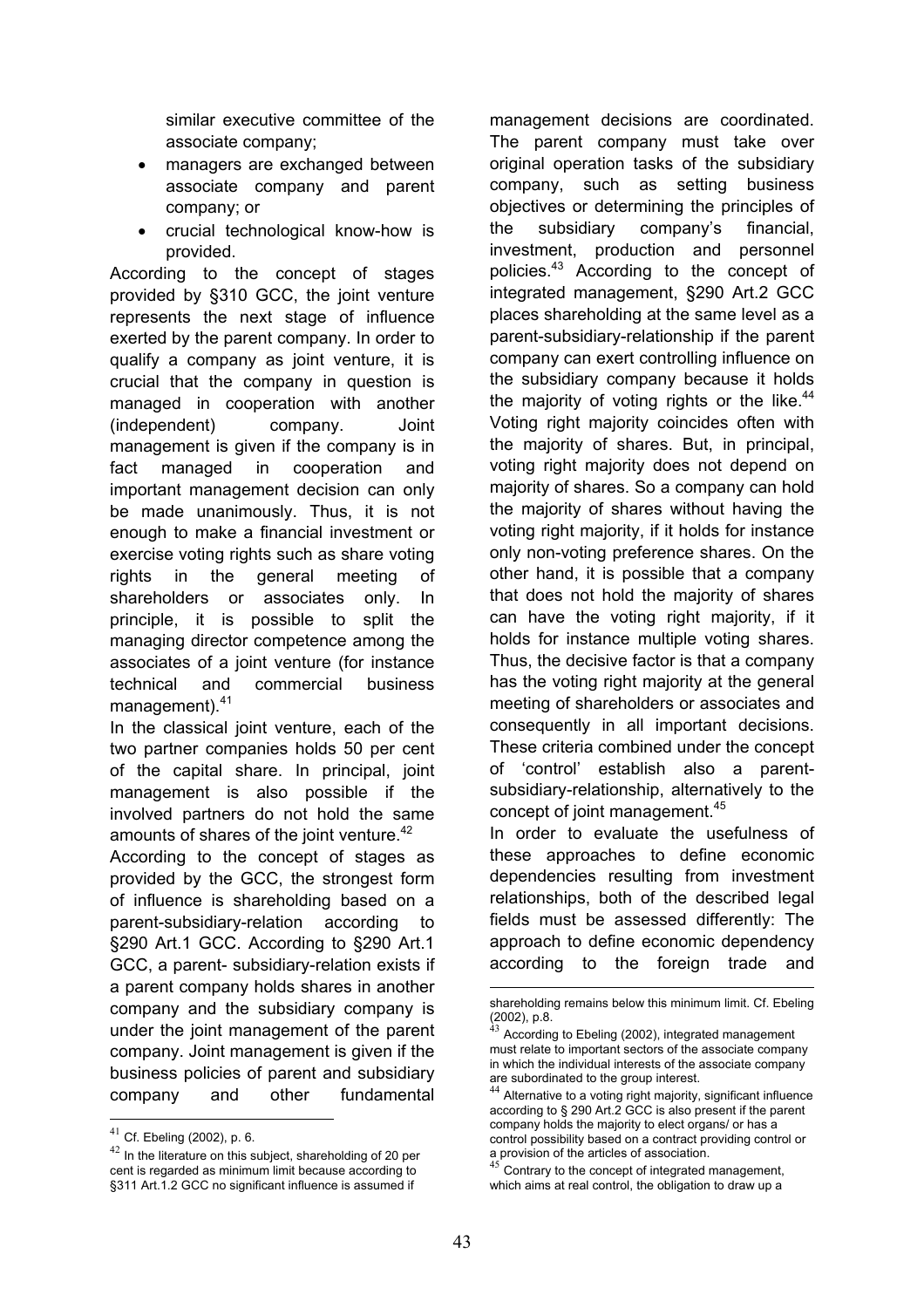similar executive committee of the associate company;

- managers are exchanged between associate company and parent company; or
- crucial technological know-how is provided.

According to the concept of stages provided by §310 GCC, the joint venture represents the next stage of influence exerted by the parent company. In order to qualify a company as joint venture, it is crucial that the company in question is managed in cooperation with another (independent) company. Joint management is given if the company is in fact managed in cooperation and important management decision can only be made unanimously. Thus, it is not enough to make a financial investment or exercise voting rights such as share voting rights in the general meeting of shareholders or associates only. In principle, it is possible to split the managing director competence among the associates of a joint venture (for instance technical and commercial business management).<sup>41</sup>

In the classical joint venture, each of the two partner companies holds 50 per cent of the capital share. In principal, joint management is also possible if the involved partners do not hold the same amounts of shares of the joint venture.<sup>42</sup>

According to the concept of stages as provided by the GCC, the strongest form of influence is shareholding based on a parent-subsidiary-relation according to §290 Art.1 GCC. According to §290 Art.1 GCC, a parent- subsidiary-relation exists if a parent company holds shares in another company and the subsidiary company is under the joint management of the parent company. Joint management is given if the business policies of parent and subsidiary company and other fundamental

1

management decisions are coordinated. The parent company must take over original operation tasks of the subsidiary company, such as setting business objectives or determining the principles of the subsidiary company's financial, investment, production and personnel policies.<sup>43</sup> According to the concept of integrated management, §290 Art.2 GCC places shareholding at the same level as a parent-subsidiary-relationship if the parent company can exert controlling influence on the subsidiary company because it holds the majority of voting rights or the like. $44$ Voting right majority coincides often with the majority of shares. But, in principal, voting right majority does not depend on majority of shares. So a company can hold the majority of shares without having the voting right majority, if it holds for instance only non-voting preference shares. On the other hand, it is possible that a company that does not hold the majority of shares can have the voting right majority, if it holds for instance multiple voting shares. Thus, the decisive factor is that a company has the voting right majority at the general meeting of shareholders or associates and consequently in all important decisions. These criteria combined under the concept of 'control' establish also a parentsubsidiary-relationship, alternatively to the concept of joint management.<sup>45</sup>

In order to evaluate the usefulness of these approaches to define economic dependencies resulting from investment relationships, both of the described legal fields must be assessed differently: The approach to define economic dependency according to the foreign trade and

Contrary to the concept of integrated management, which aims at real control, the obligation to draw up a

 $41$  Cf. Ebeling (2002), p. 6.

<sup>&</sup>lt;sup>42</sup> In the literature on this subject, shareholding of 20 per cent is regarded as minimum limit because according to §311 Art.1.2 GCC no significant influence is assumed if

shareholding remains below this minimum limit. Cf. Ebeling (2002), p.8.

According to Ebeling (2002), integrated management must relate to important sectors of the associate company in which the individual interests of the associate company are subordinated to the group interest.

 $^{44}$  Alternative to a voting right majority, significant influence according to § 290 Art.2 GCC is also present if the parent company holds the majority to elect organs/ or has a control possibility based on a contract providing control or a provision of the articles of association.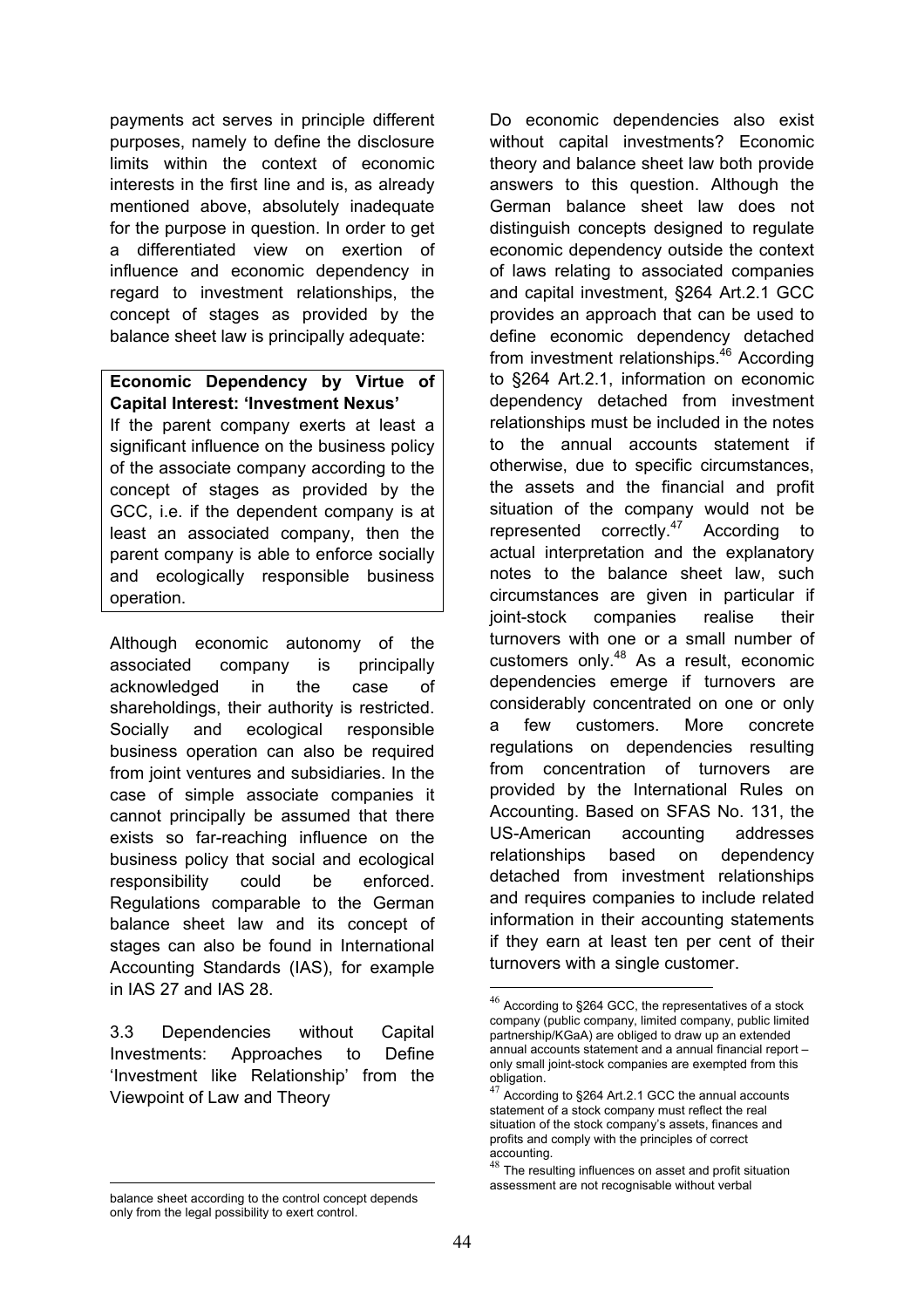payments act serves in principle different purposes, namely to define the disclosure limits within the context of economic interests in the first line and is, as already mentioned above, absolutely inadequate for the purpose in question. In order to get a differentiated view on exertion of influence and economic dependency in regard to investment relationships, the concept of stages as provided by the balance sheet law is principally adequate:

**Economic Dependency by Virtue of Capital Interest: 'Investment Nexus'** If the parent company exerts at least a significant influence on the business policy of the associate company according to the concept of stages as provided by the GCC, i.e. if the dependent company is at least an associated company, then the parent company is able to enforce socially and ecologically responsible business operation.

Although economic autonomy of the associated company is principally acknowledged in the case of shareholdings, their authority is restricted. Socially and ecological responsible business operation can also be required from joint ventures and subsidiaries. In the case of simple associate companies it cannot principally be assumed that there exists so far-reaching influence on the business policy that social and ecological responsibility could be enforced. Regulations comparable to the German balance sheet law and its concept of stages can also be found in International Accounting Standards (IAS), for example in IAS 27 and IAS 28.

3.3 Dependencies without Capital Investments: Approaches to Define 'Investment like Relationship' from the Viewpoint of Law and Theory

Do economic dependencies also exist without capital investments? Economic theory and balance sheet law both provide answers to this question. Although the German balance sheet law does not distinguish concepts designed to regulate economic dependency outside the context of laws relating to associated companies and capital investment, §264 Art.2.1 GCC provides an approach that can be used to define economic dependency detached from investment relationships.<sup>46</sup> According to §264 Art.2.1, information on economic dependency detached from investment relationships must be included in the notes to the annual accounts statement if otherwise, due to specific circumstances, the assets and the financial and profit situation of the company would not be represented correctly.<sup>47</sup> According to actual interpretation and the explanatory notes to the balance sheet law, such circumstances are given in particular if joint-stock companies realise their turnovers with one or a small number of customers only.48 As a result, economic dependencies emerge if turnovers are considerably concentrated on one or only a few customers. More concrete regulations on dependencies resulting from concentration of turnovers are provided by the International Rules on Accounting. Based on SFAS No. 131, the US-American accounting addresses relationships based on dependency detached from investment relationships and requires companies to include related information in their accounting statements if they earn at least ten per cent of their turnovers with a single customer.

<sup>1</sup> balance sheet according to the control concept depends only from the legal possibility to exert control.

 $^{46}$  According to §264 GCC, the representatives of a stock company (public company, limited company, public limited partnership/KGaA) are obliged to draw up an extended annual accounts statement and a annual financial report – only small joint-stock companies are exempted from this obligation.

<sup>&</sup>lt;sup>47</sup> According to §264 Art.2.1 GCC the annual accounts statement of a stock company must reflect the real situation of the stock company's assets, finances and profits and comply with the principles of correct accounting.

<sup>48</sup> The resulting influences on asset and profit situation assessment are not recognisable without verbal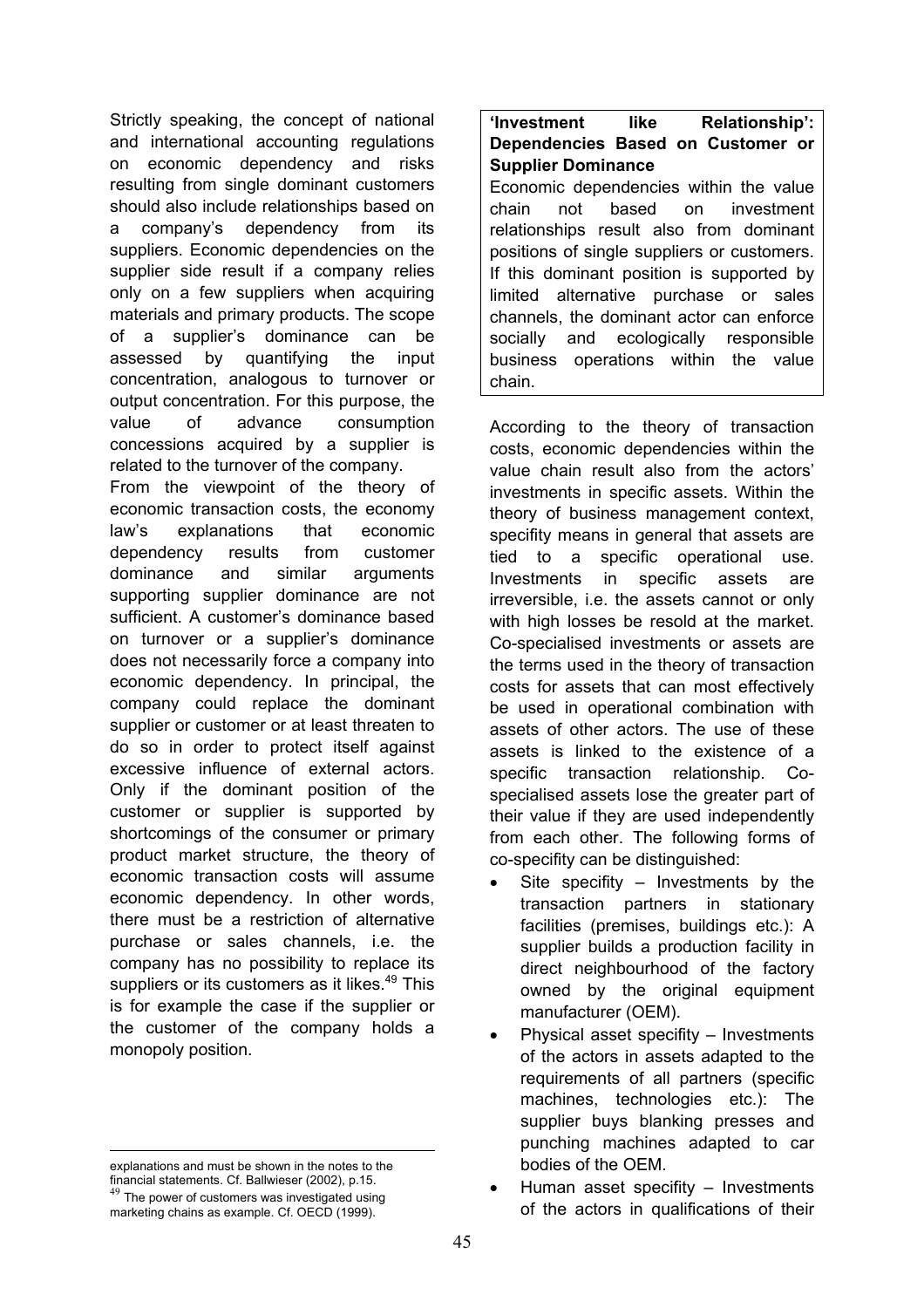Strictly speaking, the concept of national and international accounting regulations on economic dependency and risks resulting from single dominant customers should also include relationships based on a company's dependency from its suppliers. Economic dependencies on the supplier side result if a company relies only on a few suppliers when acquiring materials and primary products. The scope of a supplier's dominance can be assessed by quantifying the input concentration, analogous to turnover or output concentration. For this purpose, the value of advance consumption concessions acquired by a supplier is related to the turnover of the company.

From the viewpoint of the theory of economic transaction costs, the economy law's explanations that economic dependency results from customer dominance and similar arguments supporting supplier dominance are not sufficient. A customer's dominance based on turnover or a supplier's dominance does not necessarily force a company into economic dependency. In principal, the company could replace the dominant supplier or customer or at least threaten to do so in order to protect itself against excessive influence of external actors. Only if the dominant position of the customer or supplier is supported by shortcomings of the consumer or primary product market structure, the theory of economic transaction costs will assume economic dependency. In other words, there must be a restriction of alternative purchase or sales channels, i.e. the company has no possibility to replace its suppliers or its customers as it likes.<sup>49</sup> This is for example the case if the supplier or the customer of the company holds a monopoly position.

<u>.</u>

**'Investment like Relationship': Dependencies Based on Customer or Supplier Dominance**

Economic dependencies within the value chain not based on investment relationships result also from dominant positions of single suppliers or customers. If this dominant position is supported by limited alternative purchase or sales channels, the dominant actor can enforce socially and ecologically responsible business operations within the value chain.

According to the theory of transaction costs, economic dependencies within the value chain result also from the actors' investments in specific assets. Within the theory of business management context, specifity means in general that assets are tied to a specific operational use. Investments in specific assets are irreversible, i.e. the assets cannot or only with high losses be resold at the market. Co-specialised investments or assets are the terms used in the theory of transaction costs for assets that can most effectively be used in operational combination with assets of other actors. The use of these assets is linked to the existence of a specific transaction relationship. Cospecialised assets lose the greater part of their value if they are used independently from each other. The following forms of co-specifity can be distinguished:

- Site specifity  $-$  Investments by the transaction partners in stationary facilities (premises, buildings etc.): A supplier builds a production facility in direct neighbourhood of the factory owned by the original equipment manufacturer (OEM).
- Physical asset specifity Investments of the actors in assets adapted to the requirements of all partners (specific machines, technologies etc.): The supplier buys blanking presses and punching machines adapted to car bodies of the OEM.
- Human asset specifity Investments of the actors in qualifications of their

explanations and must be shown in the notes to the financial statements. Cf. Ballwieser (2002), p.15.

 $49$  The power of customers was investigated using marketing chains as example. Cf. OECD (1999).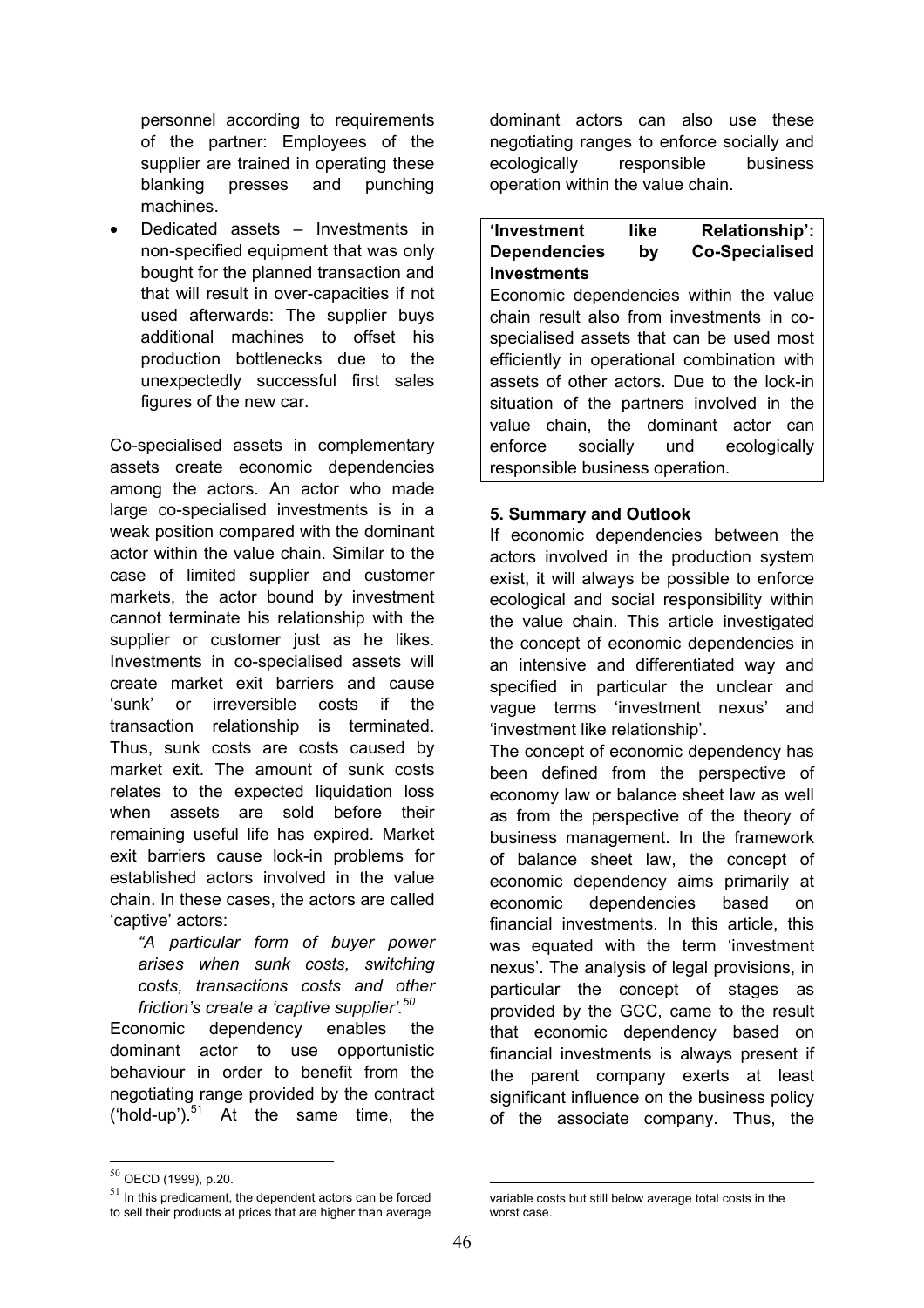personnel according to requirements of the partner: Employees of the supplier are trained in operating these blanking presses and punching machines.

• Dedicated assets – Investments in non-specified equipment that was only bought for the planned transaction and that will result in over-capacities if not used afterwards: The supplier buys additional machines to offset his production bottlenecks due to the unexpectedly successful first sales figures of the new car.

Co-specialised assets in complementary assets create economic dependencies among the actors. An actor who made large co-specialised investments is in a weak position compared with the dominant actor within the value chain. Similar to the case of limited supplier and customer markets, the actor bound by investment cannot terminate his relationship with the supplier or customer just as he likes. Investments in co-specialised assets will create market exit barriers and cause 'sunk' or irreversible costs if the transaction relationship is terminated. Thus, sunk costs are costs caused by market exit. The amount of sunk costs relates to the expected liquidation loss when assets are sold before their remaining useful life has expired. Market exit barriers cause lock-in problems for established actors involved in the value chain. In these cases, the actors are called 'captive' actors:

*"A particular form of buyer power arises when sunk costs, switching costs, transactions costs and other friction's create a 'captive supplier'.<sup>50</sup>*

Economic dependency enables the dominant actor to use opportunistic behaviour in order to benefit from the negotiating range provided by the contract ('hold-up'). $51$  At the same time, the

dominant actors can also use these negotiating ranges to enforce socially and ecologically responsible business operation within the value chain.

## **'Investment like Relationship': Dependencies by Co-Specialised Investments**

Economic dependencies within the value chain result also from investments in cospecialised assets that can be used most efficiently in operational combination with assets of other actors. Due to the lock-in situation of the partners involved in the value chain, the dominant actor can enforce socially und ecologically responsible business operation.

## **5. Summary and Outlook**

If economic dependencies between the actors involved in the production system exist, it will always be possible to enforce ecological and social responsibility within the value chain. This article investigated the concept of economic dependencies in an intensive and differentiated way and specified in particular the unclear and vague terms 'investment nexus' and 'investment like relationship'.

The concept of economic dependency has been defined from the perspective of economy law or balance sheet law as well as from the perspective of the theory of business management. In the framework of balance sheet law, the concept of economic dependency aims primarily at economic dependencies based on financial investments. In this article, this was equated with the term 'investment nexus'. The analysis of legal provisions, in particular the concept of stages as provided by the GCC, came to the result that economic dependency based on financial investments is always present if the parent company exerts at least significant influence on the business policy of the associate company. Thus, the

1

 $^{50}$  OECD (1999), p.20.

 $51$  In this predicament, the dependent actors can be forced to sell their products at prices that are higher than average

 $\overline{a}$ variable costs but still below average total costs in the worst case.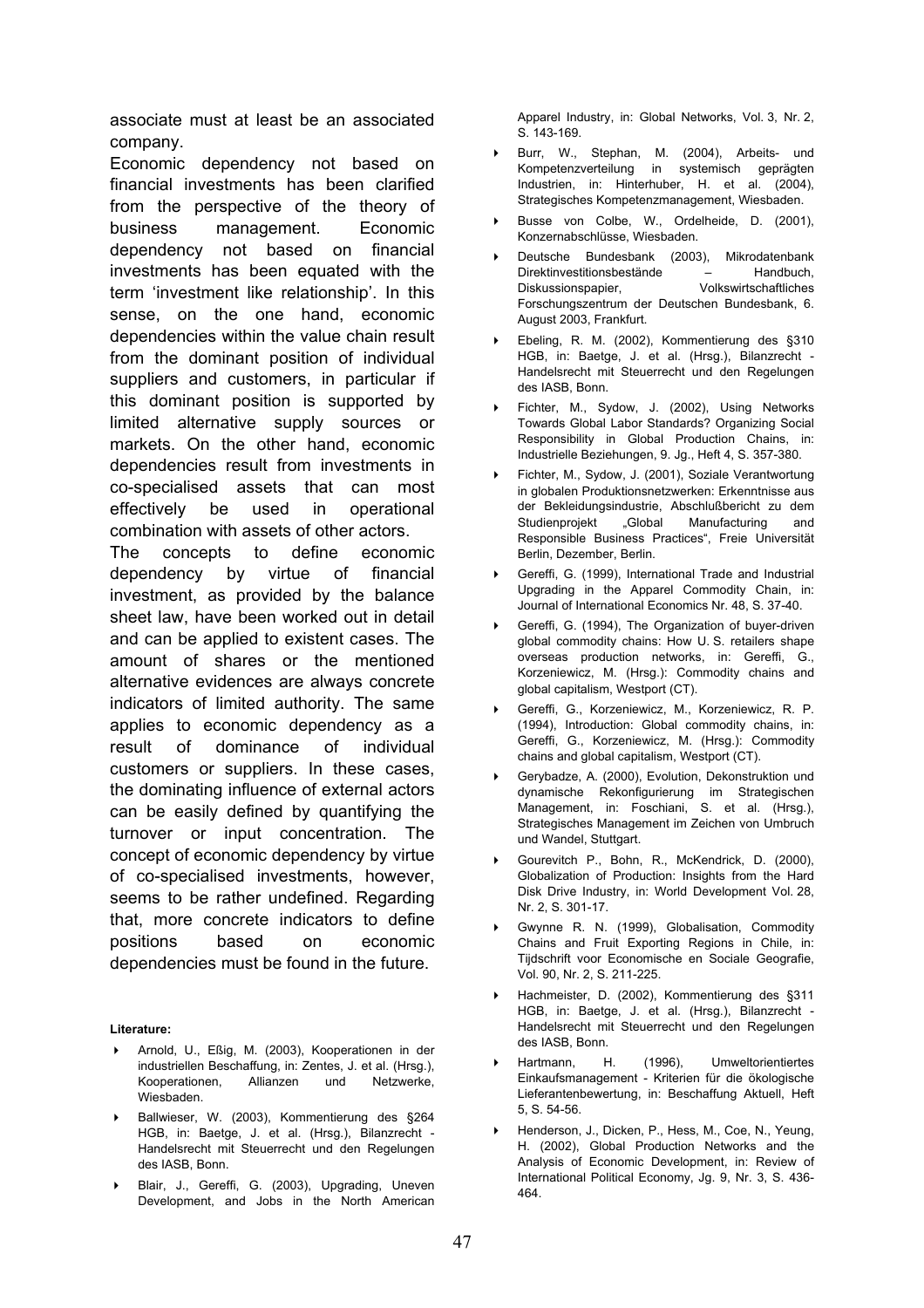associate must at least be an associated company.

Economic dependency not based on financial investments has been clarified from the perspective of the theory of business management. Economic dependency not based on financial investments has been equated with the term 'investment like relationship'. In this sense, on the one hand, economic dependencies within the value chain result from the dominant position of individual suppliers and customers, in particular if this dominant position is supported by limited alternative supply sources or markets. On the other hand, economic dependencies result from investments in co-specialised assets that can most effectively be used in operational combination with assets of other actors.

The concepts to define economic dependency by virtue of financial investment, as provided by the balance sheet law, have been worked out in detail and can be applied to existent cases. The amount of shares or the mentioned alternative evidences are always concrete indicators of limited authority. The same applies to economic dependency as a result of dominance of individual customers or suppliers. In these cases, the dominating influence of external actors can be easily defined by quantifying the turnover or input concentration. The concept of economic dependency by virtue of co-specialised investments, however, seems to be rather undefined. Regarding that, more concrete indicators to define positions based on economic dependencies must be found in the future.

#### **Literature:**

- Arnold, U., Eßig, M. (2003), Kooperationen in der industriellen Beschaffung, in: Zentes, J. et al. (Hrsg.), Kooperationen, Allianzen und Netzwerke, Wiesbaden.
- Ballwieser, W. (2003), Kommentierung des §264 HGB, in: Baetge, J. et al. (Hrsg.), Bilanzrecht - Handelsrecht mit Steuerrecht und den Regelungen des IASB, Bonn.
- Blair, J., Gereffi, G. (2003), Upgrading, Uneven Development, and Jobs in the North American

Apparel Industry, in: Global Networks, Vol. 3, Nr. 2, S. 143-169.

- Burr, W., Stephan, M. (2004), Arbeits- und Kompetenzverteilung in systemisch geprägten Industrien, in: Hinterhuber, H. et al. (2004), Strategisches Kompetenzmanagement, Wiesbaden.
- Busse von Colbe, W., Ordelheide, D. (2001), Konzernabschlüsse, Wiesbaden.
- Deutsche Bundesbank (2003), Mikrodatenbank Direktinvestitionsbestände – Handbuch, Diskussionspapier, Volkswirtschaftliches Forschungszentrum der Deutschen Bundesbank, 6. August 2003, Frankfurt.
- Ebeling, R. M. (2002), Kommentierung des §310 HGB, in: Baetge, J. et al. (Hrsg.), Bilanzrecht - Handelsrecht mit Steuerrecht und den Regelungen des IASB, Bonn.
- Fichter, M., Sydow, J. (2002), Using Networks Towards Global Labor Standards? Organizing Social Responsibility in Global Production Chains, in: Industrielle Beziehungen, 9. Jg., Heft 4, S. 357-380.
- Fichter, M., Sydow, J. (2001), Soziale Verantwortung in globalen Produktionsnetzwerken: Erkenntnisse aus der Bekleidungsindustrie, Abschlußbericht zu dem Studienprojekt "Global Manufacturing and Responsible Business Practices", Freie Universität Berlin, Dezember, Berlin.
- Gereffi, G. (1999), International Trade and Industrial Upgrading in the Apparel Commodity Chain, in: Journal of International Economics Nr. 48, S. 37-40.
- Gereffi, G. (1994), The Organization of buyer-driven global commodity chains: How U. S. retailers shape overseas production networks, in: Gereffi, G., Korzeniewicz, M. (Hrsg.): Commodity chains and global capitalism, Westport (CT).
- Gereffi, G., Korzeniewicz, M., Korzeniewicz, R. P. (1994), Introduction: Global commodity chains, in: Gereffi, G., Korzeniewicz, M. (Hrsg.): Commodity chains and global capitalism, Westport (CT).
- Gerybadze, A. (2000), Evolution, Dekonstruktion und dynamische Rekonfigurierung im Strategischen Management, in: Foschiani, S. et al. (Hrsg.), Strategisches Management im Zeichen von Umbruch und Wandel, Stuttgart.
- Gourevitch P., Bohn, R., McKendrick, D. (2000), Globalization of Production: Insights from the Hard Disk Drive Industry, in: World Development Vol. 28, Nr. 2, S. 301-17.
- Gwynne R. N. (1999), Globalisation, Commodity Chains and Fruit Exporting Regions in Chile, in: Tijdschrift voor Economische en Sociale Geografie, Vol. 90, Nr. 2, S. 211-225.
- Hachmeister, D. (2002), Kommentierung des §311 HGB, in: Baetge, J. et al. (Hrsg.), Bilanzrecht - Handelsrecht mit Steuerrecht und den Regelungen des IASB, Bonn.
- Hartmann, H. (1996), Umweltorientiertes Einkaufsmanagement - Kriterien für die ökologische Lieferantenbewertung, in: Beschaffung Aktuell, Heft 5, S. 54-56.
- Henderson, J., Dicken, P., Hess, M., Coe, N., Yeung, H. (2002), Global Production Networks and the Analysis of Economic Development, in: Review of International Political Economy, Jg. 9, Nr. 3, S. 436- 464.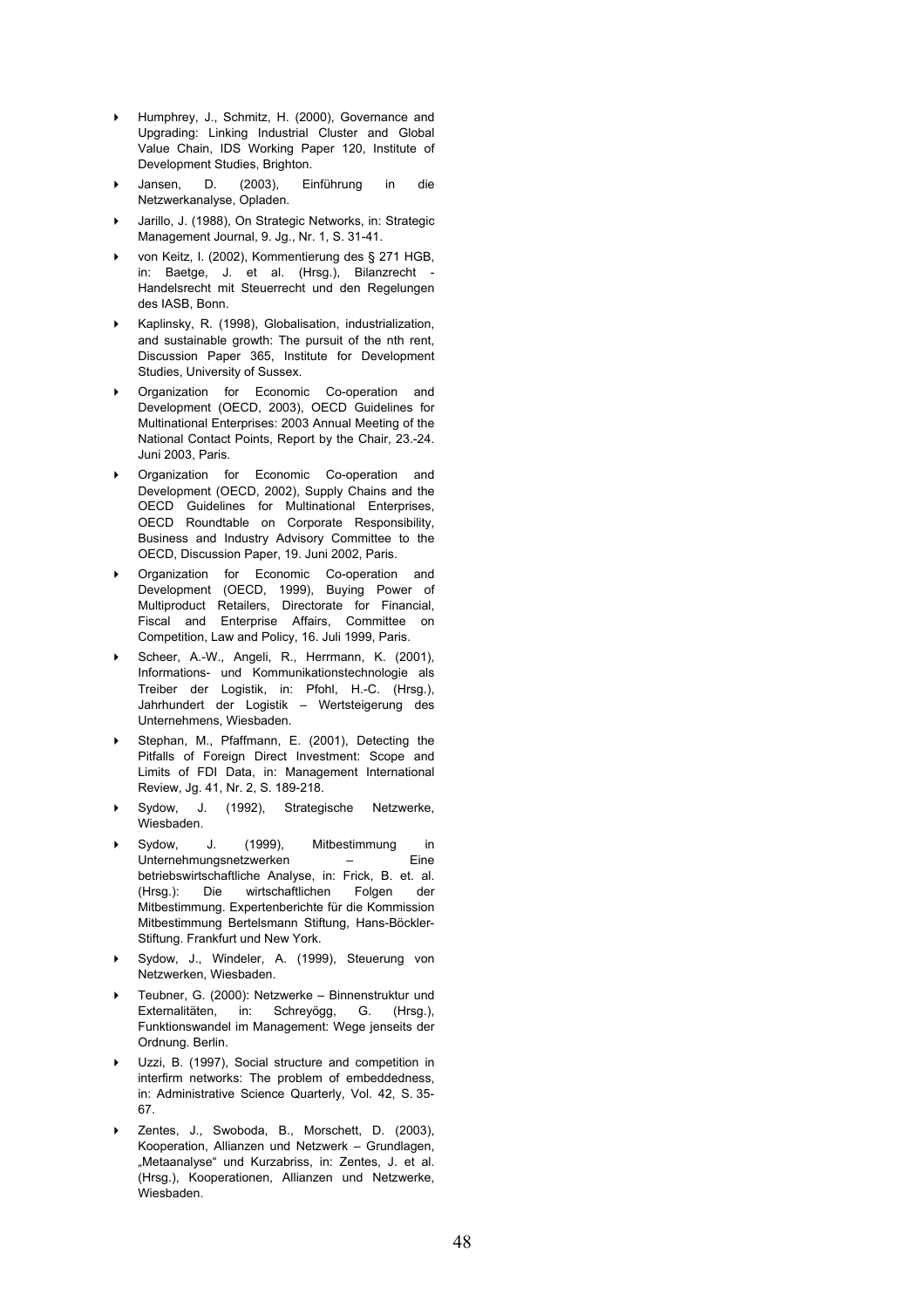- Humphrey, J., Schmitz, H. (2000), Governance and Upgrading: Linking Industrial Cluster and Global Value Chain, IDS Working Paper 120, Institute of Development Studies, Brighton.
- Jansen, D. (2003), Einführung in die Netzwerkanalyse, Opladen.
- Jarillo, J. (1988), On Strategic Networks, in: Strategic Management Journal, 9. Jg., Nr. 1, S. 31-41.
- von Keitz, I. (2002), Kommentierung des § 271 HGB, in: Baetge, J. et al. (Hrsg.), Bilanzrecht - Handelsrecht mit Steuerrecht und den Regelungen des IASB, Bonn.
- Kaplinsky, R. (1998), Globalisation, industrialization, and sustainable growth: The pursuit of the nth rent, Discussion Paper 365, Institute for Development Studies, University of Sussex.
- **Dimension for Economic Co-operation and** Development (OECD, 2003), OECD Guidelines for Multinational Enterprises: 2003 Annual Meeting of the National Contact Points, Report by the Chair, 23.-24. Juni 2003, Paris.
- Organization for Economic Co-operation and Development (OECD, 2002), Supply Chains and the OECD Guidelines for Multinational Enterprises, OECD Roundtable on Corporate Responsibility, Business and Industry Advisory Committee to the OECD, Discussion Paper, 19. Juni 2002, Paris.
- Organization for Economic Co-operation and Development (OECD, 1999), Buying Power of Multiproduct Retailers, Directorate for Financial, Fiscal and Enterprise Affairs, Committee on Competition, Law and Policy, 16. Juli 1999, Paris.
- Scheer, A.-W., Angeli, R., Herrmann, K. (2001), Informations- und Kommunikationstechnologie als Treiber der Logistik, in: Pfohl, H.-C. (Hrsg.), Jahrhundert der Logistik – Wertsteigerung des Unternehmens, Wiesbaden.
- Stephan, M., Pfaffmann, E. (2001), Detecting the Pitfalls of Foreign Direct Investment: Scope and Limits of FDI Data, in: Management International Review, Jg. 41, Nr. 2, S. 189-218.
- Sydow, J. (1992), Strategische Netzwerke, Wiesbaden.
- Sydow, J. (1999), Mitbestimmung in Unternehmungsnetzwerken – Eine betriebswirtschaftliche Analyse, in: Frick, B. et. al.<br>(Hrsg.): Die wirtschaftlichen Folgen der (Hrsg.): Die wirtschaftlichen Folgen der Mitbestimmung. Expertenberichte für die Kommission Mitbestimmung Bertelsmann Stiftung, Hans-Böckler-Stiftung. Frankfurt und New York.
- Sydow, J., Windeler, A. (1999), Steuerung von Netzwerken, Wiesbaden.
- Teubner, G. (2000): Netzwerke Binnenstruktur und Externalitäten, in: Schreyögg, G. (Hrsg.), Funktionswandel im Management: Wege jenseits der Ordnung. Berlin.
- Uzzi, B. (1997), Social structure and competition in interfirm networks: The problem of embeddedness, in: Administrative Science Quarterly, Vol. 42, S. 35- 67.
- Zentes, J., Swoboda, B., Morschett, D. (2003), Kooperation, Allianzen und Netzwerk – Grundlagen, "Metaanalyse" und Kurzabriss, in: Zentes, J. et al. (Hrsg.), Kooperationen, Allianzen und Netzwerke, Wiesbaden.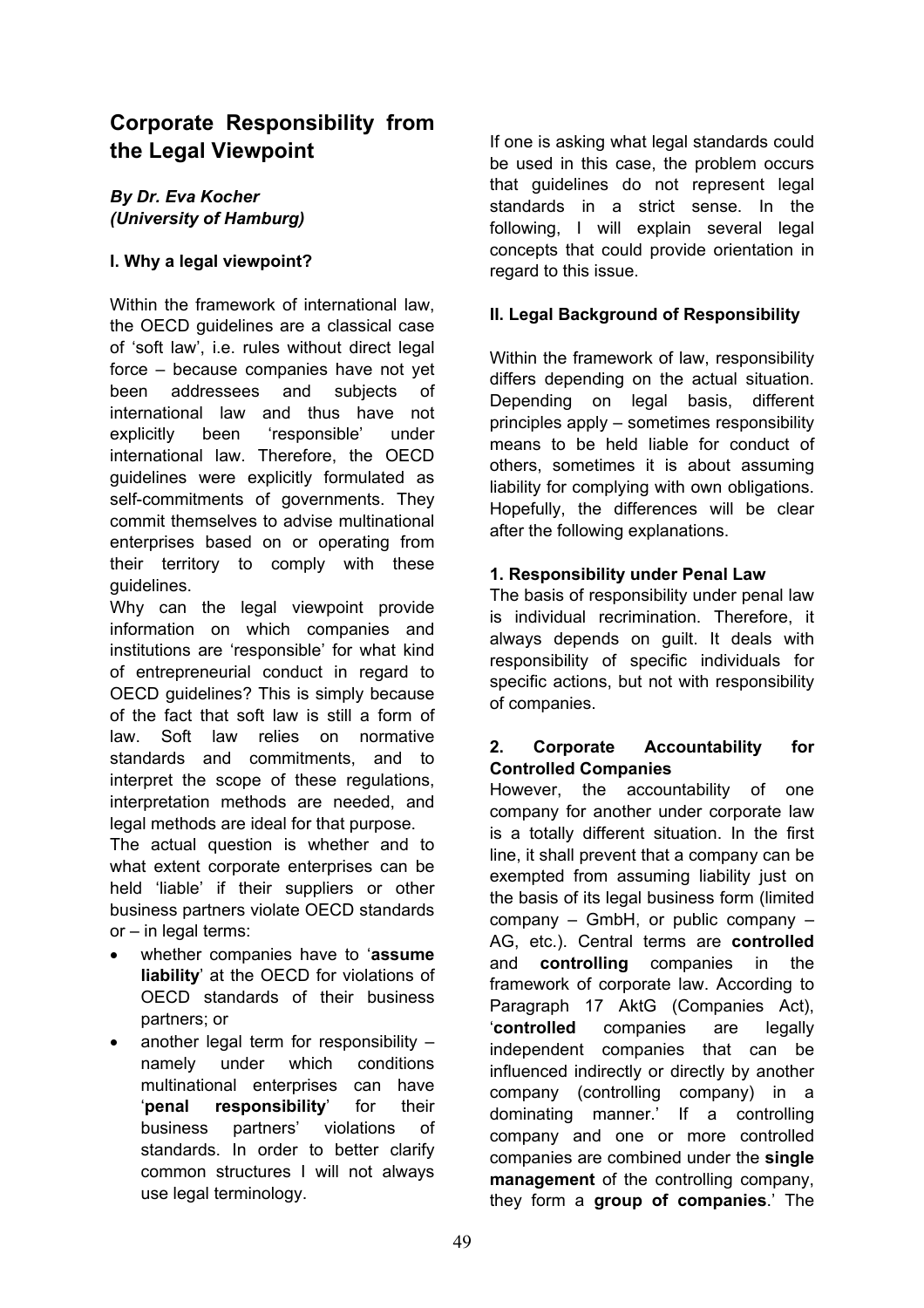# **Corporate Responsibility from the Legal Viewpoint**

## *By Dr. Eva Kocher (University of Hamburg)*

## **I. Why a legal viewpoint?**

Within the framework of international law, the OECD guidelines are a classical case of 'soft law', i.e. rules without direct legal force – because companies have not yet been addressees and subjects of international law and thus have not explicitly been 'responsible' under international law. Therefore, the OECD guidelines were explicitly formulated as self-commitments of governments. They commit themselves to advise multinational enterprises based on or operating from their territory to comply with these guidelines.

Why can the legal viewpoint provide information on which companies and institutions are 'responsible' for what kind of entrepreneurial conduct in regard to OECD guidelines? This is simply because of the fact that soft law is still a form of law. Soft law relies on normative standards and commitments, and to interpret the scope of these regulations, interpretation methods are needed, and legal methods are ideal for that purpose.

The actual question is whether and to what extent corporate enterprises can be held 'liable' if their suppliers or other business partners violate OECD standards or – in legal terms:

- whether companies have to '**assume liability**' at the OECD for violations of OECD standards of their business partners; or
- another legal term for responsibility  $$ namely under which conditions multinational enterprises can have '**penal responsibility**' for their business partners' violations of standards. In order to better clarify common structures I will not always use legal terminology.

If one is asking what legal standards could be used in this case, the problem occurs that guidelines do not represent legal standards in a strict sense. In the following, I will explain several legal concepts that could provide orientation in regard to this issue.

## **II. Legal Background of Responsibility**

Within the framework of law, responsibility differs depending on the actual situation. Depending on legal basis, different principles apply – sometimes responsibility means to be held liable for conduct of others, sometimes it is about assuming liability for complying with own obligations. Hopefully, the differences will be clear after the following explanations.

## **1. Responsibility under Penal Law**

The basis of responsibility under penal law is individual recrimination. Therefore, it always depends on guilt. It deals with responsibility of specific individuals for specific actions, but not with responsibility of companies.

## **2. Corporate Accountability for Controlled Companies**

However, the accountability of one company for another under corporate law is a totally different situation. In the first line, it shall prevent that a company can be exempted from assuming liability just on the basis of its legal business form (limited company – GmbH, or public company – AG, etc.). Central terms are **controlled** and **controlling** companies in the framework of corporate law. According to Paragraph 17 AktG (Companies Act), '**controlled** companies are legally independent companies that can be influenced indirectly or directly by another company (controlling company) in a dominating manner.' If a controlling company and one or more controlled companies are combined under the **single management** of the controlling company, they form a **group of companies**.' The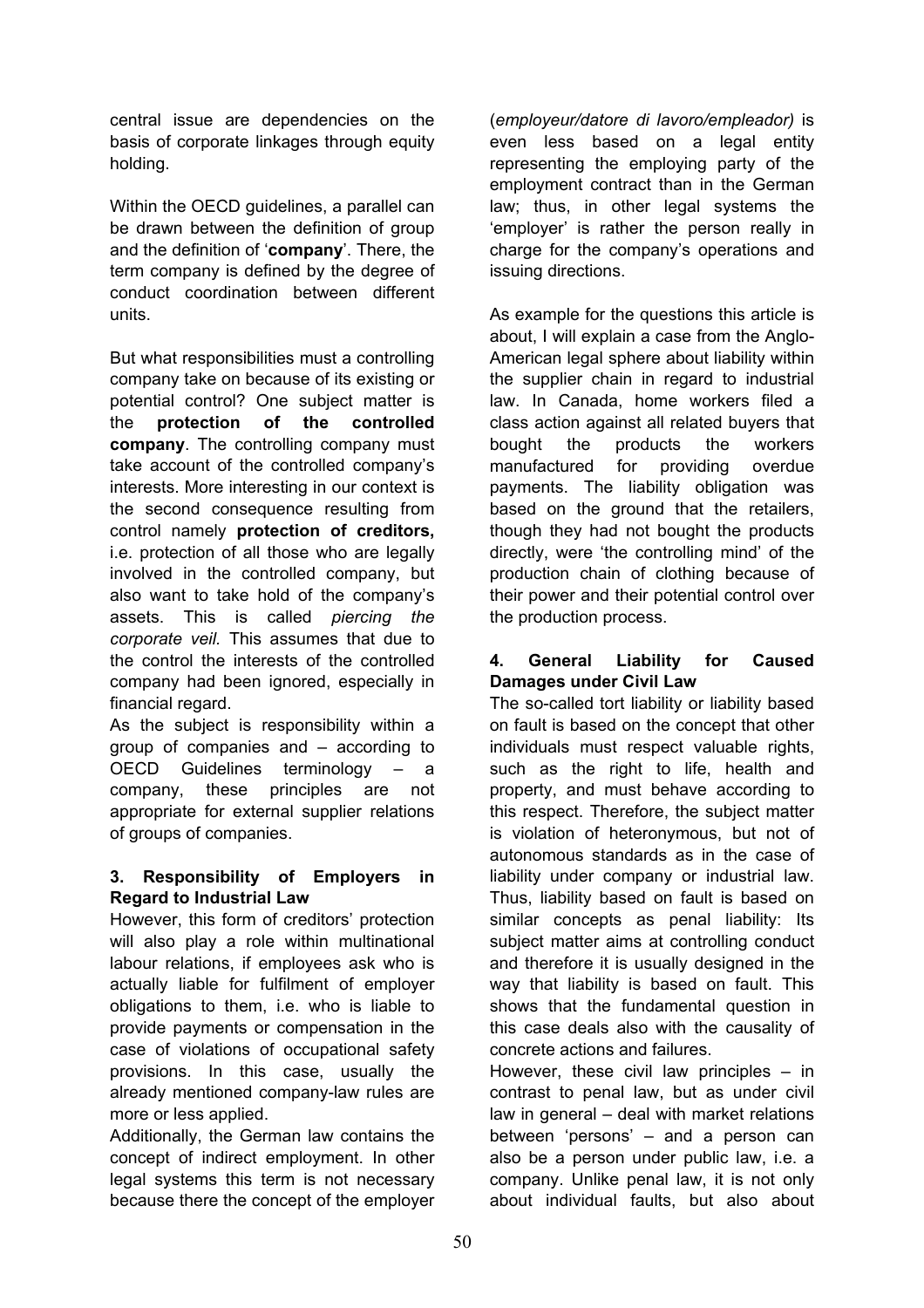central issue are dependencies on the basis of corporate linkages through equity holding.

Within the OECD guidelines, a parallel can be drawn between the definition of group and the definition of '**company**'. There, the term company is defined by the degree of conduct coordination between different units.

But what responsibilities must a controlling company take on because of its existing or potential control? One subject matter is the **protection of the controlled company**. The controlling company must take account of the controlled company's interests. More interesting in our context is the second consequence resulting from control namely **protection of creditors,** i.e. protection of all those who are legally involved in the controlled company, but also want to take hold of the company's assets. This is called *piercing the corporate veil.* This assumes that due to the control the interests of the controlled company had been ignored, especially in financial regard.

As the subject is responsibility within a group of companies and – according to OECD Guidelines terminology – a company, these principles are not appropriate for external supplier relations of groups of companies.

## **3. Responsibility of Employers in Regard to Industrial Law**

However, this form of creditors' protection will also play a role within multinational labour relations, if employees ask who is actually liable for fulfilment of employer obligations to them, i.e. who is liable to provide payments or compensation in the case of violations of occupational safety provisions. In this case, usually the already mentioned company-law rules are more or less applied.

Additionally, the German law contains the concept of indirect employment. In other legal systems this term is not necessary because there the concept of the employer (*employeur/datore di lavoro/empleador)* is even less based on a legal entity representing the employing party of the employment contract than in the German law; thus, in other legal systems the 'employer' is rather the person really in charge for the company's operations and issuing directions.

As example for the questions this article is about, I will explain a case from the Anglo-American legal sphere about liability within the supplier chain in regard to industrial law. In Canada, home workers filed a class action against all related buyers that bought the products the workers manufactured for providing overdue payments. The liability obligation was based on the ground that the retailers, though they had not bought the products directly, were 'the controlling mind' of the production chain of clothing because of their power and their potential control over the production process.

## **4. General Liability for Caused Damages under Civil Law**

The so-called tort liability or liability based on fault is based on the concept that other individuals must respect valuable rights, such as the right to life, health and property, and must behave according to this respect. Therefore, the subject matter is violation of heteronymous, but not of autonomous standards as in the case of liability under company or industrial law. Thus, liability based on fault is based on similar concepts as penal liability: Its subject matter aims at controlling conduct and therefore it is usually designed in the way that liability is based on fault. This shows that the fundamental question in this case deals also with the causality of concrete actions and failures.

However, these civil law principles – in contrast to penal law, but as under civil law in general – deal with market relations between 'persons' – and a person can also be a person under public law, i.e. a company. Unlike penal law, it is not only about individual faults, but also about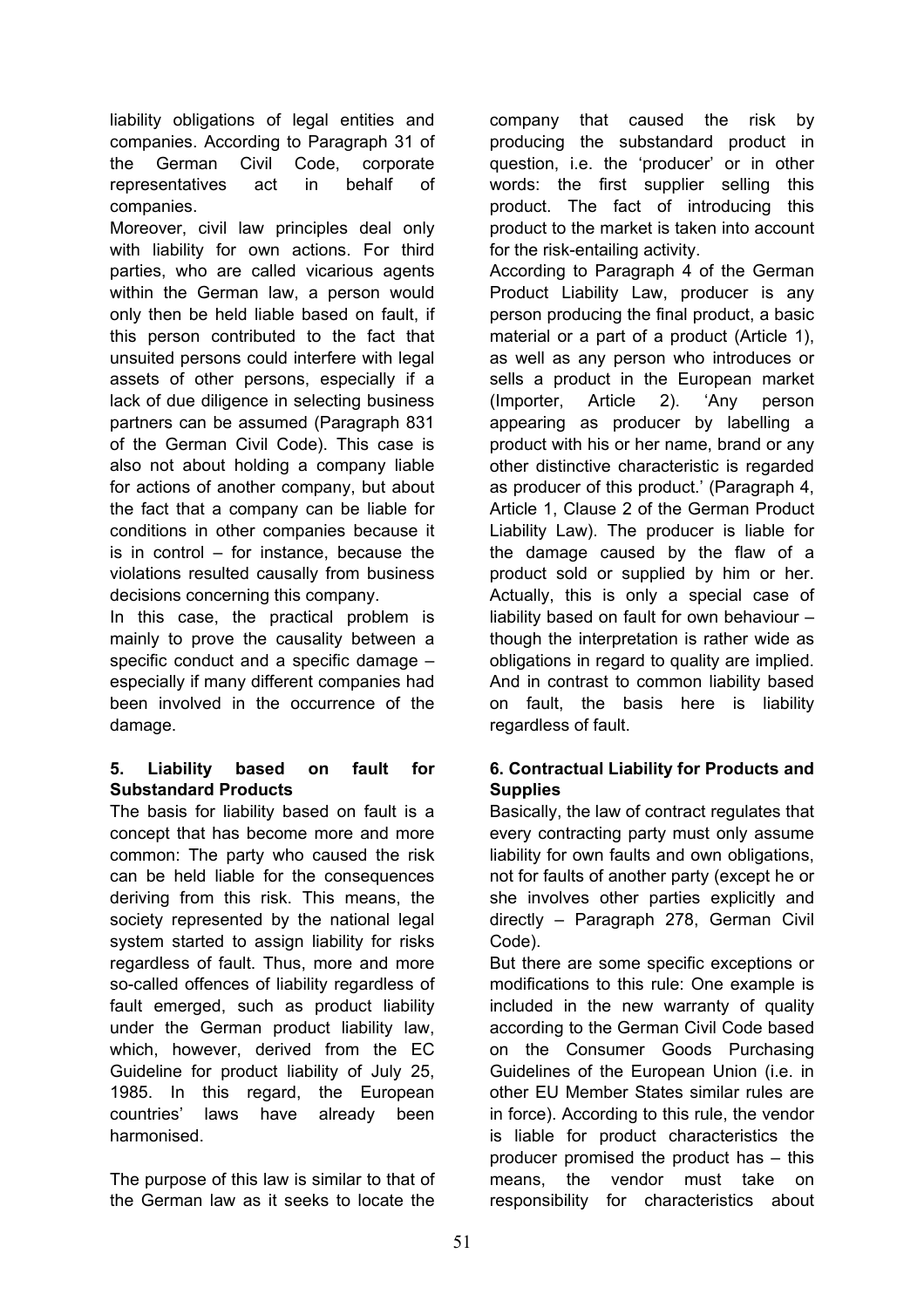liability obligations of legal entities and companies. According to Paragraph 31 of the German Civil Code, corporate representatives act in behalf of companies.

Moreover, civil law principles deal only with liability for own actions. For third parties, who are called vicarious agents within the German law, a person would only then be held liable based on fault, if this person contributed to the fact that unsuited persons could interfere with legal assets of other persons, especially if a lack of due diligence in selecting business partners can be assumed (Paragraph 831 of the German Civil Code). This case is also not about holding a company liable for actions of another company, but about the fact that a company can be liable for conditions in other companies because it is in control – for instance, because the violations resulted causally from business decisions concerning this company.

In this case, the practical problem is mainly to prove the causality between a specific conduct and a specific damage – especially if many different companies had been involved in the occurrence of the damage.

## **5. Liability based on fault for Substandard Products**

The basis for liability based on fault is a concept that has become more and more common: The party who caused the risk can be held liable for the consequences deriving from this risk. This means, the society represented by the national legal system started to assign liability for risks regardless of fault. Thus, more and more so-called offences of liability regardless of fault emerged, such as product liability under the German product liability law, which, however, derived from the EC Guideline for product liability of July 25, 1985. In this regard, the European countries' laws have already been harmonised.

The purpose of this law is similar to that of the German law as it seeks to locate the

company that caused the risk by producing the substandard product in question, i.e. the 'producer' or in other words: the first supplier selling this product. The fact of introducing this product to the market is taken into account for the risk-entailing activity.

According to Paragraph 4 of the German Product Liability Law, producer is any person producing the final product, a basic material or a part of a product (Article 1), as well as any person who introduces or sells a product in the European market (Importer, Article 2). 'Any person appearing as producer by labelling a product with his or her name, brand or any other distinctive characteristic is regarded as producer of this product.' (Paragraph 4, Article 1, Clause 2 of the German Product Liability Law). The producer is liable for the damage caused by the flaw of a product sold or supplied by him or her. Actually, this is only a special case of liability based on fault for own behaviour – though the interpretation is rather wide as obligations in regard to quality are implied. And in contrast to common liability based on fault, the basis here is liability regardless of fault.

## **6. Contractual Liability for Products and Supplies**

Basically, the law of contract regulates that every contracting party must only assume liability for own faults and own obligations, not for faults of another party (except he or she involves other parties explicitly and directly – Paragraph 278, German Civil Code).

But there are some specific exceptions or modifications to this rule: One example is included in the new warranty of quality according to the German Civil Code based on the Consumer Goods Purchasing Guidelines of the European Union (i.e. in other EU Member States similar rules are in force). According to this rule, the vendor is liable for product characteristics the producer promised the product has – this means, the vendor must take on responsibility for characteristics about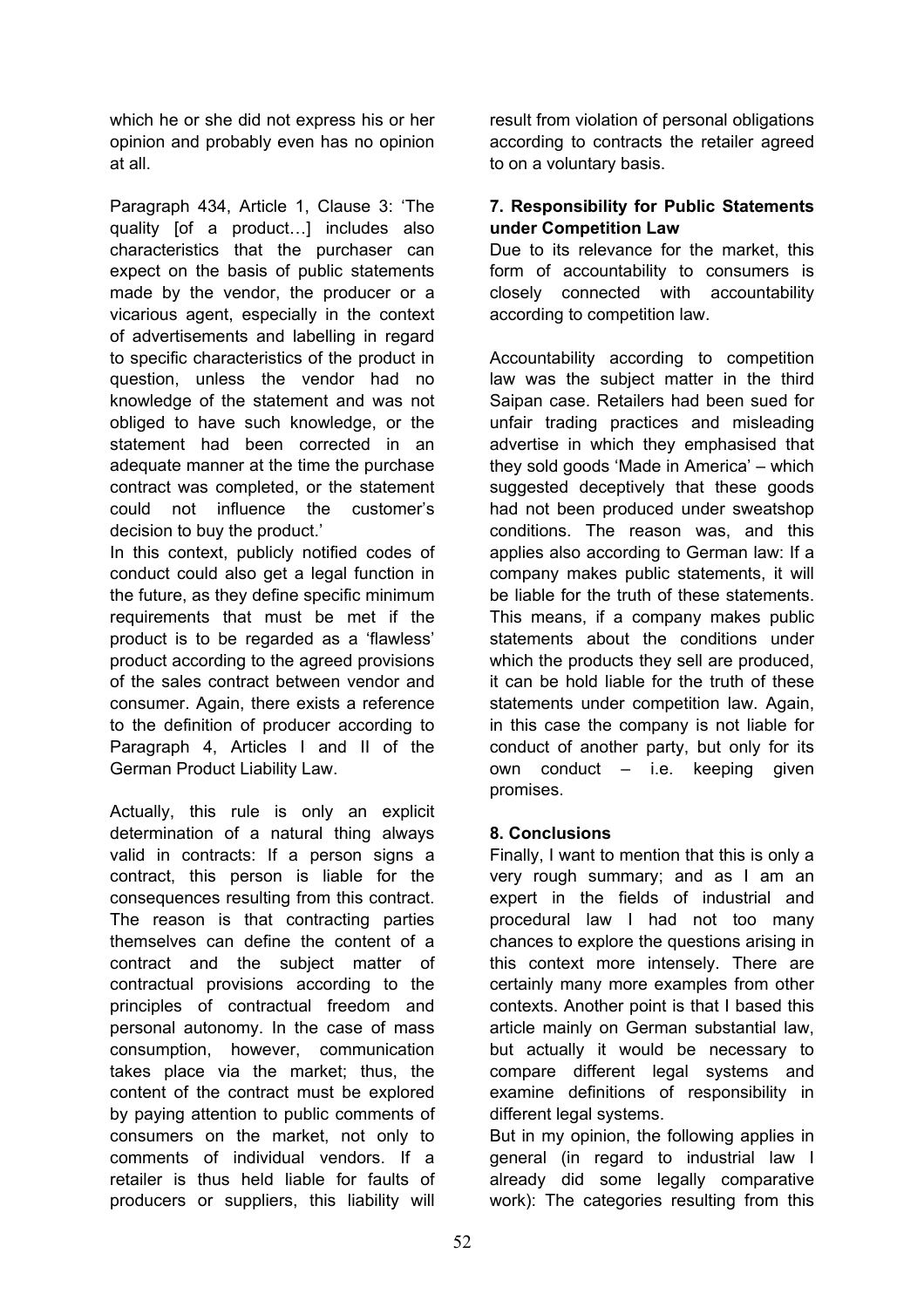which he or she did not express his or her opinion and probably even has no opinion at all.

Paragraph 434, Article 1, Clause 3: 'The quality [of a product…] includes also characteristics that the purchaser can expect on the basis of public statements made by the vendor, the producer or a vicarious agent, especially in the context of advertisements and labelling in regard to specific characteristics of the product in question, unless the vendor had no knowledge of the statement and was not obliged to have such knowledge, or the statement had been corrected in an adequate manner at the time the purchase contract was completed, or the statement could not influence the customer's decision to buy the product.'

In this context, publicly notified codes of conduct could also get a legal function in the future, as they define specific minimum requirements that must be met if the product is to be regarded as a 'flawless' product according to the agreed provisions of the sales contract between vendor and consumer. Again, there exists a reference to the definition of producer according to Paragraph 4, Articles I and II of the German Product Liability Law.

Actually, this rule is only an explicit determination of a natural thing always valid in contracts: If a person signs a contract, this person is liable for the consequences resulting from this contract. The reason is that contracting parties themselves can define the content of a contract and the subject matter of contractual provisions according to the principles of contractual freedom and personal autonomy. In the case of mass consumption, however, communication takes place via the market; thus, the content of the contract must be explored by paying attention to public comments of consumers on the market, not only to comments of individual vendors. If a retailer is thus held liable for faults of producers or suppliers, this liability will

result from violation of personal obligations according to contracts the retailer agreed to on a voluntary basis.

## **7. Responsibility for Public Statements under Competition Law**

Due to its relevance for the market, this form of accountability to consumers is closely connected with accountability according to competition law.

Accountability according to competition law was the subject matter in the third Saipan case. Retailers had been sued for unfair trading practices and misleading advertise in which they emphasised that they sold goods 'Made in America' – which suggested deceptively that these goods had not been produced under sweatshop conditions. The reason was, and this applies also according to German law: If a company makes public statements, it will be liable for the truth of these statements. This means, if a company makes public statements about the conditions under which the products they sell are produced, it can be hold liable for the truth of these statements under competition law. Again, in this case the company is not liable for conduct of another party, but only for its own conduct – i.e. keeping given promises.

## **8. Conclusions**

Finally, I want to mention that this is only a very rough summary; and as I am an expert in the fields of industrial and procedural law I had not too many chances to explore the questions arising in this context more intensely. There are certainly many more examples from other contexts. Another point is that I based this article mainly on German substantial law, but actually it would be necessary to compare different legal systems and examine definitions of responsibility in different legal systems.

But in my opinion, the following applies in general (in regard to industrial law I already did some legally comparative work): The categories resulting from this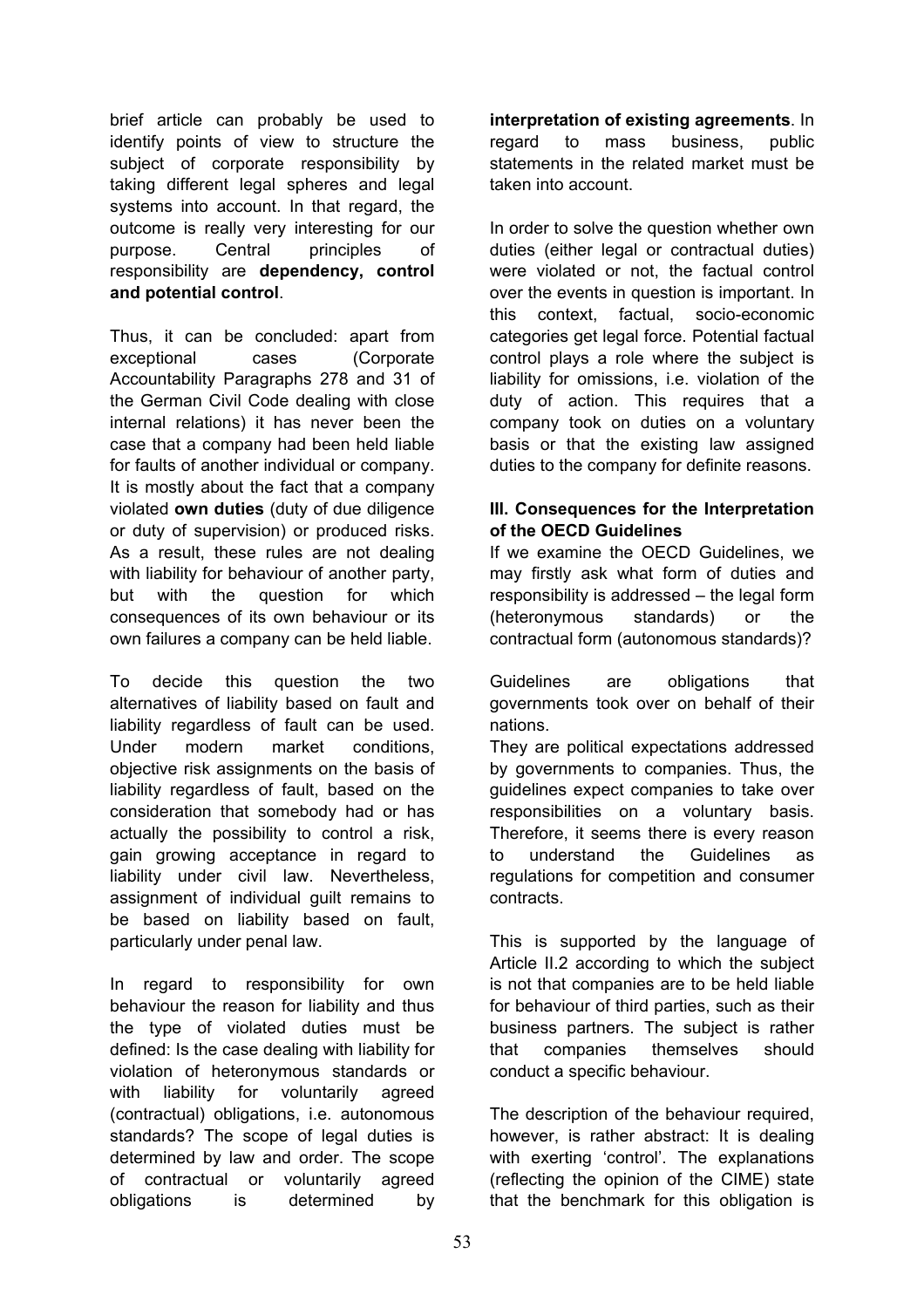brief article can probably be used to identify points of view to structure the subject of corporate responsibility by taking different legal spheres and legal systems into account. In that regard, the outcome is really very interesting for our purpose. Central principles of responsibility are **dependency, control and potential control**.

Thus, it can be concluded: apart from exceptional cases (Corporate Accountability Paragraphs 278 and 31 of the German Civil Code dealing with close internal relations) it has never been the case that a company had been held liable for faults of another individual or company. It is mostly about the fact that a company violated **own duties** (duty of due diligence or duty of supervision) or produced risks. As a result, these rules are not dealing with liability for behaviour of another party. but with the question for which consequences of its own behaviour or its own failures a company can be held liable.

To decide this question the two alternatives of liability based on fault and liability regardless of fault can be used. Under modern market conditions, objective risk assignments on the basis of liability regardless of fault, based on the consideration that somebody had or has actually the possibility to control a risk, gain growing acceptance in regard to liability under civil law. Nevertheless, assignment of individual guilt remains to be based on liability based on fault, particularly under penal law.

In regard to responsibility for own behaviour the reason for liability and thus the type of violated duties must be defined: Is the case dealing with liability for violation of heteronymous standards or with liability for voluntarily agreed (contractual) obligations, i.e. autonomous standards? The scope of legal duties is determined by law and order. The scope of contractual or voluntarily agreed obligations is determined by

**interpretation of existing agreements**. In regard to mass business, public statements in the related market must be taken into account.

In order to solve the question whether own duties (either legal or contractual duties) were violated or not, the factual control over the events in question is important. In this context, factual, socio-economic categories get legal force. Potential factual control plays a role where the subject is liability for omissions, i.e. violation of the duty of action. This requires that a company took on duties on a voluntary basis or that the existing law assigned duties to the company for definite reasons.

## **III. Consequences for the Interpretation of the OECD Guidelines**

If we examine the OECD Guidelines, we may firstly ask what form of duties and responsibility is addressed – the legal form (heteronymous standards) or the contractual form (autonomous standards)?

Guidelines are obligations that governments took over on behalf of their nations.

They are political expectations addressed by governments to companies. Thus, the guidelines expect companies to take over responsibilities on a voluntary basis. Therefore, it seems there is every reason to understand the Guidelines as regulations for competition and consumer contracts.

This is supported by the language of Article II.2 according to which the subject is not that companies are to be held liable for behaviour of third parties, such as their business partners. The subject is rather that companies themselves should conduct a specific behaviour.

The description of the behaviour required, however, is rather abstract: It is dealing with exerting 'control'. The explanations (reflecting the opinion of the CIME) state that the benchmark for this obligation is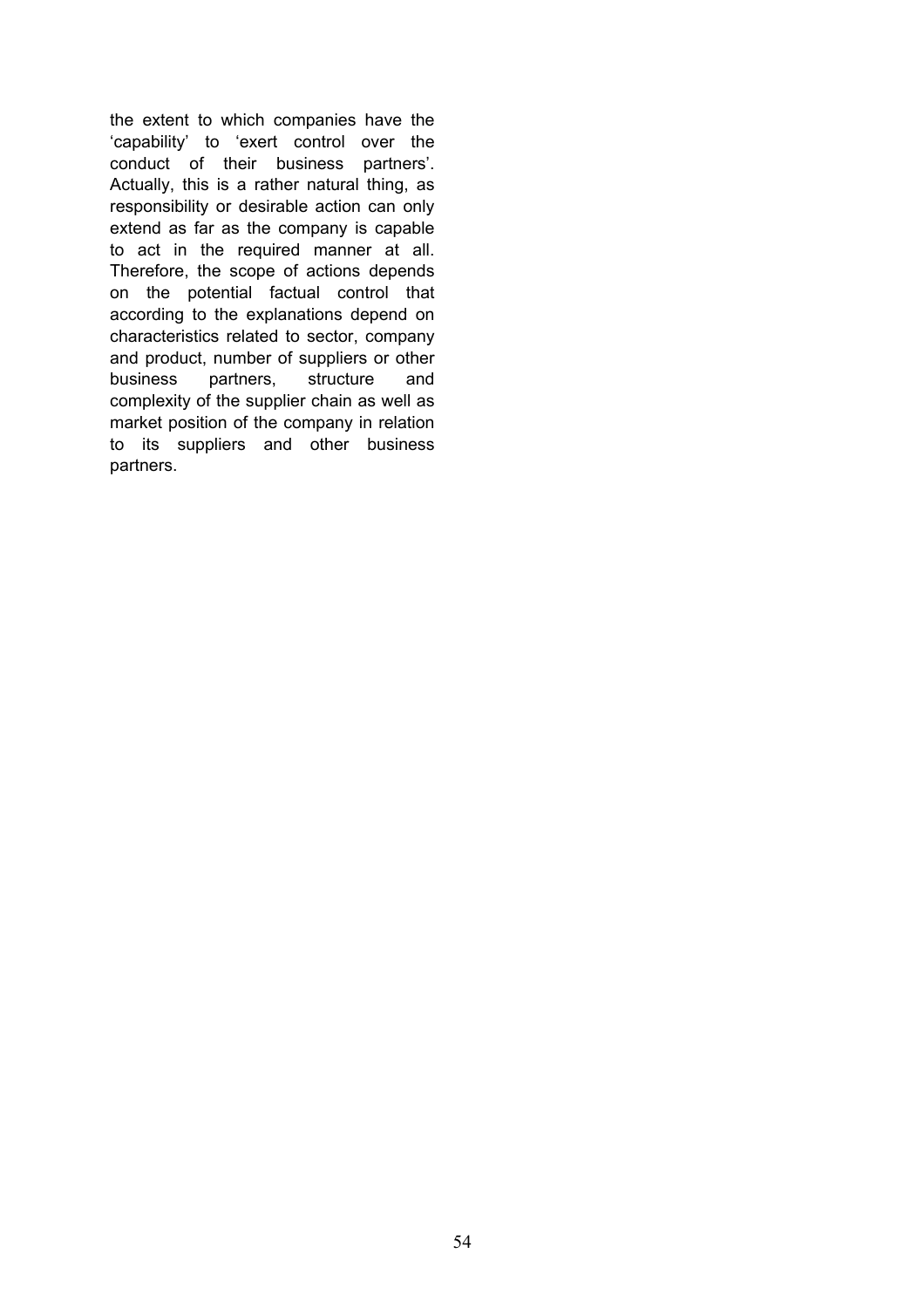the extent to which companies have the 'capability' to 'exert control over the conduct of their business partners'. Actually, this is a rather natural thing, as responsibility or desirable action can only extend as far as the company is capable to act in the required manner at all. Therefore, the scope of actions depends on the potential factual control that according to the explanations depend on characteristics related to sector, company and product, number of suppliers or other business partners, structure and complexity of the supplier chain as well as market position of the company in relation to its suppliers and other business partners.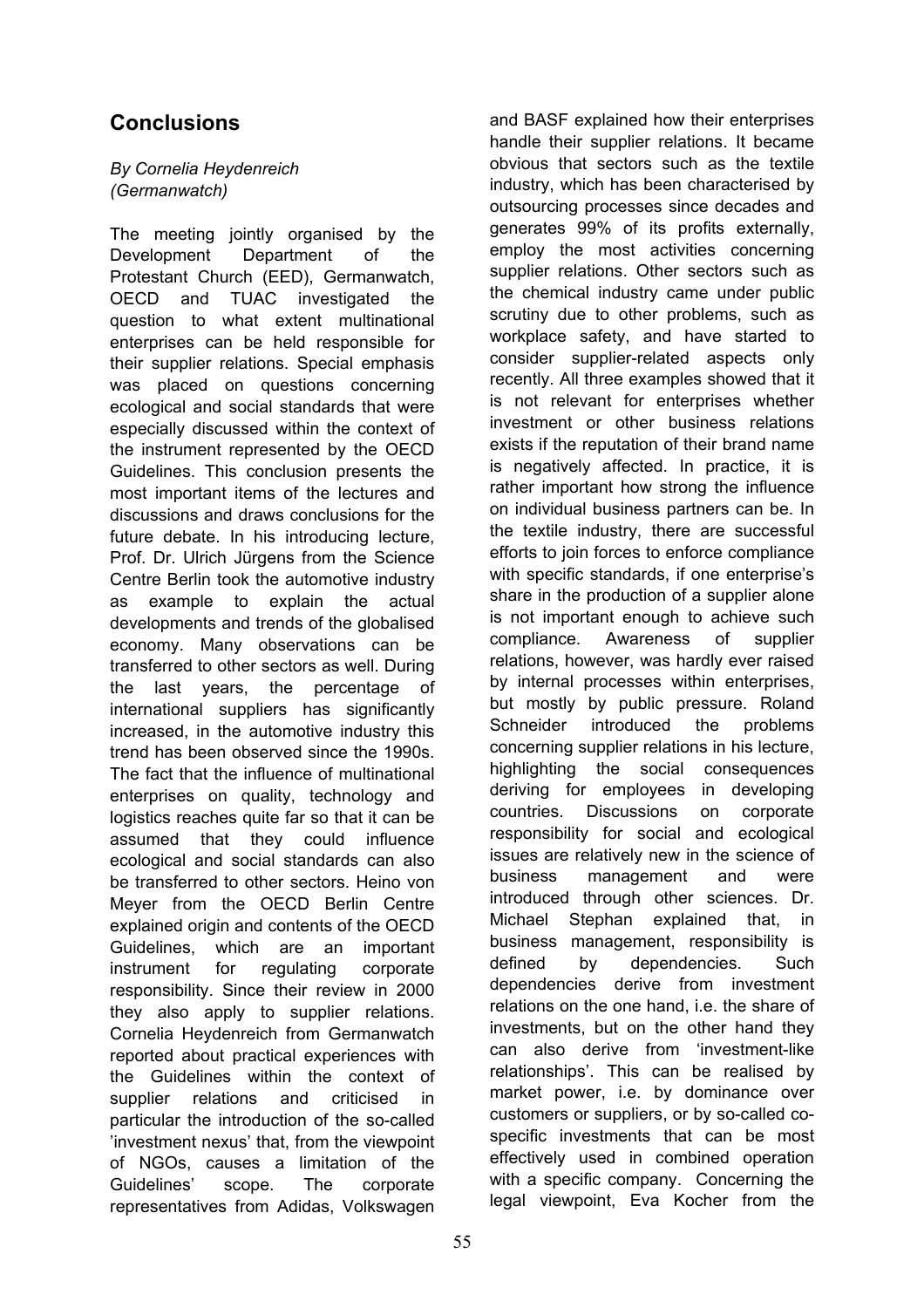# **Conclusions**

## *By Cornelia Heydenreich (Germanwatch)*

The meeting jointly organised by the Development Department of the Protestant Church (EED), Germanwatch, OECD and TUAC investigated the question to what extent multinational enterprises can be held responsible for their supplier relations. Special emphasis was placed on questions concerning ecological and social standards that were especially discussed within the context of the instrument represented by the OECD Guidelines. This conclusion presents the most important items of the lectures and discussions and draws conclusions for the future debate. In his introducing lecture, Prof. Dr. Ulrich Jürgens from the Science Centre Berlin took the automotive industry as example to explain the actual developments and trends of the globalised economy. Many observations can be transferred to other sectors as well. During the last years, the percentage of international suppliers has significantly increased, in the automotive industry this trend has been observed since the 1990s. The fact that the influence of multinational enterprises on quality, technology and logistics reaches quite far so that it can be assumed that they could influence ecological and social standards can also be transferred to other sectors. Heino von Meyer from the OECD Berlin Centre explained origin and contents of the OECD Guidelines, which are an important instrument for regulating corporate responsibility. Since their review in 2000 they also apply to supplier relations. Cornelia Heydenreich from Germanwatch reported about practical experiences with the Guidelines within the context of supplier relations and criticised in particular the introduction of the so-called 'investment nexus' that, from the viewpoint of NGOs, causes a limitation of the Guidelines' scope. The corporate representatives from Adidas, Volkswagen

and BASF explained how their enterprises handle their supplier relations. It became obvious that sectors such as the textile industry, which has been characterised by outsourcing processes since decades and generates 99% of its profits externally, employ the most activities concerning supplier relations. Other sectors such as the chemical industry came under public scrutiny due to other problems, such as workplace safety, and have started to consider supplier-related aspects only recently. All three examples showed that it is not relevant for enterprises whether investment or other business relations exists if the reputation of their brand name is negatively affected. In practice, it is rather important how strong the influence on individual business partners can be. In the textile industry, there are successful efforts to join forces to enforce compliance with specific standards, if one enterprise's share in the production of a supplier alone is not important enough to achieve such compliance. Awareness of supplier relations, however, was hardly ever raised by internal processes within enterprises, but mostly by public pressure. Roland Schneider introduced the problems concerning supplier relations in his lecture, highlighting the social consequences deriving for employees in developing countries. Discussions on corporate responsibility for social and ecological issues are relatively new in the science of business management and were introduced through other sciences. Dr. Michael Stephan explained that, in business management, responsibility is defined by dependencies. Such dependencies derive from investment relations on the one hand, i.e. the share of investments, but on the other hand they can also derive from 'investment-like relationships'. This can be realised by market power, i.e. by dominance over customers or suppliers, or by so-called cospecific investments that can be most effectively used in combined operation with a specific company. Concerning the legal viewpoint, Eva Kocher from the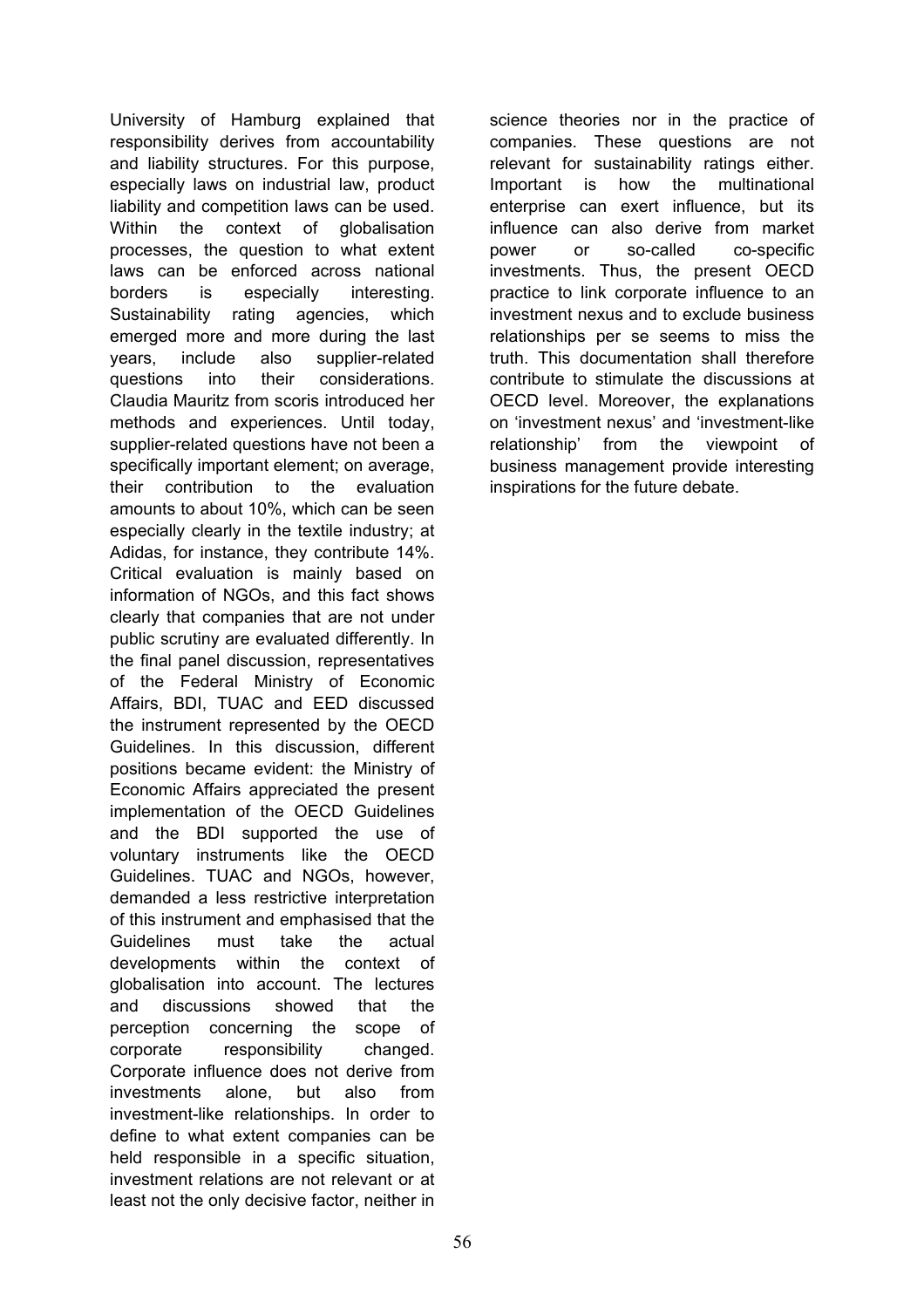University of Hamburg explained that responsibility derives from accountability and liability structures. For this purpose, especially laws on industrial law, product liability and competition laws can be used. Within the context of globalisation processes, the question to what extent laws can be enforced across national borders is especially interesting. Sustainability rating agencies, which emerged more and more during the last years, include also supplier-related questions into their considerations. Claudia Mauritz from scoris introduced her methods and experiences. Until today, supplier-related questions have not been a specifically important element; on average, their contribution to the evaluation amounts to about 10%, which can be seen especially clearly in the textile industry; at Adidas, for instance, they contribute 14%. Critical evaluation is mainly based on information of NGOs, and this fact shows clearly that companies that are not under public scrutiny are evaluated differently. In the final panel discussion, representatives of the Federal Ministry of Economic Affairs, BDI, TUAC and EED discussed the instrument represented by the OECD Guidelines. In this discussion, different positions became evident: the Ministry of Economic Affairs appreciated the present implementation of the OECD Guidelines and the BDI supported the use of voluntary instruments like the OECD Guidelines. TUAC and NGOs, however, demanded a less restrictive interpretation of this instrument and emphasised that the Guidelines must take the actual developments within the context of globalisation into account. The lectures and discussions showed that the perception concerning the scope of corporate responsibility changed. Corporate influence does not derive from investments alone, but also from investment-like relationships. In order to define to what extent companies can be held responsible in a specific situation, investment relations are not relevant or at least not the only decisive factor, neither in

science theories nor in the practice of companies. These questions are not relevant for sustainability ratings either. Important is how the multinational enterprise can exert influence, but its influence can also derive from market power or so-called co-specific investments. Thus, the present OECD practice to link corporate influence to an investment nexus and to exclude business relationships per se seems to miss the truth. This documentation shall therefore contribute to stimulate the discussions at OECD level. Moreover, the explanations on 'investment nexus' and 'investment-like relationship' from the viewpoint of business management provide interesting inspirations for the future debate.